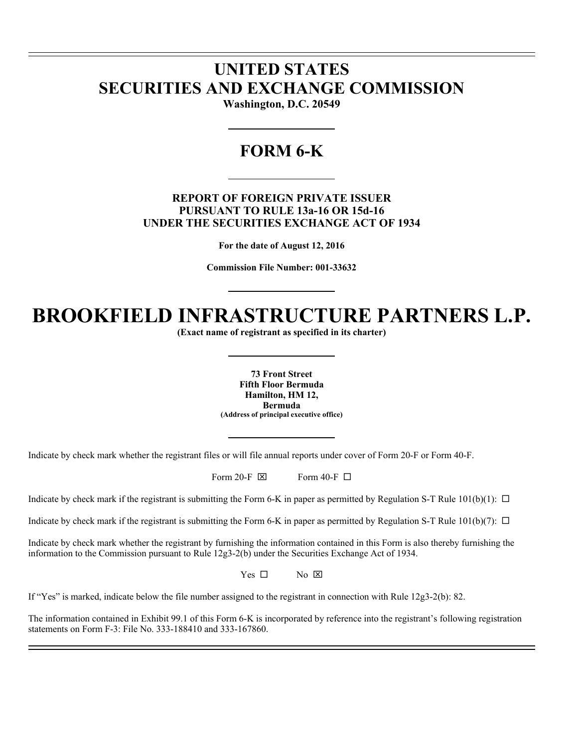# **UNITED STATES SECURITIES AND EXCHANGE COMMISSION**

l l

 $\overline{a}$ 

**Washington, D.C. 20549** 

# **FORM 6-K**

# **REPORT OF FOREIGN PRIVATE ISSUER PURSUANT TO RULE 13a-16 OR 15d-16 UNDER THE SECURITIES EXCHANGE ACT OF 1934**

**For the date of August 12, 2016** 

**Commission File Number: 001-33632** 

# **BROOKFIELD INFRASTRUCTURE PARTNERS L.P.**

**(Exact name of registrant as specified in its charter)** 

**73 Front Street Fifth Floor Bermuda Hamilton, HM 12, Bermuda (Address of principal executive office)** 

Indicate by check mark whether the registrant files or will file annual reports under cover of Form 20-F or Form 40-F.

Form 20-F  $\boxtimes$  Form 40-F  $\Box$ 

Indicate by check mark if the registrant is submitting the Form 6-K in paper as permitted by Regulation S-T Rule  $101(b)(1)$ :  $\Box$ 

Indicate by check mark if the registrant is submitting the Form 6-K in paper as permitted by Regulation S-T Rule  $101(b)(7)$ :  $\Box$ 

Indicate by check mark whether the registrant by furnishing the information contained in this Form is also thereby furnishing the information to the Commission pursuant to Rule 12g3-2(b) under the Securities Exchange Act of 1934.

 $Yes \Box$  No  $\boxtimes$ 

If "Yes" is marked, indicate below the file number assigned to the registrant in connection with Rule 12g3-2(b): 82.

The information contained in Exhibit 99.1 of this Form 6-K is incorporated by reference into the registrant's following registration statements on Form F-3: File No. 333-188410 and 333-167860.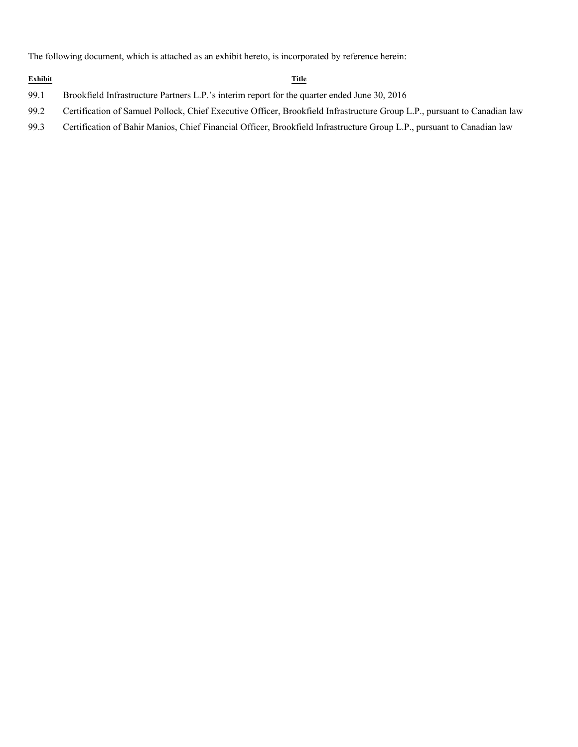The following document, which is attached as an exhibit hereto, is incorporated by reference herein:

#### **Exhibit Title**

- 99.1 Brookfield Infrastructure Partners L.P.'s interim report for the quarter ended June 30, 2016
- 99.2 Certification of Samuel Pollock, Chief Executive Officer, Brookfield Infrastructure Group L.P., pursuant to Canadian law
- 99.3 Certification of Bahir Manios, Chief Financial Officer, Brookfield Infrastructure Group L.P., pursuant to Canadian law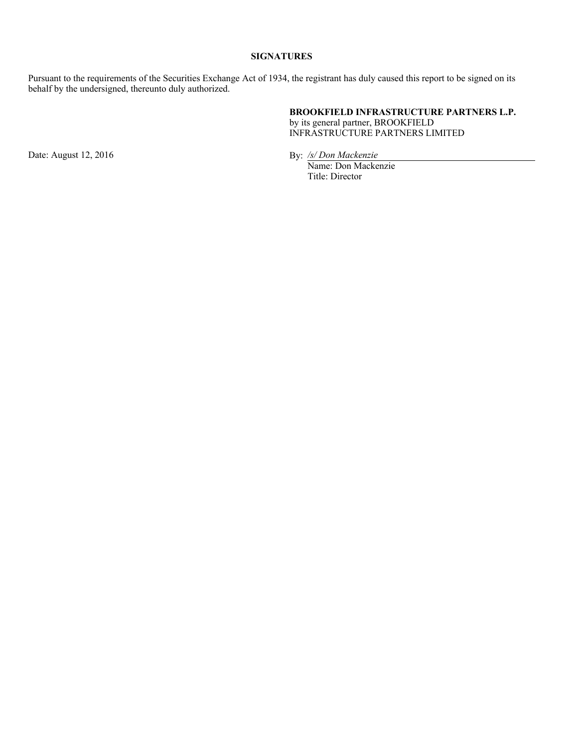# **SIGNATURES**

Pursuant to the requirements of the Securities Exchange Act of 1934, the registrant has duly caused this report to be signed on its behalf by the undersigned, thereunto duly authorized.

# **BROOKFIELD INFRASTRUCTURE PARTNERS L.P.**

by its general partner, BROOKFIELD INFRASTRUCTURE PARTNERS LIMITED

Date: August 12, 2016 By: */s/Don Mackenzie* 

Name: Don Mackenzie Title: Director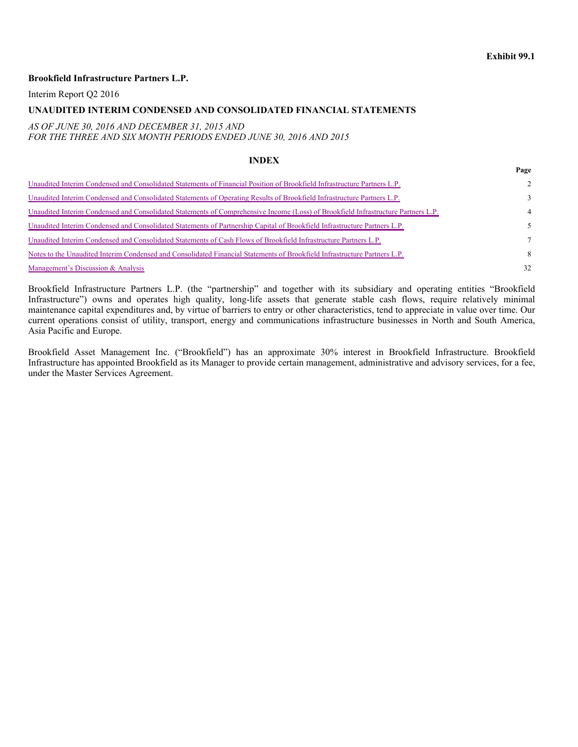**Page**

### **Brookfield Infrastructure Partners L.P.**

Interim Report Q2 2016

#### **UNAUDITED INTERIM CONDENSED AND CONSOLIDATED FINANCIAL STATEMENTS**

#### *AS OF JUNE 30, 2016 AND DECEMBER 31, 2015 AND FOR THE THREE AND SIX MONTH PERIODS ENDED JUNE 30, 2016 AND 2015*

#### **INDEX**

| Unaudited Interim Condensed and Consolidated Statements of Financial Position of Brookfield Infrastructure Partners L.P.          | $2^{\circ}$    |
|-----------------------------------------------------------------------------------------------------------------------------------|----------------|
| Unaudited Interim Condensed and Consolidated Statements of Operating Results of Brookfield Infrastructure Partners L.P.           | $\mathcal{E}$  |
| Unaudited Interim Condensed and Consolidated Statements of Comprehensive Income (Loss) of Brookfield Infrastructure Partners L.P. | $\overline{4}$ |
| Unaudited Interim Condensed and Consolidated Statements of Partnership Capital of Brookfield Infrastructure Partners L.P.         | 5.             |
| Unaudited Interim Condensed and Consolidated Statements of Cash Flows of Brookfield Infrastructure Partners L.P.                  | $\tau$         |
| Notes to the Unaudited Interim Condensed and Consolidated Financial Statements of Brookfield Infrastructure Partners L.P.         | 8              |
| Management's Discussion & Analysis                                                                                                | 32             |

Brookfield Infrastructure Partners L.P. (the "partnership" and together with its subsidiary and operating entities "Brookfield Infrastructure") owns and operates high quality, long-life assets that generate stable cash flows, require relatively minimal maintenance capital expenditures and, by virtue of barriers to entry or other characteristics, tend to appreciate in value over time. Our current operations consist of utility, transport, energy and communications infrastructure businesses in North and South America, Asia Pacific and Europe.

Brookfield Asset Management Inc. ("Brookfield") has an approximate 30% interest in Brookfield Infrastructure. Brookfield Infrastructure has appointed Brookfield as its Manager to provide certain management, administrative and advisory services, for a fee, under the Master Services Agreement.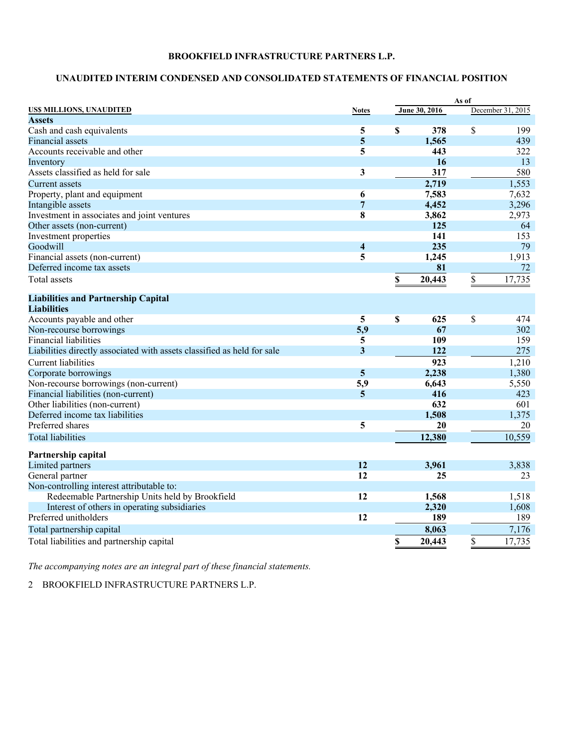# **UNAUDITED INTERIM CONDENSED AND CONSOLIDATED STATEMENTS OF FINANCIAL POSITION**

|                                                                         |                         |               | As of |                   |  |
|-------------------------------------------------------------------------|-------------------------|---------------|-------|-------------------|--|
| US\$ MILLIONS, UNAUDITED                                                | <b>Notes</b>            | June 30, 2016 |       | December 31, 2015 |  |
| <b>Assets</b>                                                           |                         |               |       |                   |  |
| Cash and cash equivalents                                               | 5                       | \$<br>378     | \$    | 199               |  |
| <b>Financial assets</b>                                                 | 5                       | 1,565         |       | 439               |  |
| Accounts receivable and other                                           | 5                       | 443           |       | 322               |  |
| Inventory                                                               |                         | 16            |       | 13                |  |
| Assets classified as held for sale                                      | 3                       | 317           |       | 580               |  |
| Current assets                                                          |                         | 2,719         |       | 1,553             |  |
| Property, plant and equipment                                           | 6                       | 7,583         |       | 7,632             |  |
| Intangible assets                                                       | $\overline{7}$          | 4,452         |       | 3,296             |  |
| Investment in associates and joint ventures                             | 8                       | 3,862         |       | 2,973             |  |
| Other assets (non-current)                                              |                         | 125           |       | 64                |  |
| Investment properties                                                   |                         | 141           |       | 153               |  |
| Goodwill                                                                | $\overline{\mathbf{4}}$ | 235           |       | 79                |  |
| Financial assets (non-current)                                          | 5                       | 1,245         |       | 1,913             |  |
| Deferred income tax assets                                              |                         | 81            |       | 72                |  |
| <b>Total</b> assets                                                     |                         | \$<br>20,443  | \$    | 17,735            |  |
| <b>Liabilities and Partnership Capital</b>                              |                         |               |       |                   |  |
| <b>Liabilities</b>                                                      |                         |               |       |                   |  |
| Accounts payable and other                                              | 5                       | \$<br>625     | \$    | 474               |  |
| Non-recourse borrowings                                                 | 5,9                     | 67            |       | 302               |  |
| <b>Financial liabilities</b>                                            | 5                       | <b>109</b>    |       | 159               |  |
| Liabilities directly associated with assets classified as held for sale | $\overline{\mathbf{3}}$ | 122           |       | 275               |  |
| <b>Current liabilities</b>                                              |                         | 923           |       | 1,210             |  |
| Corporate borrowings                                                    | $\overline{5}$          | 2,238         |       | 1,380             |  |
| Non-recourse borrowings (non-current)                                   | 5,9                     | 6,643         |       | 5,550             |  |
| Financial liabilities (non-current)                                     | $\overline{5}$          | 416           |       | 423               |  |
| Other liabilities (non-current)                                         |                         | 632           |       | 601               |  |
| Deferred income tax liabilities                                         |                         | 1,508         |       | 1,375             |  |
| Preferred shares                                                        | 5                       | 20            |       | 20                |  |
| <b>Total liabilities</b>                                                |                         | 12,380        |       | 10,559            |  |
| Partnership capital                                                     |                         |               |       |                   |  |
| Limited partners                                                        | 12                      | 3,961         |       | 3,838             |  |
| General partner                                                         | 12                      | 25            |       | 23                |  |
| Non-controlling interest attributable to:                               |                         |               |       |                   |  |
| Redeemable Partnership Units held by Brookfield                         | 12                      | 1,568         |       | 1,518             |  |
| Interest of others in operating subsidiaries                            |                         | 2,320         |       | 1,608             |  |
| Preferred unitholders                                                   | $\overline{12}$         | 189           |       | 189               |  |
| Total partnership capital                                               |                         | 8,063         |       | 7,176             |  |
| Total liabilities and partnership capital                               |                         | \$<br>20,443  | \$    | 17,735            |  |

*The accompanying notes are an integral part of these financial statements.*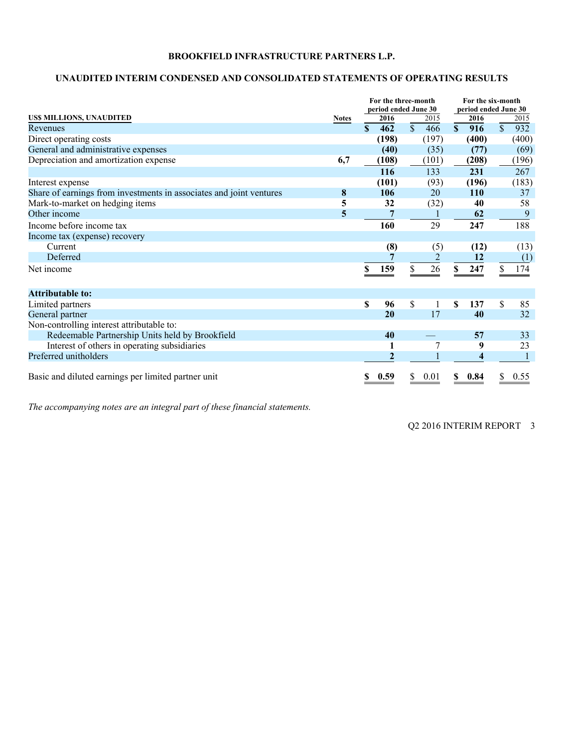# **UNAUDITED INTERIM CONDENSED AND CONSOLIDATED STATEMENTS OF OPERATING RESULTS**

|                                                                     |              | For the three-month<br>period ended June 30 |                |             |                | For the six-month<br>period ended June 30 |            |              |       |
|---------------------------------------------------------------------|--------------|---------------------------------------------|----------------|-------------|----------------|-------------------------------------------|------------|--------------|-------|
| US\$ MILLIONS, UNAUDITED                                            | <b>Notes</b> |                                             | 2016           |             | 2015           |                                           | 2016       |              | 2015  |
| Revenues                                                            |              | $\mathbf{s}$                                | 462            | $\mathbf S$ | 466            | $\mathbf{s}$                              | 916        | $\mathbb{S}$ | 932   |
| Direct operating costs                                              |              |                                             | (198)          |             | (197)          |                                           | (400)      |              | (400) |
| General and administrative expenses                                 |              |                                             | (40)           |             | (35)           |                                           | (77)       |              | (69)  |
| Depreciation and amortization expense                               | 6,7          |                                             | (108)          |             | (101)          |                                           | (208)      |              | (196) |
|                                                                     |              |                                             | 116            |             | 133            |                                           | 231        |              | 267   |
| Interest expense                                                    |              |                                             | (101)          |             | (93)           |                                           | (196)      |              | (183) |
| Share of earnings from investments in associates and joint ventures | 8            |                                             | 106            |             | 20             |                                           | <b>110</b> |              | 37    |
| Mark-to-market on hedging items                                     | 5            |                                             | 32             |             | (32)           |                                           | 40         |              | 58    |
| Other income                                                        | 5            |                                             |                |             |                |                                           | 62         |              | 9     |
| Income before income tax                                            |              |                                             | 160            |             | 29             |                                           | 247        |              | 188   |
| Income tax (expense) recovery                                       |              |                                             |                |             |                |                                           |            |              |       |
| Current                                                             |              |                                             | (8)            |             | (5)            |                                           | (12)       |              | (13)  |
| Deferred                                                            |              |                                             |                |             | $\overline{2}$ |                                           | 12         |              | (1)   |
| Net income                                                          |              | S                                           | 159            |             | 26             | \$                                        | 247        |              | 174   |
|                                                                     |              |                                             |                |             |                |                                           |            |              |       |
| <b>Attributable to:</b>                                             |              |                                             |                |             |                |                                           |            |              |       |
| Limited partners                                                    |              | S                                           | 96             | \$          | 1              | \$                                        | 137        | \$           | 85    |
| General partner                                                     |              |                                             | 20             |             | 17             |                                           | 40         |              | 32    |
| Non-controlling interest attributable to:                           |              |                                             |                |             |                |                                           |            |              |       |
| Redeemable Partnership Units held by Brookfield                     |              |                                             | 40             |             |                |                                           | 57         |              | 33    |
| Interest of others in operating subsidiaries                        |              |                                             |                |             |                |                                           | 9          |              | 23    |
| Preferred unitholders                                               |              |                                             | $\overline{2}$ |             |                |                                           | 4          |              |       |
| Basic and diluted earnings per limited partner unit                 |              | \$                                          | 0.59           | \$          | 0.01           | \$                                        | 0.84       | \$           | 0.55  |

*The accompanying notes are an integral part of these financial statements.*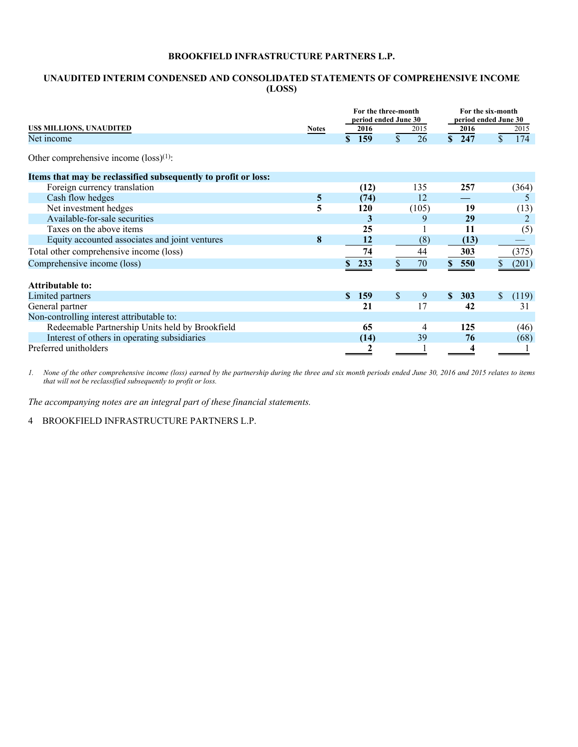# **UNAUDITED INTERIM CONDENSED AND CONSOLIDATED STATEMENTS OF COMPREHENSIVE INCOME (LOSS)**

|                                                                |                | For the three-month<br>period ended June 30 | For the six-month<br>period ended June 30 |                     |             |  |  |
|----------------------------------------------------------------|----------------|---------------------------------------------|-------------------------------------------|---------------------|-------------|--|--|
| US\$ MILLIONS, UNAUDITED                                       | <b>Notes</b>   | 2016                                        | 2015                                      | 2016                | 2015        |  |  |
| Net income                                                     |                | \$159                                       | \$<br>26                                  | \$247               | \$<br>174   |  |  |
| Other comprehensive income $(\text{loss})^{(1)}$ :             |                |                                             |                                           |                     |             |  |  |
| Items that may be reclassified subsequently to profit or loss: |                |                                             |                                           |                     |             |  |  |
| Foreign currency translation                                   |                | (12)                                        | 135                                       | 257                 | (364)       |  |  |
| Cash flow hedges                                               | $\overline{5}$ | (74)                                        | 12                                        |                     | 5           |  |  |
| Net investment hedges                                          | 5              | 120                                         | (105)                                     | 19                  | (13)        |  |  |
| Available-for-sale securities                                  |                | 3                                           | 9                                         | 29                  |             |  |  |
| Taxes on the above items                                       |                | 25                                          |                                           | 11                  | (5)         |  |  |
| Equity accounted associates and joint ventures                 | 8              | 12                                          | (8)                                       | (13)                |             |  |  |
| Total other comprehensive income (loss)                        |                | 74                                          | 44                                        | 303                 | (375)       |  |  |
| Comprehensive income (loss)                                    |                | 233                                         | 70                                        | \$550               | (201)       |  |  |
|                                                                |                |                                             |                                           |                     |             |  |  |
| <b>Attributable to:</b>                                        |                |                                             |                                           |                     |             |  |  |
| Limited partners                                               |                | <b>159</b><br><sup>\$</sup>                 | <sup>\$</sup><br>9                        | 303<br>$\mathbf{s}$ | \$<br>(119) |  |  |
| General partner                                                |                | 21                                          | 17                                        | 42                  | 31          |  |  |
| Non-controlling interest attributable to:                      |                |                                             |                                           |                     |             |  |  |
| Redeemable Partnership Units held by Brookfield                |                | 65                                          | $\overline{4}$                            | 125                 | (46)        |  |  |
| Interest of others in operating subsidiaries                   |                | (14)                                        | 39                                        | 76                  | (68)        |  |  |
| Preferred unitholders                                          |                | 2                                           |                                           | 4                   |             |  |  |

*1. None of the other comprehensive income (loss) earned by the partnership during the three and six month periods ended June 30, 2016 and 2015 relates to items that will not be reclassified subsequently to profit or loss.* 

*The accompanying notes are an integral part of these financial statements.*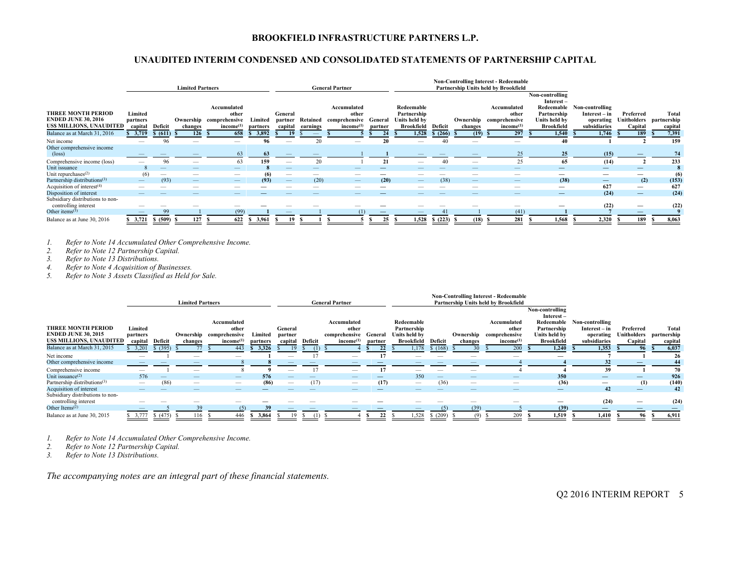# **UNAUDITED INTERIM CONDENSED AND CONSOLIDATED STATEMENTS OF PARTNERSHIP CAPITAL**

|                                                                                           |                                |                   | <b>Limited Partners</b>         |                                                                          |                     |                                 |                      | <b>General Partner</b>                                         |                    |                                                                 |                 |                          | <b>Non-Controlling Interest - Redeemable</b><br>Partnership Units held by Brookfield |                                                                                                    |                                                               |                          |                                             |
|-------------------------------------------------------------------------------------------|--------------------------------|-------------------|---------------------------------|--------------------------------------------------------------------------|---------------------|---------------------------------|----------------------|----------------------------------------------------------------|--------------------|-----------------------------------------------------------------|-----------------|--------------------------|--------------------------------------------------------------------------------------|----------------------------------------------------------------------------------------------------|---------------------------------------------------------------|--------------------------|---------------------------------------------|
| <b>THREE MONTH PERIOD</b><br><b>ENDED JUNE 30, 2016</b><br><b>USS MILLIONS, UNAUDITED</b> | Limited<br>partners<br>capital | Deficit           | changes                         | Accumulated<br>other<br>Ownership comprehensive<br>income <sup>(1)</sup> | Limited<br>partners | General<br>partner<br>capital   | Retained<br>earnings | Accumulated<br>other<br>comprehensive<br>income <sup>(1)</sup> | General<br>partner | Redeemable<br>Partnership<br>Units held by<br><b>Brookfield</b> | Deficit         | changes                  | Accumulated<br>other<br>Ownership comprehensive<br>income <sup>(1)</sup>             | Non-controlling<br>$Interest -$<br>Redeemable<br>Partnership<br>Units held by<br><b>Brookfield</b> | Non-controlling<br>Interest – in<br>operating<br>subsidiaries | Preferred<br>Capital     | Total<br>Unitholders partnership<br>capital |
| Balance as at March 31, 2016                                                              | \$3,719                        | \$ (611) \$       | 126                             | 658                                                                      | 3,892               |                                 |                      |                                                                | 24                 | 1,528                                                           | \$(266)         | $(19)$ \$                | 297                                                                                  | 1,540                                                                                              | 1,746                                                         | 189                      | 7,391                                       |
| Net income                                                                                |                                | 96                | $\overline{\phantom{a}}$        |                                                                          | 96                  | $\overline{\phantom{a}}$        | 20                   | -                                                              | 20                 | $\qquad \qquad$                                                 | 40              |                          |                                                                                      | 40                                                                                                 |                                                               |                          | 159                                         |
| Other comprehensive income<br>$(\text{loss})$                                             |                                |                   |                                 | 63                                                                       | 63                  |                                 |                      |                                                                |                    |                                                                 |                 |                          | 25                                                                                   | 25                                                                                                 | (15)                                                          |                          | 74                                          |
| Comprehensive income (loss)                                                               |                                | 96                |                                 | 63                                                                       | 159                 |                                 |                      |                                                                | 21                 |                                                                 | $\overline{4(}$ | -                        | 25                                                                                   | 65                                                                                                 | (14)                                                          |                          | 233                                         |
| Unit issuance                                                                             |                                |                   |                                 | _                                                                        |                     | $\overline{\phantom{a}}$        |                      |                                                                |                    |                                                                 |                 |                          |                                                                                      |                                                                                                    |                                                               |                          | 8                                           |
| Unit repurchases <sup>(2)</sup>                                                           | (6)                            | $\hspace{0.05cm}$ |                                 |                                                                          |                     | $\hspace{0.05cm}$               |                      | $\qquad \qquad$                                                |                    |                                                                 |                 |                          |                                                                                      |                                                                                                    | $\hspace{0.05cm}$                                             |                          | (6)                                         |
| Partnership distributions <sup>(3)</sup>                                                  | $\overline{\phantom{m}}$       | (93)              | $\hspace{0.1mm}-\hspace{0.1mm}$ |                                                                          | (93)                | $\hspace{0.1mm}-\hspace{0.1mm}$ | (20)                 |                                                                | (20)               | $\hspace{0.1mm}-\hspace{0.1mm}$                                 | (38)            | $\overline{\phantom{m}}$ | $\overline{\phantom{m}}$                                                             | (38)                                                                                               |                                                               | (2)                      | (153)                                       |
| Acquisition of interest $(4)$                                                             |                                |                   |                                 |                                                                          |                     | $\hspace{0.05cm}$               |                      |                                                                |                    |                                                                 |                 |                          | $\hspace{0.05cm}$                                                                    | $\hspace{0.1mm}-\hspace{0.1mm}$                                                                    | 627                                                           | $\overline{\phantom{m}}$ | 627                                         |
| Disposition of interest                                                                   |                                |                   | $\overline{\phantom{a}}$        | $-$                                                                      |                     | $\overline{\phantom{a}}$        | _                    | $\overline{\phantom{a}}$                                       | _                  |                                                                 |                 | $\overline{\phantom{a}}$ |                                                                                      |                                                                                                    | (24)                                                          |                          | (24)                                        |
| Subsidiary distributions to non-<br>controlling interest                                  |                                |                   |                                 |                                                                          |                     |                                 |                      |                                                                |                    |                                                                 |                 |                          |                                                                                      |                                                                                                    | (22)                                                          | $\hspace{0.05cm}$        | (22)                                        |
| Other items $(5)$                                                                         |                                | 99                |                                 | (99)                                                                     |                     |                                 |                      |                                                                |                    | $\hspace{0.1mm}-\hspace{0.1mm}$                                 | 41              |                          | (41)                                                                                 |                                                                                                    |                                                               |                          |                                             |
| Balance as at June 30, 2016                                                               | \$3,721                        | \$ (509) S        | 127                             | 622                                                                      | \$ 3,961            | -S                              |                      |                                                                | 25<br>s            | 1,528                                                           | \$(223)         | (18)                     | 281                                                                                  | 1,568                                                                                              | 2,320                                                         | 189                      | 8,063                                       |

*1. Refer to Note 14 Accumulated Other Comprehensive Income.* 

*2. Refer to Note 12 Partnership Capital.* 

*3. Refer to Note 13 Distributions.* 

*4. Refer to Note 4 Acquisition of Businesses.* 

*5. Refer to Note 3 Assets Classified as Held for Sale.* 

|                                                                                           |                                |                 | <b>Limited Partners</b> |                                                                          |                     | <b>Non-Controlling Interest - Redeemable</b><br>Partnership Units held by Brookfield<br><b>General Partner</b> |         |                                                                |                    |                                                                 |         |                      |                                                                |                                                                                                 |                                                               |                                     |      |                                 |
|-------------------------------------------------------------------------------------------|--------------------------------|-----------------|-------------------------|--------------------------------------------------------------------------|---------------------|----------------------------------------------------------------------------------------------------------------|---------|----------------------------------------------------------------|--------------------|-----------------------------------------------------------------|---------|----------------------|----------------------------------------------------------------|-------------------------------------------------------------------------------------------------|---------------------------------------------------------------|-------------------------------------|------|---------------------------------|
| <b>THREE MONTH PERIOD</b><br><b>ENDED JUNE 30, 2015</b><br><b>USS MILLIONS, UNAUDITED</b> | Limited<br>partners<br>capital | Deficit         | changes                 | Accumulated<br>other<br>Ownership comprehensive<br>income <sup>(1)</sup> | Limited<br>partners | General<br>partner<br>capital                                                                                  | Deficit | Accumulated<br>other<br>comprehensive<br>income <sup>(1)</sup> | General<br>partner | Redeemable<br>Partnership<br>Units held by<br><b>Brookfield</b> | Deficit | Ownership<br>changes | Accumulated<br>other<br>comprehensive<br>income <sup>(1)</sup> | Non-controlling<br>Interest-<br>Redeemable<br>Partnership<br>Units held by<br><b>Brookfield</b> | Non-controlling<br>Interest – in<br>operating<br>subsidiaries | Preferred<br>Unitholders<br>Capital |      | Total<br>partnership<br>capital |
| Balance as at March 31, 2015                                                              | 3,201                          | \$ (395)        |                         | 443                                                                      | 3.326               |                                                                                                                |         |                                                                | 22                 | 1.178                                                           | \$(168) | 30                   | 200                                                            | 1.240                                                                                           | 1.353                                                         | 96                                  |      | 6,037                           |
| Net income                                                                                | -                              |                 |                         |                                                                          |                     |                                                                                                                |         | $\overline{\phantom{a}}$                                       | 17                 | -                                                               |         |                      | $\overline{\phantom{a}}$                                       |                                                                                                 |                                                               |                                     |      | 26                              |
| Other comprehensive income                                                                |                                |                 |                         |                                                                          |                     |                                                                                                                |         |                                                                |                    |                                                                 |         |                      |                                                                |                                                                                                 | 32                                                            |                                     |      | 44                              |
| Comprehensive income                                                                      |                                |                 |                         |                                                                          |                     |                                                                                                                |         |                                                                |                    |                                                                 |         |                      |                                                                |                                                                                                 | 39                                                            |                                     |      | 70                              |
| Unit issuance $(2)$                                                                       | 576                            | $\qquad \qquad$ |                         |                                                                          | 576                 |                                                                                                                |         |                                                                |                    | 350                                                             |         |                      |                                                                | 350                                                                                             | $\overline{\phantom{0}}$                                      |                                     |      | 926                             |
| Partnership distributions <sup>(3)</sup>                                                  |                                | (86)            |                         |                                                                          | (86)                | $\hspace{0.05cm}$                                                                                              | (17)    | $\hspace{0.05cm}$                                              | (17)               | $\hspace{0.05cm}$                                               | (36)    |                      |                                                                | (36)                                                                                            |                                                               | (1)                                 |      | (140)                           |
| Acquisition of interest                                                                   |                                |                 |                         | _                                                                        |                     |                                                                                                                |         |                                                                |                    |                                                                 |         |                      |                                                                | $\overline{\phantom{0}}$                                                                        | 42                                                            |                                     |      | 42                              |
| Subsidiary distributions to non-<br>controlling interest                                  |                                |                 |                         |                                                                          |                     |                                                                                                                |         |                                                                |                    |                                                                 |         |                      |                                                                |                                                                                                 | (24)                                                          | $\hspace{0.05cm}$                   |      | (24)                            |
| Other Items $(2)$                                                                         |                                |                 | 39                      | (5)                                                                      | 39                  |                                                                                                                |         |                                                                |                    |                                                                 | (5)     | (39)                 |                                                                | (39)                                                                                            | $\overline{\phantom{0}}$                                      |                                     |      |                                 |
| Balance as at June 30, 2015                                                               | \$3,777                        | \$ (475) \$     | 116                     | 446                                                                      | 3,864               |                                                                                                                | -61)    |                                                                | 22                 | 1.528                                                           | \$(209) | (9)                  | 209                                                            | 1.519                                                                                           | 1,410                                                         | 96                                  | - 39 | 6,911                           |

*1. Refer to Note 14 Accumulated Other Comprehensive Income.* 

*2. Refer to Note 12 Partnership Capital.* 

*3. Refer to Note 13 Distributions.* 

*The accompanying notes are an integral part of these financial statements.*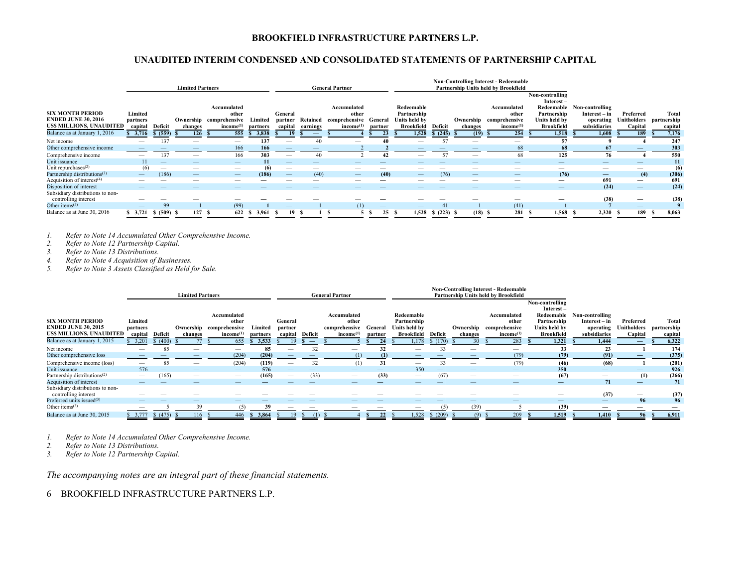# **UNAUDITED INTERIM CONDENSED AND CONSOLIDATED STATEMENTS OF PARTNERSHIP CAPITAL**

|                                                                                   |                                |                                 | <b>Limited Partners</b>  |                                                                          |                     |                               |                      | <b>General Partner</b>                                         |                    |                                                          |                          |         | <b>Non-Controlling Interest - Redeemable</b><br>Partnership Units held by Brookfield |                                                                                   |                                                                          |                                     |                                        |
|-----------------------------------------------------------------------------------|--------------------------------|---------------------------------|--------------------------|--------------------------------------------------------------------------|---------------------|-------------------------------|----------------------|----------------------------------------------------------------|--------------------|----------------------------------------------------------|--------------------------|---------|--------------------------------------------------------------------------------------|-----------------------------------------------------------------------------------|--------------------------------------------------------------------------|-------------------------------------|----------------------------------------|
| <b>SIX MONTH PERIOD</b><br><b>ENDED JUNE 30, 2016</b><br>US\$ MILLIONS, UNAUDITED | Limited<br>partners<br>capital | Deficit                         | changes                  | Accumulated<br>other<br>Ownership comprehensive<br>income <sup>(1)</sup> | Limited<br>partners | General<br>partner<br>capital | Retained<br>earnings | Accumulated<br>other<br>comprehensive<br>income <sup>(1)</sup> | General<br>partner | Redeemable<br>Partnership<br>Units held by<br>Brookfield | Deficit                  | changes | Accumulated<br>other<br>Ownership comprehensive<br>income <sup>(1)</sup>             | Non-controlling<br>Interest-<br>Partnership<br>Units held by<br><b>Brookfield</b> | Redeemable Non-controlling<br>Interest – in<br>operating<br>subsidiaries | Preferred<br>Unitholders<br>Capital | <b>Total</b><br>partnership<br>capital |
| Balance as at January 1, 2016                                                     | \$3,716                        | \$ (559) S                      | 126                      | 555                                                                      | 3,838               |                               |                      |                                                                | 23                 | 1,528                                                    | \$(245)                  | (19)    | 254                                                                                  | 1.518                                                                             | 1,608                                                                    | 189                                 | 7,176                                  |
| Net income                                                                        |                                | 137                             | -                        |                                                                          | 137                 |                               |                      |                                                                |                    | $\overline{\phantom{a}}$                                 |                          |         | -                                                                                    | 57                                                                                |                                                                          |                                     | 247                                    |
| Other comprehensive income                                                        |                                |                                 | _                        | 166                                                                      | 166                 |                               |                      |                                                                |                    |                                                          | $\overline{\phantom{a}}$ |         | 68                                                                                   | 68                                                                                | 67                                                                       |                                     | 303                                    |
| Comprehensive income                                                              |                                | 137                             |                          | 166                                                                      | 303                 | $\overline{\phantom{a}}$      |                      |                                                                | -42                |                                                          | $\leq$                   | -       | 68                                                                                   | 125                                                                               | 76                                                                       |                                     | 550                                    |
| Unit issuance                                                                     | 11                             | _                               |                          |                                                                          | 11                  | $\qquad \qquad - \qquad$      | $-$                  |                                                                |                    |                                                          |                          |         |                                                                                      |                                                                                   |                                                                          |                                     | 11                                     |
| Unit repurchases <sup>(2)</sup>                                                   | (6)                            | $\hspace{0.1mm}-\hspace{0.1mm}$ | $\overline{\phantom{a}}$ |                                                                          | (6)                 | $\hspace{0.05cm}$             | $-$                  | _                                                              |                    |                                                          |                          |         |                                                                                      |                                                                                   | $\hspace{0.05cm}$                                                        | $\hspace{0.05cm}$                   | (6)                                    |
| Partnership distributions <sup>(3)</sup>                                          |                                | (186)                           |                          |                                                                          | (186)               | $\overline{\phantom{m}}$      | (40)                 | $\qquad \qquad -$                                              | (40)               | $-$                                                      | (76)                     |         |                                                                                      | (76)                                                                              |                                                                          | (4)                                 | (306)                                  |
| Acquisition of interest $(4)$                                                     |                                |                                 | _                        |                                                                          |                     | $\hspace{0.05cm}$             |                      |                                                                | —                  |                                                          |                          |         |                                                                                      | $\hspace{0.05cm}$                                                                 | 691                                                                      | $\hspace{0.1mm}-\hspace{0.1mm}$     | 691                                    |
| Disposition of interest                                                           |                                |                                 |                          |                                                                          |                     |                               |                      |                                                                |                    |                                                          |                          |         |                                                                                      |                                                                                   | (24)                                                                     | $\hspace{0.1mm}-\hspace{0.1mm}$     | (24)                                   |
| Subsidiary distributions to non-<br>controlling interest                          |                                |                                 |                          |                                                                          |                     |                               |                      |                                                                |                    |                                                          |                          |         |                                                                                      |                                                                                   | (38)                                                                     | $\hspace{0.05cm}$                   | (38)                                   |
| Other items $(5)$                                                                 | $\overline{\phantom{0}}$       | 99                              |                          | (99)                                                                     |                     | $\qquad \qquad - \qquad$      |                      |                                                                |                    |                                                          |                          |         | (41)                                                                                 |                                                                                   |                                                                          |                                     |                                        |
| Balance as at June 30, 2016                                                       | \$3,721                        | \$ (509) \$                     |                          | 622                                                                      | 3.961               |                               |                      |                                                                | 25                 | 1,528                                                    | \$ (223)                 | (18)    | 281                                                                                  | 1,568                                                                             | 2,320                                                                    | 189                                 | 8,063                                  |

*1. Refer to Note 14 Accumulated Other Comprehensive Income.* 

*2. Refer to Note 12 Partnership Capital.* 

*3. Refer to Note 13 Distributions.* 

*4. Refer to Note 4 Acquisition of Businesses.* 

*5. Refer to Note 3 Assets Classified as Held for Sale.* 

|                                                                                                                          |                                         |                     | <b>Limited Partners</b> |                                                                                 |                              |                                                                                                                                                                                                                                                                                                                                                                                               |                                     | <b>General Partner</b>                                         |                          |                                                                                                                                                                                                                                                                                                                                                                                               |                    |                            | <b>Non-Controlling Interest - Redeemable</b><br>Partnership Units held by Brookfield |                                                                                                          |                                                                        |                                                                             |                           |
|--------------------------------------------------------------------------------------------------------------------------|-----------------------------------------|---------------------|-------------------------|---------------------------------------------------------------------------------|------------------------------|-----------------------------------------------------------------------------------------------------------------------------------------------------------------------------------------------------------------------------------------------------------------------------------------------------------------------------------------------------------------------------------------------|-------------------------------------|----------------------------------------------------------------|--------------------------|-----------------------------------------------------------------------------------------------------------------------------------------------------------------------------------------------------------------------------------------------------------------------------------------------------------------------------------------------------------------------------------------------|--------------------|----------------------------|--------------------------------------------------------------------------------------|----------------------------------------------------------------------------------------------------------|------------------------------------------------------------------------|-----------------------------------------------------------------------------|---------------------------|
| <b>SIX MONTH PERIOD</b><br><b>ENDED JUNE 30, 2015</b><br><b>USS MILLIONS, UNAUDITED</b><br>Balance as at January 1, 2015 | Limited<br>partners<br>capital<br>3,201 | Deficit<br>\$ (400) | changes                 | Accumulated<br>other<br>Ownership comprehensive<br>income <sup>(1)</sup><br>655 | Limited<br>partners<br>3,533 | General<br>partner<br>capital<br>19                                                                                                                                                                                                                                                                                                                                                           | Deficit<br>$\overline{\phantom{m}}$ | Accumulated<br>other<br>comprehensive<br>income <sup>(1)</sup> | General<br>partner<br>24 | Redeemable<br>Partnership<br>Units held by<br><b>Brookfield</b><br>1,178                                                                                                                                                                                                                                                                                                                      | Deficit<br>\$(170) | Ownership<br>changes<br>30 | Accumulated<br>other<br>comprehensive<br>income <sup>(1)</sup><br>283                | Non-controlling<br>Interest-<br>Redeemable<br>Partnership<br>Units held by<br><b>Brookfield</b><br>1,321 | Non-controlling<br>Interest – in<br>operating<br>subsidiaries<br>1,444 | Preferred<br>Unitholders partnership<br>Capital<br>$\overline{\phantom{m}}$ | Total<br>capital<br>6,322 |
| Net income                                                                                                               |                                         | 85                  | -                       | $\qquad \qquad$                                                                 | 85                           |                                                                                                                                                                                                                                                                                                                                                                                               | 32                                  |                                                                |                          | $\qquad \qquad$                                                                                                                                                                                                                                                                                                                                                                               | 33                 | -                          | -                                                                                    | 33                                                                                                       | 23                                                                     |                                                                             | 174                       |
| Other comprehensive loss                                                                                                 |                                         |                     |                         | (204)                                                                           | (204)                        |                                                                                                                                                                                                                                                                                                                                                                                               |                                     | (1)                                                            | $\mathbf{u}$             |                                                                                                                                                                                                                                                                                                                                                                                               |                    |                            | (79)                                                                                 | (79)                                                                                                     | (91)                                                                   |                                                                             | (375)                     |
| Comprehensive income (loss)                                                                                              |                                         | 85                  |                         | (204)                                                                           | (119)                        |                                                                                                                                                                                                                                                                                                                                                                                               | 32                                  | (1)                                                            | 31                       | $\overline{\phantom{a}}$                                                                                                                                                                                                                                                                                                                                                                      | 33                 |                            | (79)                                                                                 | (46)                                                                                                     | (68)                                                                   |                                                                             | (201)                     |
| Unit issuance                                                                                                            | 576                                     |                     | $-$                     | $\qquad \qquad -$                                                               | 576                          | $\overline{\phantom{a}}$                                                                                                                                                                                                                                                                                                                                                                      | $\overline{\phantom{a}}$            |                                                                |                          | 350                                                                                                                                                                                                                                                                                                                                                                                           |                    |                            |                                                                                      | 350                                                                                                      |                                                                        |                                                                             | 926                       |
| Partnership distributions <sup>(2)</sup>                                                                                 |                                         | (165)               |                         | $\hspace{0.05cm}$                                                               | (165)                        | $\hspace{1.0cm} \overline{\hspace{1.0cm} \hspace{1.0cm} \hspace{1.0cm} } \hspace{1.0cm} \hspace{1.0cm} \overline{\hspace{1.0cm} \hspace{1.0cm} \hspace{1.0cm} } \hspace{1.0cm} \hspace{1.0cm} \overline{\hspace{1.0cm} \hspace{1.0cm} \hspace{1.0cm} } \hspace{1.0cm} \hspace{1.0cm} \overline{\hspace{1.0cm} \hspace{1.0cm} \hspace{1.0cm} } \hspace{1.0cm} \hspace{1.0cm} \hspace{1.0cm} }$ | (33)                                |                                                                | (33)                     | $\hspace{1.0cm} \overline{\hspace{1.0cm} \hspace{1.0cm} \hspace{1.0cm} } \hspace{1.0cm} \hspace{1.0cm} \overline{\hspace{1.0cm} \hspace{1.0cm} \hspace{1.0cm} } \hspace{1.0cm} \hspace{1.0cm} \overline{\hspace{1.0cm} \hspace{1.0cm} \hspace{1.0cm} } \hspace{1.0cm} \hspace{1.0cm} \overline{\hspace{1.0cm} \hspace{1.0cm} \hspace{1.0cm} } \hspace{1.0cm} \hspace{1.0cm} \hspace{1.0cm} }$ | (67)               |                            |                                                                                      | (67)                                                                                                     | —                                                                      | (1)                                                                         | (266)                     |
| Acquisition of interest                                                                                                  |                                         |                     |                         | _                                                                               |                              |                                                                                                                                                                                                                                                                                                                                                                                               |                                     |                                                                |                          |                                                                                                                                                                                                                                                                                                                                                                                               |                    |                            |                                                                                      |                                                                                                          | 71                                                                     |                                                                             | 71                        |
| Subsidiary distributions to non-<br>controlling interest                                                                 |                                         |                     |                         |                                                                                 |                              |                                                                                                                                                                                                                                                                                                                                                                                               |                                     |                                                                |                          |                                                                                                                                                                                                                                                                                                                                                                                               |                    |                            |                                                                                      |                                                                                                          | (37)                                                                   | $\hspace{0.05cm}$                                                           | (37)                      |
| Preferred units issued <sup>(3)</sup>                                                                                    |                                         |                     |                         |                                                                                 |                              |                                                                                                                                                                                                                                                                                                                                                                                               |                                     |                                                                |                          |                                                                                                                                                                                                                                                                                                                                                                                               |                    |                            | $-$                                                                                  |                                                                                                          |                                                                        | 96                                                                          | 96                        |
| Other items $(3)$                                                                                                        |                                         |                     | 39                      |                                                                                 |                              |                                                                                                                                                                                                                                                                                                                                                                                               | $\hspace{0.1mm}-\hspace{0.1mm}$     |                                                                |                          |                                                                                                                                                                                                                                                                                                                                                                                               | (5)                | (39)                       |                                                                                      | (39)                                                                                                     |                                                                        |                                                                             |                           |
| Balance as at June 30, 2015                                                                                              | 3,777                                   | \$(475)             | 116                     | 446                                                                             | 3,864                        |                                                                                                                                                                                                                                                                                                                                                                                               | (1)                                 |                                                                | 22                       | 1,528                                                                                                                                                                                                                                                                                                                                                                                         | \$ (209)           | (9)                        | 209                                                                                  | 1.519                                                                                                    | 1,410                                                                  | 96                                                                          | 6,911                     |

*1. Refer to Note 14 Accumulated Other Comprehensive Income.* 

*2. Refer to Note 13 Distributions.* 

*3. Refer to Note 12 Partnership Capital.* 

*The accompanying notes are an integral part of these financial statements.*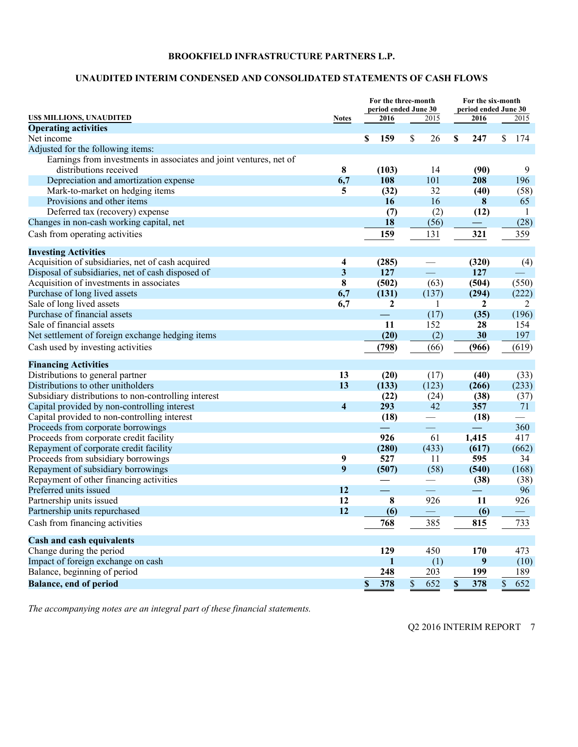# **UNAUDITED INTERIM CONDENSED AND CONSOLIDATED STATEMENTS OF CASH FLOWS**

|                                                                    |                         | For the three-month<br>period ended June 30 |                      | For the six-month<br>period ended June 30 |           |  |
|--------------------------------------------------------------------|-------------------------|---------------------------------------------|----------------------|-------------------------------------------|-----------|--|
| US\$ MILLIONS, UNAUDITED                                           | <b>Notes</b>            | 2016                                        | 2015                 | 2016                                      | 2015      |  |
| <b>Operating activities</b>                                        |                         |                                             |                      |                                           |           |  |
| Net income                                                         |                         | 159<br>\$                                   | 26<br>S              | 247<br>\$                                 | S<br>174  |  |
| Adjusted for the following items:                                  |                         |                                             |                      |                                           |           |  |
| Earnings from investments in associates and joint ventures, net of |                         |                                             |                      |                                           |           |  |
| distributions received                                             | 8                       | (103)                                       | 14                   | (90)                                      | 9         |  |
| Depreciation and amortization expense                              | 6,7                     | 108                                         | 101                  | 208                                       | 196       |  |
| Mark-to-market on hedging items                                    | 5                       | (32)                                        | 32                   | (40)                                      | (58)      |  |
| Provisions and other items                                         |                         | 16                                          | 16                   | 8                                         | 65        |  |
| Deferred tax (recovery) expense                                    |                         | (7)                                         | (2)                  | (12)                                      | 1         |  |
| Changes in non-cash working capital, net                           |                         | 18                                          | (56)                 |                                           | (28)      |  |
| Cash from operating activities                                     |                         | 159                                         | 131                  | 321                                       | 359       |  |
| <b>Investing Activities</b>                                        |                         |                                             |                      |                                           |           |  |
| Acquisition of subsidiaries, net of cash acquired                  | 4                       | (285)                                       |                      | (320)                                     | (4)       |  |
| Disposal of subsidiaries, net of cash disposed of                  | $\overline{\mathbf{3}}$ | 127                                         | $\equiv$             | 127                                       |           |  |
| Acquisition of investments in associates                           | 8                       | (502)                                       | (63)                 | (504)                                     | (550)     |  |
| Purchase of long lived assets                                      | 6,7                     | (131)                                       | (137)                | (294)                                     | (222)     |  |
| Sale of long lived assets                                          | 6,7                     | $\mathbf{2}$                                | 1                    | 2                                         | 2         |  |
| Purchase of financial assets                                       |                         |                                             | (17)                 | (35)                                      | (196)     |  |
| Sale of financial assets                                           |                         | 11                                          | 152                  | 28                                        | 154       |  |
| Net settlement of foreign exchange hedging items                   |                         | (20)                                        | (2)                  | 30                                        | 197       |  |
| Cash used by investing activities                                  |                         | (798)                                       | (66)                 | (966)                                     | (619)     |  |
| <b>Financing Activities</b>                                        |                         |                                             |                      |                                           |           |  |
| Distributions to general partner                                   | 13                      | (20)                                        | (17)                 | (40)                                      | (33)      |  |
| Distributions to other unitholders                                 | 13                      | (133)                                       | (123)                | (266)                                     | (233)     |  |
| Subsidiary distributions to non-controlling interest               |                         | (22)                                        | (24)                 | (38)                                      | (37)      |  |
| Capital provided by non-controlling interest                       | $\overline{\mathbf{4}}$ | 293                                         | 42                   | 357                                       | 71        |  |
| Capital provided to non-controlling interest                       |                         | (18)                                        |                      | (18)                                      |           |  |
| Proceeds from corporate borrowings                                 |                         | $\overline{\phantom{0}}$                    | $\equiv$             |                                           | 360       |  |
| Proceeds from corporate credit facility                            |                         | 926                                         | 61                   | 1,415                                     | 417       |  |
| Repayment of corporate credit facility                             |                         | (280)                                       | (433)                | (617)                                     | (662)     |  |
| Proceeds from subsidiary borrowings                                | 9                       | 527                                         | 11                   | 595                                       | 34        |  |
| Repayment of subsidiary borrowings                                 | 9                       | (507)                                       | (58)                 | (540)                                     | (168)     |  |
| Repayment of other financing activities                            |                         |                                             |                      | (38)                                      | (38)      |  |
| Preferred units issued                                             | 12                      | $\equiv$                                    |                      | $\overline{\phantom{a}}$                  | 96        |  |
| Partnership units issued                                           | 12                      | 8                                           | 926                  | 11                                        | 926       |  |
| Partnership units repurchased                                      | 12                      | (6)                                         |                      | (6)                                       |           |  |
| Cash from financing activities                                     |                         | 768                                         | 385                  | 815                                       | 733       |  |
| <b>Cash and cash equivalents</b>                                   |                         |                                             |                      |                                           |           |  |
| Change during the period                                           |                         | 129                                         | 450                  | 170                                       | 473       |  |
| Impact of foreign exchange on cash                                 |                         | 1                                           | (1)                  | $\boldsymbol{9}$                          | (10)      |  |
| Balance, beginning of period                                       |                         | 248                                         | 203                  | 199                                       | 189       |  |
| <b>Balance, end of period</b>                                      |                         | \$<br>378                                   | $\mathsf{\$}$<br>652 | 378<br>\$                                 | 652<br>\$ |  |

*The accompanying notes are an integral part of these financial statements.*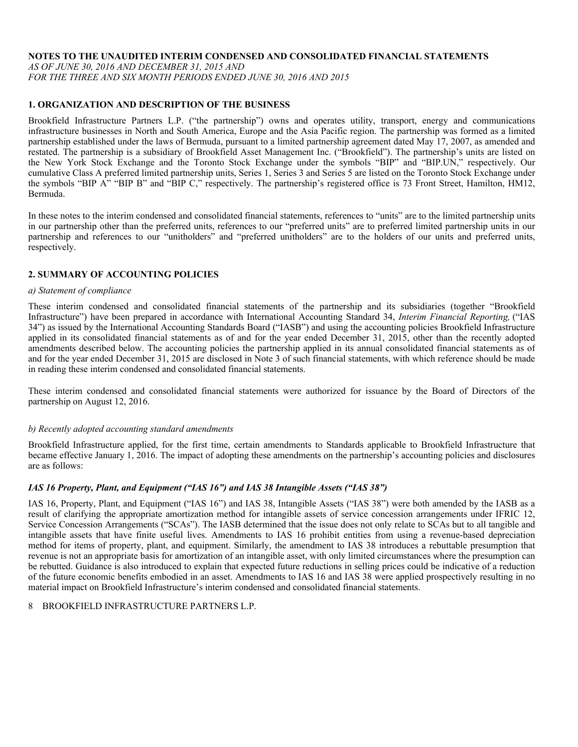#### **NOTES TO THE UNAUDITED INTERIM CONDENSED AND CONSOLIDATED FINANCIAL STATEMENTS**

*AS OF JUNE 30, 2016 AND DECEMBER 31, 2015 AND* 

# *FOR THE THREE AND SIX MONTH PERIODS ENDED JUNE 30, 2016 AND 2015*

# **1. ORGANIZATION AND DESCRIPTION OF THE BUSINESS**

Brookfield Infrastructure Partners L.P. ("the partnership") owns and operates utility, transport, energy and communications infrastructure businesses in North and South America, Europe and the Asia Pacific region. The partnership was formed as a limited partnership established under the laws of Bermuda, pursuant to a limited partnership agreement dated May 17, 2007, as amended and restated. The partnership is a subsidiary of Brookfield Asset Management Inc. ("Brookfield"). The partnership's units are listed on the New York Stock Exchange and the Toronto Stock Exchange under the symbols "BIP" and "BIP.UN," respectively. Our cumulative Class A preferred limited partnership units, Series 1, Series 3 and Series 5 are listed on the Toronto Stock Exchange under the symbols "BIP A" "BIP B" and "BIP C," respectively. The partnership's registered office is 73 Front Street, Hamilton, HM12, Bermuda.

In these notes to the interim condensed and consolidated financial statements, references to "units" are to the limited partnership units in our partnership other than the preferred units, references to our "preferred units" are to preferred limited partnership units in our partnership and references to our "unitholders" and "preferred unitholders" are to the holders of our units and preferred units, respectively.

# **2. SUMMARY OF ACCOUNTING POLICIES**

#### *a) Statement of compliance*

These interim condensed and consolidated financial statements of the partnership and its subsidiaries (together "Brookfield Infrastructure") have been prepared in accordance with International Accounting Standard 34, *Interim Financial Reporting,* ("IAS 34") as issued by the International Accounting Standards Board ("IASB") and using the accounting policies Brookfield Infrastructure applied in its consolidated financial statements as of and for the year ended December 31, 2015, other than the recently adopted amendments described below. The accounting policies the partnership applied in its annual consolidated financial statements as of and for the year ended December 31, 2015 are disclosed in Note 3 of such financial statements, with which reference should be made in reading these interim condensed and consolidated financial statements.

These interim condensed and consolidated financial statements were authorized for issuance by the Board of Directors of the partnership on August 12, 2016.

# *b) Recently adopted accounting standard amendments*

Brookfield Infrastructure applied, for the first time, certain amendments to Standards applicable to Brookfield Infrastructure that became effective January 1, 2016. The impact of adopting these amendments on the partnership's accounting policies and disclosures are as follows:

# *IAS 16 Property, Plant, and Equipment ("IAS 16") and IAS 38 Intangible Assets ("IAS 38")*

IAS 16, Property, Plant, and Equipment ("IAS 16") and IAS 38, Intangible Assets ("IAS 38") were both amended by the IASB as a result of clarifying the appropriate amortization method for intangible assets of service concession arrangements under IFRIC 12, Service Concession Arrangements ("SCAs"). The IASB determined that the issue does not only relate to SCAs but to all tangible and intangible assets that have finite useful lives. Amendments to IAS 16 prohibit entities from using a revenue-based depreciation method for items of property, plant, and equipment. Similarly, the amendment to IAS 38 introduces a rebuttable presumption that revenue is not an appropriate basis for amortization of an intangible asset, with only limited circumstances where the presumption can be rebutted. Guidance is also introduced to explain that expected future reductions in selling prices could be indicative of a reduction of the future economic benefits embodied in an asset. Amendments to IAS 16 and IAS 38 were applied prospectively resulting in no material impact on Brookfield Infrastructure's interim condensed and consolidated financial statements.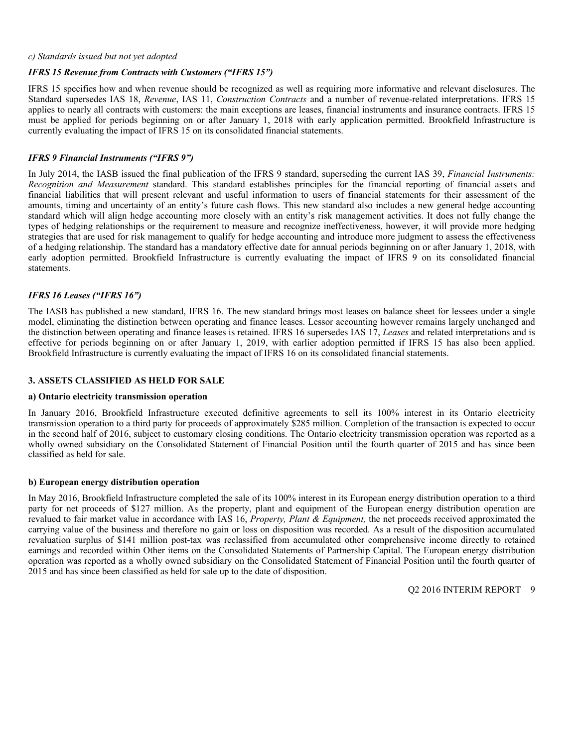#### *c) Standards issued but not yet adopted*

# *IFRS 15 Revenue from Contracts with Customers ("IFRS 15")*

IFRS 15 specifies how and when revenue should be recognized as well as requiring more informative and relevant disclosures. The Standard supersedes IAS 18, *Revenue*, IAS 11, *Construction Contracts* and a number of revenue-related interpretations. IFRS 15 applies to nearly all contracts with customers: the main exceptions are leases, financial instruments and insurance contracts. IFRS 15 must be applied for periods beginning on or after January 1, 2018 with early application permitted. Brookfield Infrastructure is currently evaluating the impact of IFRS 15 on its consolidated financial statements.

# *IFRS 9 Financial Instruments ("IFRS 9")*

In July 2014, the IASB issued the final publication of the IFRS 9 standard, superseding the current IAS 39, *Financial Instruments: Recognition and Measurement* standard. This standard establishes principles for the financial reporting of financial assets and financial liabilities that will present relevant and useful information to users of financial statements for their assessment of the amounts, timing and uncertainty of an entity's future cash flows. This new standard also includes a new general hedge accounting standard which will align hedge accounting more closely with an entity's risk management activities. It does not fully change the types of hedging relationships or the requirement to measure and recognize ineffectiveness, however, it will provide more hedging strategies that are used for risk management to qualify for hedge accounting and introduce more judgment to assess the effectiveness of a hedging relationship. The standard has a mandatory effective date for annual periods beginning on or after January 1, 2018, with early adoption permitted. Brookfield Infrastructure is currently evaluating the impact of IFRS 9 on its consolidated financial statements.

# *IFRS 16 Leases ("IFRS 16")*

The IASB has published a new standard, IFRS 16. The new standard brings most leases on balance sheet for lessees under a single model, eliminating the distinction between operating and finance leases. Lessor accounting however remains largely unchanged and the distinction between operating and finance leases is retained. IFRS 16 supersedes IAS 17, *Leases* and related interpretations and is effective for periods beginning on or after January 1, 2019, with earlier adoption permitted if IFRS 15 has also been applied. Brookfield Infrastructure is currently evaluating the impact of IFRS 16 on its consolidated financial statements.

# **3. ASSETS CLASSIFIED AS HELD FOR SALE**

#### **a) Ontario electricity transmission operation**

In January 2016, Brookfield Infrastructure executed definitive agreements to sell its 100% interest in its Ontario electricity transmission operation to a third party for proceeds of approximately \$285 million. Completion of the transaction is expected to occur in the second half of 2016, subject to customary closing conditions. The Ontario electricity transmission operation was reported as a wholly owned subsidiary on the Consolidated Statement of Financial Position until the fourth quarter of 2015 and has since been classified as held for sale.

# **b) European energy distribution operation**

In May 2016, Brookfield Infrastructure completed the sale of its 100% interest in its European energy distribution operation to a third party for net proceeds of \$127 million. As the property, plant and equipment of the European energy distribution operation are revalued to fair market value in accordance with IAS 16, *Property, Plant & Equipment,* the net proceeds received approximated the carrying value of the business and therefore no gain or loss on disposition was recorded. As a result of the disposition accumulated revaluation surplus of \$141 million post-tax was reclassified from accumulated other comprehensive income directly to retained earnings and recorded within Other items on the Consolidated Statements of Partnership Capital. The European energy distribution operation was reported as a wholly owned subsidiary on the Consolidated Statement of Financial Position until the fourth quarter of 2015 and has since been classified as held for sale up to the date of disposition.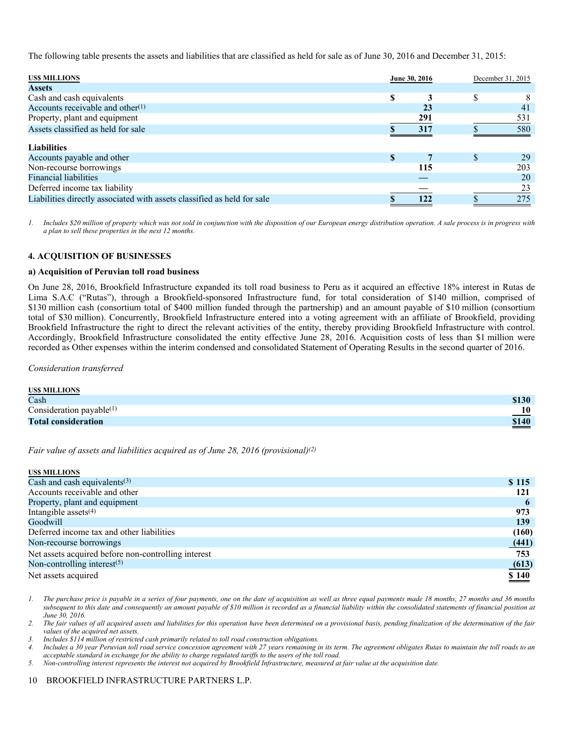The following table presents the assets and liabilities that are classified as held for sale as of June 30, 2016 and December 31, 2015:

| <b>USS MILLIONS</b>                                                     |     | June 30, 2016 | December 31, 2015 |
|-------------------------------------------------------------------------|-----|---------------|-------------------|
| <b>Assets</b>                                                           |     |               |                   |
| Cash and cash equivalents                                               | \$. |               |                   |
| Accounts receivable and other $(1)$                                     |     | 23            | 41                |
| Property, plant and equipment                                           |     | 291           | 531               |
| Assets classified as held for sale                                      |     | 317           | 580               |
| <b>Liabilities</b>                                                      |     |               |                   |
| Accounts payable and other                                              | \$. |               | 29                |
| Non-recourse borrowings                                                 |     | 115           | 203               |
| Financial liabilities                                                   |     |               | 20                |
| Deferred income tax liability                                           |     |               | 23                |
| Liabilities directly associated with assets classified as held for sale |     | 122           | 275               |

*1. Includes \$20 million of property which was not sold in conjunction with the disposition of our European energy distribution operation. A sale process is in progress with a plan to sell these properties in the next 12 months.* 

#### **4. ACQUISITION OF BUSINESSES**

#### **a) Acquisition of Peruvian toll road business**

On June 28, 2016, Brookfield Infrastructure expanded its toll road business to Peru as it acquired an effective 18% interest in Rutas de Lima S.A.C ("Rutas"), through a Brookfield-sponsored Infrastructure fund, for total consideration of \$140 million, comprised of \$130 million cash (consortium total of \$400 million funded through the partnership) and an amount payable of \$10 million (consortium total of \$30 million). Concurrently, Brookfield Infrastructure entered into a voting agreement with an affiliate of Brookfield, providing Brookfield Infrastructure the right to direct the relevant activities of the entity, thereby providing Brookfield Infrastructure with control. Accordingly, Brookfield Infrastructure consolidated the entity effective June 28, 2016. Acquisition costs of less than \$1 million were recorded as Other expenses within the interim condensed and consolidated Statement of Operating Results in the second quarter of 2016.

*Consideration transferred* 

| <b>USS MILLIONS</b>         |                          |
|-----------------------------|--------------------------|
| Cash                        | \$130                    |
| Consideration payable $(1)$ | $\_10$                   |
| <b>Total consideration</b>  | \$140                    |
|                             | $\overline{\phantom{a}}$ |

*Fair value of assets and liabilities acquired as of June 28, 2016 (provisional)(2)*

| <b>USS MILLIONS</b>                                 |       |
|-----------------------------------------------------|-------|
| Cash and cash equivalents $(3)$                     | \$115 |
| Accounts receivable and other                       | 121   |
| Property, plant and equipment                       | b     |
| Intangible assets $(4)$                             | 973   |
| Goodwill                                            | 139   |
| Deferred income tax and other liabilities           | (160) |
| Non-recourse borrowings                             | (441) |
| Net assets acquired before non-controlling interest | 753   |
| Non-controlling interest $(5)$                      | (613) |
| Net assets acquired                                 | \$140 |

*1. The purchase price is payable in a series of four payments, one on the date of acquisition as well as three equal payments made 18 months, 27 months and 36 months subsequent to this date and consequently an amount payable of \$10 million is recorded as a financial liability within the consolidated statements of financial position at June 30, 2016.* 

*2. The fair values of all acquired assets and liabilities for this operation have been determined on a provisional basis, pending finalization of the determination of the fair values of the acquired net assets.* 

*3. Includes \$114 million of restricted cash primarily related to toll road construction obligations.* 

*4. Includes a 30 year Peruvian toll road service concession agreement with 27 years remaining in its term. The agreement obligates Rutas to maintain the toll roads to an acceptable standard in exchange for the ability to charge regulated tariffs to the users of the toll road.* 

*5. Non-controlling interest represents the interest not acquired by Brookfield Infrastructure, measured at fair value at the acquisition date.*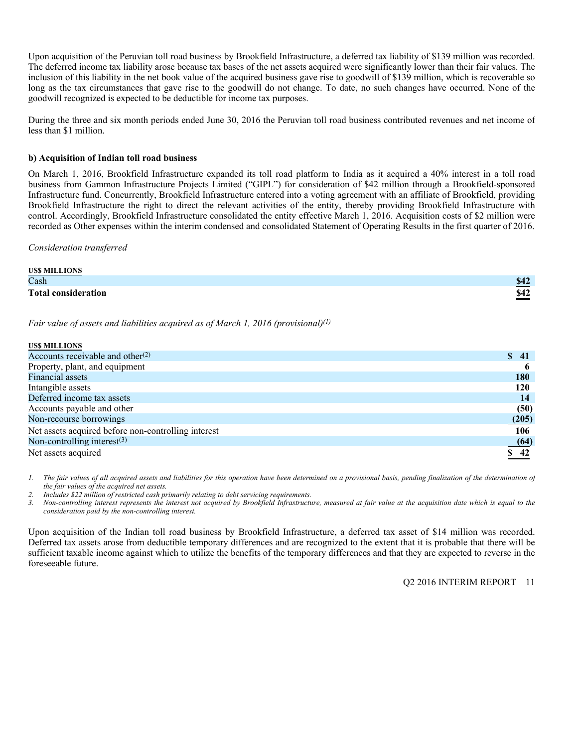Upon acquisition of the Peruvian toll road business by Brookfield Infrastructure, a deferred tax liability of \$139 million was recorded. The deferred income tax liability arose because tax bases of the net assets acquired were significantly lower than their fair values. The inclusion of this liability in the net book value of the acquired business gave rise to goodwill of \$139 million, which is recoverable so long as the tax circumstances that gave rise to the goodwill do not change. To date, no such changes have occurred. None of the goodwill recognized is expected to be deductible for income tax purposes.

During the three and six month periods ended June 30, 2016 the Peruvian toll road business contributed revenues and net income of less than \$1 million.

#### **b) Acquisition of Indian toll road business**

On March 1, 2016, Brookfield Infrastructure expanded its toll road platform to India as it acquired a 40% interest in a toll road business from Gammon Infrastructure Projects Limited ("GIPL") for consideration of \$42 million through a Brookfield-sponsored Infrastructure fund. Concurrently, Brookfield Infrastructure entered into a voting agreement with an affiliate of Brookfield, providing Brookfield Infrastructure the right to direct the relevant activities of the entity, thereby providing Brookfield Infrastructure with control. Accordingly, Brookfield Infrastructure consolidated the entity effective March 1, 2016. Acquisition costs of \$2 million were recorded as Other expenses within the interim condensed and consolidated Statement of Operating Results in the first quarter of 2016.

*Consideration transferred* 

| <b>USS MILLIONS</b>        |                            |
|----------------------------|----------------------------|
| Cash                       | <u>ድ 45</u><br>$\sqrt{16}$ |
| <b>Total consideration</b> | \$42<br>ዎተራ                |

*Fair value of assets and liabilities acquired as of March 1, 2016 (provisional)(1)*

| <b>USS MILLIONS</b>                                 |                     |
|-----------------------------------------------------|---------------------|
| Accounts receivable and other <sup>(2)</sup>        | S.<br>41            |
| Property, plant, and equipment                      |                     |
| Financial assets                                    | <b>180</b>          |
| Intangible assets                                   | 120                 |
| Deferred income tax assets                          | 14                  |
| Accounts payable and other                          | (50)                |
| Non-recourse borrowings                             | (205)               |
| Net assets acquired before non-controlling interest | 106                 |
| Non-controlling interest $(3)$                      | (64)                |
| Net assets acquired                                 | $\underline{\$ 42}$ |

*1. The fair values of all acquired assets and liabilities for this operation have been determined on a provisional basis, pending finalization of the determination of the fair values of the acquired net assets.* 

*2. Includes \$22 million of restricted cash primarily relating to debt servicing requirements.* 

*3. Non-controlling interest represents the interest not acquired by Brookfield Infrastructure, measured at fair value at the acquisition date which is equal to the consideration paid by the non-controlling interest.* 

Upon acquisition of the Indian toll road business by Brookfield Infrastructure, a deferred tax asset of \$14 million was recorded. Deferred tax assets arose from deductible temporary differences and are recognized to the extent that it is probable that there will be sufficient taxable income against which to utilize the benefits of the temporary differences and that they are expected to reverse in the foreseeable future.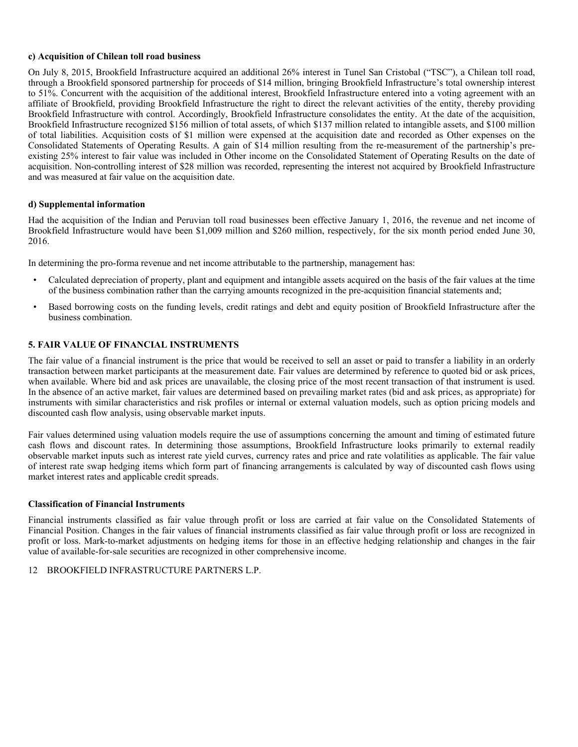### **c) Acquisition of Chilean toll road business**

On July 8, 2015, Brookfield Infrastructure acquired an additional 26% interest in Tunel San Cristobal ("TSC"), a Chilean toll road, through a Brookfield sponsored partnership for proceeds of \$14 million, bringing Brookfield Infrastructure's total ownership interest to 51%. Concurrent with the acquisition of the additional interest, Brookfield Infrastructure entered into a voting agreement with an affiliate of Brookfield, providing Brookfield Infrastructure the right to direct the relevant activities of the entity, thereby providing Brookfield Infrastructure with control. Accordingly, Brookfield Infrastructure consolidates the entity. At the date of the acquisition, Brookfield Infrastructure recognized \$156 million of total assets, of which \$137 million related to intangible assets, and \$100 million of total liabilities. Acquisition costs of \$1 million were expensed at the acquisition date and recorded as Other expenses on the Consolidated Statements of Operating Results. A gain of \$14 million resulting from the re-measurement of the partnership's preexisting 25% interest to fair value was included in Other income on the Consolidated Statement of Operating Results on the date of acquisition. Non-controlling interest of \$28 million was recorded, representing the interest not acquired by Brookfield Infrastructure and was measured at fair value on the acquisition date.

#### **d) Supplemental information**

Had the acquisition of the Indian and Peruvian toll road businesses been effective January 1, 2016, the revenue and net income of Brookfield Infrastructure would have been \$1,009 million and \$260 million, respectively, for the six month period ended June 30, 2016.

In determining the pro-forma revenue and net income attributable to the partnership, management has:

- Calculated depreciation of property, plant and equipment and intangible assets acquired on the basis of the fair values at the time of the business combination rather than the carrying amounts recognized in the pre-acquisition financial statements and;
- Based borrowing costs on the funding levels, credit ratings and debt and equity position of Brookfield Infrastructure after the business combination.

# **5. FAIR VALUE OF FINANCIAL INSTRUMENTS**

The fair value of a financial instrument is the price that would be received to sell an asset or paid to transfer a liability in an orderly transaction between market participants at the measurement date. Fair values are determined by reference to quoted bid or ask prices, when available. Where bid and ask prices are unavailable, the closing price of the most recent transaction of that instrument is used. In the absence of an active market, fair values are determined based on prevailing market rates (bid and ask prices, as appropriate) for instruments with similar characteristics and risk profiles or internal or external valuation models, such as option pricing models and discounted cash flow analysis, using observable market inputs.

Fair values determined using valuation models require the use of assumptions concerning the amount and timing of estimated future cash flows and discount rates. In determining those assumptions, Brookfield Infrastructure looks primarily to external readily observable market inputs such as interest rate yield curves, currency rates and price and rate volatilities as applicable. The fair value of interest rate swap hedging items which form part of financing arrangements is calculated by way of discounted cash flows using market interest rates and applicable credit spreads.

# **Classification of Financial Instruments**

Financial instruments classified as fair value through profit or loss are carried at fair value on the Consolidated Statements of Financial Position. Changes in the fair values of financial instruments classified as fair value through profit or loss are recognized in profit or loss. Mark-to-market adjustments on hedging items for those in an effective hedging relationship and changes in the fair value of available-for-sale securities are recognized in other comprehensive income.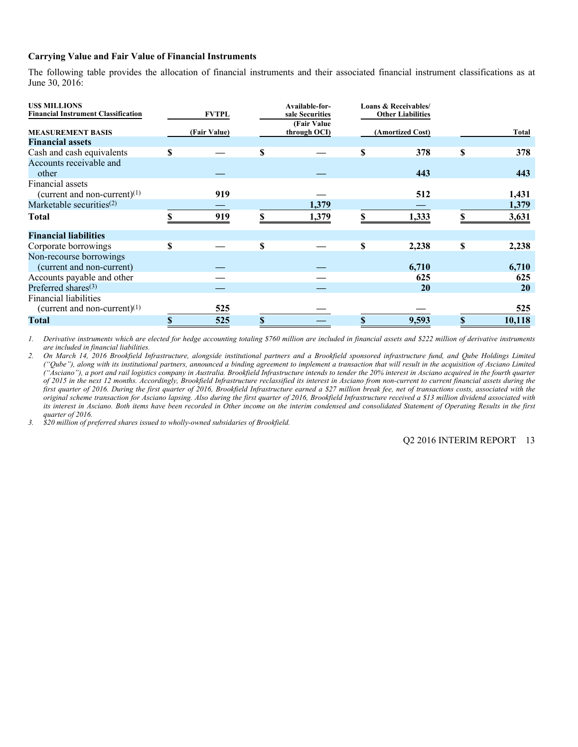### **Carrying Value and Fair Value of Financial Instruments**

The following table provides the allocation of financial instruments and their associated financial instrument classifications as at June 30, 2016:

| <b>USS MILLIONS</b><br><b>Financial Instrument Classification</b> | <b>FVTPL</b> |   | Available-for-<br>sale Securities<br>(Fair Value) |    | Loans & Receivables/<br><b>Other Liabilities</b> |              |
|-------------------------------------------------------------------|--------------|---|---------------------------------------------------|----|--------------------------------------------------|--------------|
| <b>MEASUREMENT BASIS</b>                                          | (Fair Value) |   | through OCI)                                      |    | (Amortized Cost)                                 | Total        |
| <b>Financial assets</b>                                           |              |   |                                                   |    |                                                  |              |
| Cash and cash equivalents                                         | \$           | S |                                                   | S  | 378                                              | \$<br>378    |
| Accounts receivable and<br>other                                  |              |   |                                                   |    | 443                                              | 443          |
| Financial assets<br>(current and non-current) $(1)$               | 919          |   |                                                   |    | 512                                              | 1,431        |
| Marketable securities $(2)$                                       |              |   | 1,379                                             |    |                                                  | 1,379        |
| Total                                                             | 919          |   | 1,379                                             |    | 1,333                                            | \$<br>3,631  |
| <b>Financial liabilities</b>                                      |              |   |                                                   |    |                                                  |              |
| Corporate borrowings                                              | \$           | S |                                                   | S  | 2,238                                            | \$<br>2,238  |
| Non-recourse borrowings<br>(current and non-current)              |              |   |                                                   |    | 6,710                                            | 6,710        |
| Accounts payable and other                                        |              |   |                                                   |    | 625                                              | 625          |
| Preferred shares $(3)$                                            |              |   |                                                   |    | <b>20</b>                                        | 20           |
| <b>Financial liabilities</b><br>(current and non-current) $(1)$   | 525          |   |                                                   |    |                                                  | 525          |
| <b>Total</b>                                                      | \$<br>525    |   |                                                   | \$ | 9,593                                            | \$<br>10,118 |

 *1. Derivative instruments which are elected for hedge accounting totaling \$760 million are included in financial assets and \$222 million of derivative instruments are included in financial liabilities.* 

*2. On March 14, 2016 Brookfield Infrastructure, alongside institutional partners and a Brookfield sponsored infrastructure fund, and Qube Holdings Limited ("Qube"), along with its institutional partners, announced a binding agreement to implement a transaction that will result in the acquisition of Asciano Limited ("Asciano"), a port and rail logistics company in Australia. Brookfield Infrastructure intends to tender the 20% interest in Asciano acquired in the fourth quarter of 2015 in the next 12 months. Accordingly, Brookfield Infrastructure reclassified its interest in Asciano from non-current to current financial assets during the first quarter of 2016. During the first quarter of 2016, Brookfield Infrastructure earned a \$27 million break fee, net of transactions costs, associated with the original scheme transaction for Asciano lapsing. Also during the first quarter of 2016, Brookfield Infrastructure received a \$13 million dividend associated with its interest in Asciano. Both items have been recorded in Other income on the interim condensed and consolidated Statement of Operating Results in the first quarter of 2016.* 

*3. \$20 million of preferred shares issued to wholly-owned subsidaries of Brookfield.*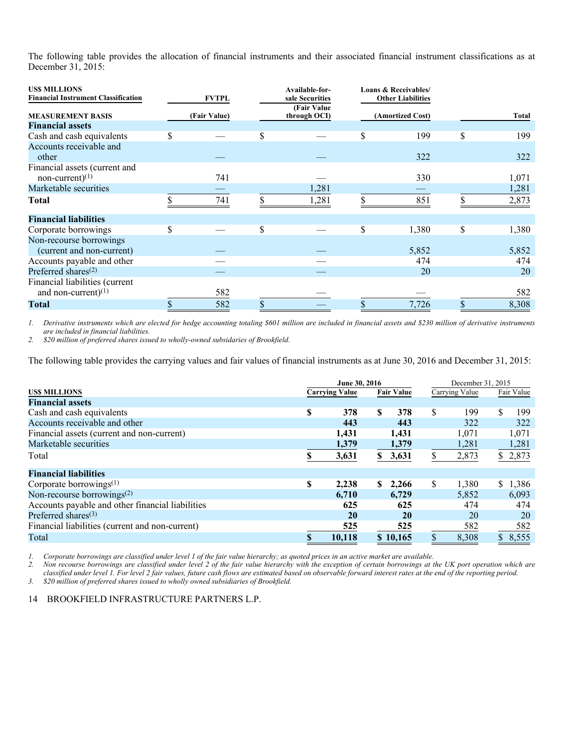The following table provides the allocation of financial instruments and their associated financial instrument classifications as at December 31, 2015:

| <b>USS MILLIONS</b><br><b>Financial Instrument Classification</b> | <b>FVTPL</b> | Available-for-<br>sale Securities | Loans & Receivables/<br><b>Other Liabilities</b> |             |
|-------------------------------------------------------------------|--------------|-----------------------------------|--------------------------------------------------|-------------|
| <b>MEASUREMENT BASIS</b>                                          | (Fair Value) | (Fair Value)<br>through OCI)      | (Amortized Cost)                                 | Total       |
| <b>Financial assets</b>                                           |              |                                   |                                                  |             |
| Cash and cash equivalents                                         |              | \$                                | \$<br>199                                        | \$<br>199   |
| Accounts receivable and<br>other                                  |              |                                   | 322                                              | 322         |
| Financial assets (current and<br>non-current) $(1)$               | 741          |                                   | 330                                              | 1,071       |
| Marketable securities                                             |              | 1,281                             |                                                  | 1,281       |
| Total                                                             | 741          | 1,281                             | 851                                              | 2,873       |
| <b>Financial liabilities</b>                                      |              |                                   |                                                  |             |
| Corporate borrowings                                              | \$           | \$                                | \$<br>1,380                                      | \$<br>1,380 |
| Non-recourse borrowings                                           |              |                                   |                                                  |             |
| (current and non-current)                                         |              |                                   | 5,852                                            | 5,852       |
| Accounts payable and other                                        |              |                                   | 474                                              | 474         |
| Preferred shares <sup><math>(2)</math></sup>                      |              |                                   | 20                                               | 20          |
| Financial liabilities (current<br>and non-current) <sup>(1)</sup> | 582          |                                   |                                                  | 582         |
| Total                                                             | 582          |                                   | 7,726                                            | 8,308       |

*1. Derivative instruments which are elected for hedge accounting totaling \$601 million are included in financial assets and \$230 million of derivative instruments are included in financial liabilities.* 

*2. \$20 million of preferred shares issued to wholly-owned subsidaries of Brookfield.* 

The following table provides the carrying values and fair values of financial instruments as at June 30, 2016 and December 31, 2015:

|                                                  | June 30, 2016 |                       |                   |          |    | December 31, 2015 |    |            |  |  |
|--------------------------------------------------|---------------|-----------------------|-------------------|----------|----|-------------------|----|------------|--|--|
| <b>USS MILLIONS</b>                              |               | <b>Carrying Value</b> | <b>Fair Value</b> |          |    | Carrying Value    |    | Fair Value |  |  |
| <b>Financial assets</b>                          |               |                       |                   |          |    |                   |    |            |  |  |
| Cash and cash equivalents                        | S             | 378                   | S                 | 378      | \$ | 199               | \$ | 199        |  |  |
| Accounts receivable and other                    |               | 443                   |                   | 443      |    | 322               |    | 322        |  |  |
| Financial assets (current and non-current)       |               | 1,431                 |                   | 1,431    |    | 1,071             |    | 1,071      |  |  |
| Marketable securities                            |               | 1,379                 |                   | 1,379    |    | 1,281             |    | 1,281      |  |  |
| Total                                            |               | 3,631                 | S.                | 3,631    | \$ | 2,873             |    | \$2,873    |  |  |
| <b>Financial liabilities</b>                     |               |                       |                   |          |    |                   |    |            |  |  |
| Corporate borrowings $(1)$                       | S             | 2,238                 | $\mathbf S$       | 2,266    | \$ | 1,380             |    | \$1,386    |  |  |
| Non-recourse borrowings <sup>(2)</sup>           |               | 6,710                 |                   | 6.729    |    | 5,852             |    | 6,093      |  |  |
| Accounts payable and other financial liabilities |               | 625                   |                   | 625      |    | 474               |    | 474        |  |  |
| Preferred shares $(3)$                           |               | 20                    |                   | 20       |    | 20                |    | 20         |  |  |
| Financial liabilities (current and non-current)  |               | 525                   |                   | 525      |    | 582               |    | 582        |  |  |
| Total                                            |               | 10,118                |                   | \$10,165 | \$ | 8,308             |    | \$8,555    |  |  |

*1. Corporate borrowings are classified under level 1 of the fair value hierarchy; as quoted prices in an active market are available.* 

*2. Non recourse borrowings are classified under level 2 of the fair value hierarchy with the exception of certain borrowings at the UK port operation which are classified under level 1. For level 2 fair values, future cash flows are estimated based on observable forward interest rates at the end of the reporting period.* 

*3. \$20 million of preferred shares issued to wholly owned subsidiaries of Brookfield.*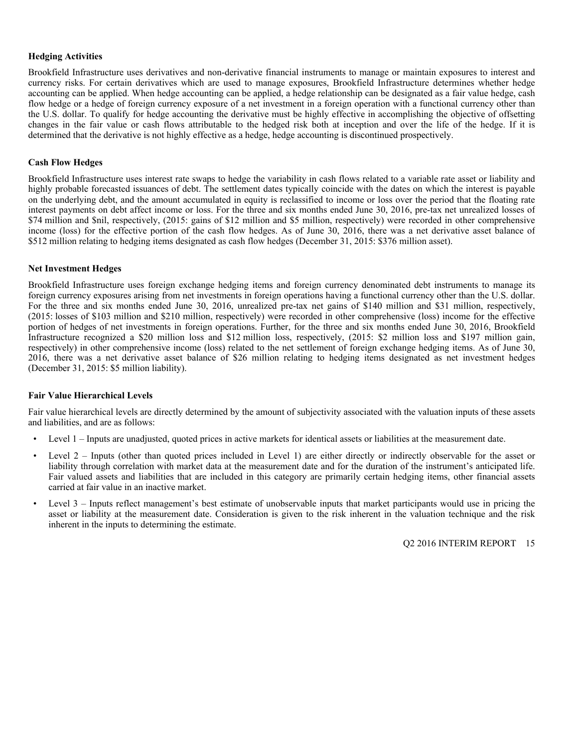### **Hedging Activities**

Brookfield Infrastructure uses derivatives and non-derivative financial instruments to manage or maintain exposures to interest and currency risks. For certain derivatives which are used to manage exposures, Brookfield Infrastructure determines whether hedge accounting can be applied. When hedge accounting can be applied, a hedge relationship can be designated as a fair value hedge, cash flow hedge or a hedge of foreign currency exposure of a net investment in a foreign operation with a functional currency other than the U.S. dollar. To qualify for hedge accounting the derivative must be highly effective in accomplishing the objective of offsetting changes in the fair value or cash flows attributable to the hedged risk both at inception and over the life of the hedge. If it is determined that the derivative is not highly effective as a hedge, hedge accounting is discontinued prospectively.

#### **Cash Flow Hedges**

Brookfield Infrastructure uses interest rate swaps to hedge the variability in cash flows related to a variable rate asset or liability and highly probable forecasted issuances of debt. The settlement dates typically coincide with the dates on which the interest is payable on the underlying debt, and the amount accumulated in equity is reclassified to income or loss over the period that the floating rate interest payments on debt affect income or loss. For the three and six months ended June 30, 2016, pre-tax net unrealized losses of \$74 million and \$nil, respectively, (2015: gains of \$12 million and \$5 million, respectively) were recorded in other comprehensive income (loss) for the effective portion of the cash flow hedges. As of June 30, 2016, there was a net derivative asset balance of \$512 million relating to hedging items designated as cash flow hedges (December 31, 2015: \$376 million asset).

#### **Net Investment Hedges**

Brookfield Infrastructure uses foreign exchange hedging items and foreign currency denominated debt instruments to manage its foreign currency exposures arising from net investments in foreign operations having a functional currency other than the U.S. dollar. For the three and six months ended June 30, 2016, unrealized pre-tax net gains of \$140 million and \$31 million, respectively, (2015: losses of \$103 million and \$210 million, respectively) were recorded in other comprehensive (loss) income for the effective portion of hedges of net investments in foreign operations. Further, for the three and six months ended June 30, 2016, Brookfield Infrastructure recognized a \$20 million loss and \$12 million loss, respectively, (2015: \$2 million loss and \$197 million gain, respectively) in other comprehensive income (loss) related to the net settlement of foreign exchange hedging items. As of June 30, 2016, there was a net derivative asset balance of \$26 million relating to hedging items designated as net investment hedges (December 31, 2015: \$5 million liability).

#### **Fair Value Hierarchical Levels**

Fair value hierarchical levels are directly determined by the amount of subjectivity associated with the valuation inputs of these assets and liabilities, and are as follows:

- Level 1 Inputs are unadjusted, quoted prices in active markets for identical assets or liabilities at the measurement date.
- Level 2 Inputs (other than quoted prices included in Level 1) are either directly or indirectly observable for the asset or liability through correlation with market data at the measurement date and for the duration of the instrument's anticipated life. Fair valued assets and liabilities that are included in this category are primarily certain hedging items, other financial assets carried at fair value in an inactive market.
- Level 3 Inputs reflect management's best estimate of unobservable inputs that market participants would use in pricing the asset or liability at the measurement date. Consideration is given to the risk inherent in the valuation technique and the risk inherent in the inputs to determining the estimate.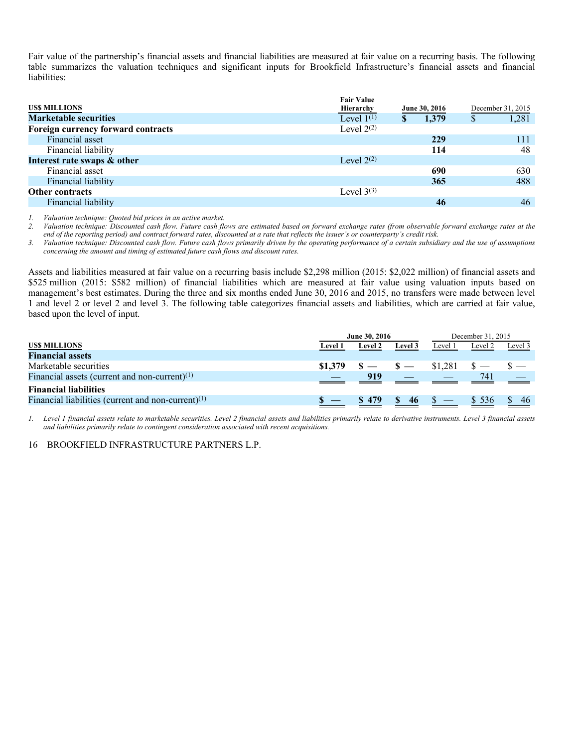Fair value of the partnership's financial assets and financial liabilities are measured at fair value on a recurring basis. The following table summarizes the valuation techniques and significant inputs for Brookfield Infrastructure's financial assets and financial liabilities:

| <b>Fair Value</b> |   |       |               |       |  |                   |
|-------------------|---|-------|---------------|-------|--|-------------------|
| Hierarchy         |   |       |               |       |  | December 31, 2015 |
| Level $1^{(1)}$   | S | 1,379 | \$            | 1,281 |  |                   |
| Level $2^{(2)}$   |   |       |               |       |  |                   |
|                   |   | 229   |               | 111   |  |                   |
|                   |   | 114   |               | 48    |  |                   |
| Level $2^{(2)}$   |   |       |               |       |  |                   |
|                   |   | 690   |               | 630   |  |                   |
|                   |   | 365   |               | 488   |  |                   |
| Level $3^{(3)}$   |   |       |               |       |  |                   |
|                   |   | 46    |               | 46    |  |                   |
|                   |   |       | June 30, 2016 |       |  |                   |

*1. Valuation technique: Quoted bid prices in an active market.* 

*2. Valuation technique: Discounted cash flow. Future cash flows are estimated based on forward exchange rates (from observable forward exchange rates at the end of the reporting period) and contract forward rates, discounted at a rate that reflects the issuer's or counterparty's credit risk.* 

*3. Valuation technique: Discounted cash flow. Future cash flows primarily driven by the operating performance of a certain subsidiary and the use of assumptions concerning the amount and timing of estimated future cash flows and discount rates.* 

Assets and liabilities measured at fair value on a recurring basis include \$2,298 million (2015: \$2,022 million) of financial assets and \$525 million (2015: \$582 million) of financial liabilities which are measured at fair value using valuation inputs based on management's best estimates. During the three and six months ended June 30, 2016 and 2015, no transfers were made between level 1 and level 2 or level 2 and level 3. The following table categorizes financial assets and liabilities, which are carried at fair value, based upon the level of input.

|                                                       | June 30, 2016 |                |               | December 31, 2015 |         |         |  |
|-------------------------------------------------------|---------------|----------------|---------------|-------------------|---------|---------|--|
| US\$ MILLIONS                                         | Level 1       | <b>Level 2</b> | Level 3       | Level 1           | Level 2 | Level 3 |  |
| <b>Financial assets</b>                               |               |                |               |                   |         |         |  |
| Marketable securities                                 | \$1,379       |                | $\sim$ $\sim$ | \$1,281           |         |         |  |
| Financial assets (current and non-current) $(1)$      |               | 919            |               |                   | 741     |         |  |
| <b>Financial liabilities</b>                          |               |                |               |                   |         |         |  |
| Financial liabilities (current and non-current) $(1)$ |               | \$479          | -46           |                   | \$ 536  | 46      |  |

*1. Level 1 financial assets relate to marketable securities. Level 2 financial assets and liabilities primarily relate to derivative instruments. Level 3 financial assets and liabilities primarily relate to contingent consideration associated with recent acquisitions.*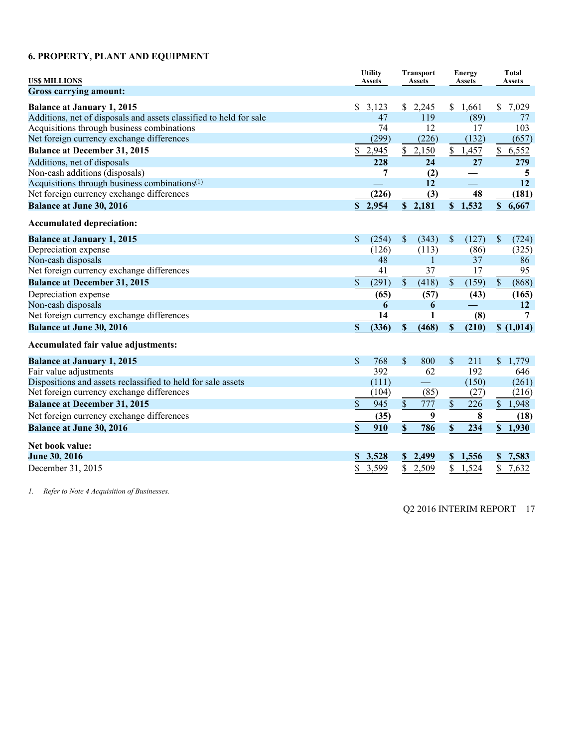# **6. PROPERTY, PLANT AND EQUIPMENT**

| <b>USS MILLIONS</b>                                                | <b>Utility</b><br><b>Assets</b> |       | <b>Transport</b><br>Assets |                           | <b>Energy</b><br>Assets |                           |           |  | <b>Total</b><br><b>Assets</b> |
|--------------------------------------------------------------------|---------------------------------|-------|----------------------------|---------------------------|-------------------------|---------------------------|-----------|--|-------------------------------|
| <b>Gross carrying amount:</b>                                      |                                 |       |                            |                           |                         |                           |           |  |                               |
| <b>Balance at January 1, 2015</b>                                  | \$<br>3,123                     |       | \$2,245                    |                           | \$1,661                 |                           | \$7,029   |  |                               |
| Additions, net of disposals and assets classified to held for sale |                                 | 47    | 119                        |                           | (89)                    |                           | 77        |  |                               |
| Acquisitions through business combinations                         |                                 | 74    | 12                         |                           | 17                      |                           | 103       |  |                               |
| Net foreign currency exchange differences                          |                                 | (299) | (226)                      |                           | (132)                   |                           | (657)     |  |                               |
| <b>Balance at December 31, 2015</b>                                | \$<br>2,945                     |       | \$<br>2,150                |                           | \$1,457                 |                           | \$6,552   |  |                               |
| Additions, net of disposals                                        |                                 | 228   | 24                         |                           | 27                      |                           | 279       |  |                               |
| Non-cash additions (disposals)                                     |                                 | 7     | (2)                        |                           |                         |                           | 5         |  |                               |
| Acquisitions through business combinations <sup>(1)</sup>          |                                 |       | 12                         |                           |                         |                           | 12        |  |                               |
| Net foreign currency exchange differences                          |                                 | (226) | (3)                        |                           | 48                      |                           | (181)     |  |                               |
| <b>Balance at June 30, 2016</b>                                    | \$2,954                         |       | \$2,181                    |                           | \$1,532                 |                           | \$6,667   |  |                               |
| <b>Accumulated depreciation:</b>                                   |                                 |       |                            |                           |                         |                           |           |  |                               |
| <b>Balance at January 1, 2015</b>                                  | <sup>\$</sup>                   | (254) | \$<br>(343)                | \$                        | (127)                   | \$                        | (724)     |  |                               |
| Depreciation expense                                               |                                 | (126) | (113)                      |                           | (86)                    |                           | (325)     |  |                               |
| Non-cash disposals                                                 |                                 | 48    | $\mathbf{1}$               |                           | 37                      |                           | 86        |  |                               |
| Net foreign currency exchange differences                          |                                 | 41    | 37                         |                           | 17                      |                           | 95        |  |                               |
| <b>Balance at December 31, 2015</b>                                | \$                              | (291) | $\mathsf{\$}$<br>(418)     | $\sqrt{\ }$               | (159)                   | $\mathbb{S}$              | (868)     |  |                               |
| Depreciation expense                                               |                                 | (65)  | (57)                       |                           | (43)                    |                           | (165)     |  |                               |
| Non-cash disposals                                                 |                                 | 6     | 6                          |                           |                         |                           | 12        |  |                               |
| Net foreign currency exchange differences                          |                                 | 14    | 1                          |                           | (8)                     |                           | 7         |  |                               |
| <b>Balance at June 30, 2016</b>                                    | \$                              | (336) | $\mathbf S$<br>(468)       | $\boldsymbol{\mathsf{S}}$ | (210)                   |                           | \$(1,014) |  |                               |
| Accumulated fair value adjustments:                                |                                 |       |                            |                           |                         |                           |           |  |                               |
| <b>Balance at January 1, 2015</b>                                  | $\mathbf{\$}$                   | 768   | $\mathsf{\$}$<br>800       | \$                        | 211                     | $\mathsf{\$}$             | 1,779     |  |                               |
| Fair value adjustments                                             |                                 | 392   | 62                         |                           | 192                     |                           | 646       |  |                               |
| Dispositions and assets reclassified to held for sale assets       |                                 | (111) | $\overline{\phantom{0}}$   |                           | (150)                   |                           | (261)     |  |                               |
| Net foreign currency exchange differences                          |                                 | (104) | (85)                       |                           | (27)                    |                           | (216)     |  |                               |
| <b>Balance at December 31, 2015</b>                                | $\mathbb{S}$                    | 945   | \$<br>777                  | \$                        | 226                     |                           | \$1,948   |  |                               |
| Net foreign currency exchange differences                          |                                 | (35)  | 9                          |                           | $\bf{8}$                |                           | (18)      |  |                               |
| <b>Balance at June 30, 2016</b>                                    | \$                              | 910   | \$<br>786                  | \$                        | 234                     | $\boldsymbol{\mathsf{S}}$ | 1,930     |  |                               |
| Net book value:                                                    |                                 |       |                            |                           |                         |                           |           |  |                               |
| June 30, 2016                                                      | 3,528<br>S                      |       | 2,499<br>$\mathbf{s}$      |                           | \$1,556                 | \$                        | 7,583     |  |                               |
| December 31, 2015                                                  | 3,599<br>\$                     |       | \$<br>2,509                | \$                        | 1,524                   | \$                        | 7,632     |  |                               |

*1. Refer to Note 4 Acquisition of Businesses.*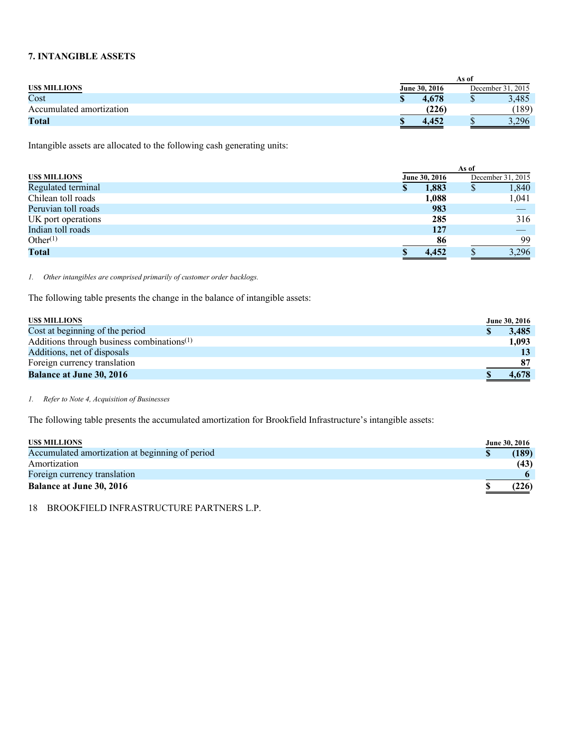# **7. INTANGIBLE ASSETS**

|                          |  |               | As of             |       |  |
|--------------------------|--|---------------|-------------------|-------|--|
| <b>USS MILLIONS</b>      |  | June 30, 2016 | December 31, 2015 |       |  |
| Cost                     |  | 4.678         |                   | 3,485 |  |
| Accumulated amortization |  | (226)         |                   | (189) |  |
| <b>Total</b>             |  | 4.452         |                   | 3,296 |  |

Intangible assets are allocated to the following cash generating units:

| <b>USS MILLIONS</b> |  | June 30, 2016 |   | December 31, 2015 |
|---------------------|--|---------------|---|-------------------|
| Regulated terminal  |  | 1,883         | D | 1,840             |
| Chilean toll roads  |  | 1,088         |   | 1,041             |
| Peruvian toll roads |  | 983           |   |                   |
| UK port operations  |  | 285           |   | 316               |
| Indian toll roads   |  | 127           |   |                   |
| Other $(1)$         |  | 86            |   | 99                |
| <b>Total</b>        |  | 4,452         |   | 3,296             |

*1. Other intangibles are comprised primarily of customer order backlogs.* 

The following table presents the change in the balance of intangible assets:

| <b>USS MILLIONS</b>                           | <b>June 30, 2016</b> |
|-----------------------------------------------|----------------------|
| Cost at beginning of the period               | 3.485                |
| Additions through business combinations $(1)$ | 1,093                |
| Additions, net of disposals                   | 13                   |
| Foreign currency translation                  | 87                   |
| <b>Balance at June 30, 2016</b>               | 4,678                |

#### *1. Refer to Note 4, Acquisition of Businesses*

The following table presents the accumulated amortization for Brookfield Infrastructure's intangible assets:

# **USS MILLIONS**

| <b>USS MILLIONS</b>                             | <b>June 30, 2016</b> |
|-------------------------------------------------|----------------------|
| Accumulated amortization at beginning of period | (189)                |
| Amortization                                    | (43)                 |
| Foreign currency translation                    |                      |
| <b>Balance at June 30, 2016</b>                 | (226)                |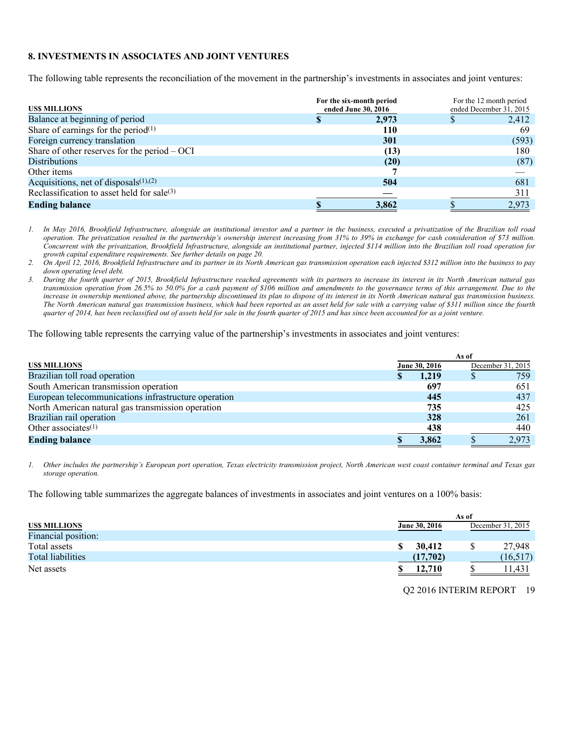# **8. INVESTMENTS IN ASSOCIATES AND JOINT VENTURES**

The following table represents the reconciliation of the movement in the partnership's investments in associates and joint ventures:

| <b>USS MILLIONS</b>                            | For the six-month period<br>ended June 30, 2016 | For the 12 month period<br>ended December 31, 2015 |       |  |
|------------------------------------------------|-------------------------------------------------|----------------------------------------------------|-------|--|
| Balance at beginning of period                 | 2.973                                           |                                                    | 2,412 |  |
| Share of earnings for the period $(1)$         | 110                                             |                                                    | 69    |  |
| Foreign currency translation                   | 301                                             |                                                    | (593) |  |
| Share of other reserves for the period $-$ OCI | (13)                                            |                                                    | 180   |  |
| <b>Distributions</b>                           | (20)                                            |                                                    | (87)  |  |
| Other items                                    |                                                 |                                                    |       |  |
| Acquisitions, net of disposals $(1)$ , $(2)$   | 504                                             |                                                    | 681   |  |
| Reclassification to asset held for sale(3)     |                                                 |                                                    | 311   |  |
| <b>Ending balance</b>                          | 3,862                                           |                                                    | 2,973 |  |

*1. In May 2016, Brookfield Infrastructure, alongside an institutional investor and a partner in the business, executed a privatization of the Brazilian toll road operation. The privatization resulted in the partnership's ownership interest increasing from 31% to 39% in exchange for cash consideration of \$73 million. Concurrent with the privatization, Brookfield Infrastructure, alongside an institutional partner, injected \$114 million into the Brazilian toll road operation for growth capital expenditure requirements. See further details on page 20.* 

*2. On April 12, 2016, Brookfield Infrastructure and its partner in its North American gas transmission operation each injected \$312 million into the business to pay down operating level debt.* 

*3. During the fourth quarter of 2015, Brookfield Infrastructure reached agreements with its partners to increase its interest in its North American natural gas transmission operation from 26.5% to 50.0% for a cash payment of \$106 million and amendments to the governance terms of this arrangement. Due to the increase in ownership mentioned above, the partnership discontinued its plan to dispose of its interest in its North American natural gas transmission business. The North American natural gas transmission business, which had been reported as an asset held for sale with a carrying value of \$311 million since the fourth quarter of 2014, has been reclassified out of assets held for sale in the fourth quarter of 2015 and has since been accounted for as a joint venture.* 

The following table represents the carrying value of the partnership's investments in associates and joint ventures:

|                                                      | As of |               |                   |       |  |  |  |  |
|------------------------------------------------------|-------|---------------|-------------------|-------|--|--|--|--|
| <b>USS MILLIONS</b>                                  |       | June 30, 2016 | December 31, 2015 |       |  |  |  |  |
| Brazilian toll road operation                        |       | 1.219         |                   | 759   |  |  |  |  |
| South American transmission operation                |       | 697           |                   | 651   |  |  |  |  |
| European telecommunications infrastructure operation |       | 445           |                   | 437   |  |  |  |  |
| North American natural gas transmission operation    |       | 735           |                   | 425   |  |  |  |  |
| Brazilian rail operation                             |       | 328           |                   | 261   |  |  |  |  |
| Other associates $(1)$                               |       | 438           |                   | 440   |  |  |  |  |
| <b>Ending balance</b>                                |       | 3,862         |                   | 2,973 |  |  |  |  |

*1. Other includes the partnership's European port operation, Texas electricity transmission project, North American west coast container terminal and Texas gas storage operation.* 

The following table summarizes the aggregate balances of investments in associates and joint ventures on a 100% basis:

|                      | As of                |                   |           |  |  |  |  |  |  |
|----------------------|----------------------|-------------------|-----------|--|--|--|--|--|--|
| <b>US\$ MILLIONS</b> | <b>June 30, 2016</b> | December 31, 2015 |           |  |  |  |  |  |  |
| Financial position:  |                      |                   |           |  |  |  |  |  |  |
| Total assets         | 30,412               | S                 | 27.948    |  |  |  |  |  |  |
| Total liabilities    | (17,702)             |                   | (16, 517) |  |  |  |  |  |  |
| Net assets           | 12.710               |                   | 1.431     |  |  |  |  |  |  |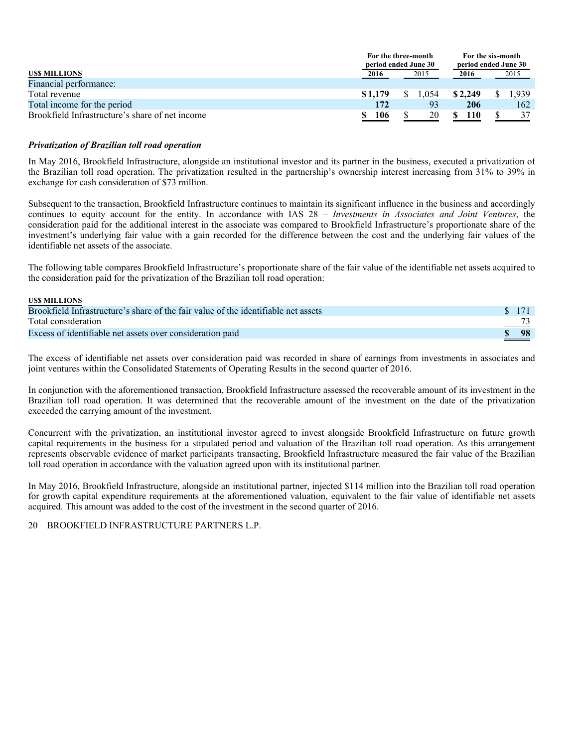|                                                 | For the three-month<br>period ended June 30 |      | For the six-month<br>period ended June 30 |         |  |       |  |
|-------------------------------------------------|---------------------------------------------|------|-------------------------------------------|---------|--|-------|--|
| <b>USS MILLIONS</b>                             | 2016                                        | 2015 |                                           | 2016    |  | 2015  |  |
| Financial performance:                          |                                             |      |                                           |         |  |       |  |
| Total revenue                                   | \$1.179                                     | .054 |                                           | \$2,249 |  | 1.939 |  |
| Total income for the period                     | 172                                         | 93   |                                           | 206     |  | 162   |  |
| Brookfield Infrastructure's share of net income | 106                                         | 20   |                                           | 110     |  | 37    |  |

# *Privatization of Brazilian toll road operation*

**US\$ MILLIONS**

In May 2016, Brookfield Infrastructure, alongside an institutional investor and its partner in the business, executed a privatization of the Brazilian toll road operation. The privatization resulted in the partnership's ownership interest increasing from 31% to 39% in exchange for cash consideration of \$73 million.

Subsequent to the transaction, Brookfield Infrastructure continues to maintain its significant influence in the business and accordingly continues to equity account for the entity. In accordance with IAS 28 – *Investments in Associates and Joint Ventures*, the consideration paid for the additional interest in the associate was compared to Brookfield Infrastructure's proportionate share of the investment's underlying fair value with a gain recorded for the difference between the cost and the underlying fair values of the identifiable net assets of the associate.

The following table compares Brookfield Infrastructure's proportionate share of the fair value of the identifiable net assets acquired to the consideration paid for the privatization of the Brazilian toll road operation:

| $\sim$ \$ 171                       |
|-------------------------------------|
| and the contract of the contract of |
| -98                                 |
|                                     |

The excess of identifiable net assets over consideration paid was recorded in share of earnings from investments in associates and joint ventures within the Consolidated Statements of Operating Results in the second quarter of 2016.

In conjunction with the aforementioned transaction, Brookfield Infrastructure assessed the recoverable amount of its investment in the Brazilian toll road operation. It was determined that the recoverable amount of the investment on the date of the privatization exceeded the carrying amount of the investment.

Concurrent with the privatization, an institutional investor agreed to invest alongside Brookfield Infrastructure on future growth capital requirements in the business for a stipulated period and valuation of the Brazilian toll road operation. As this arrangement represents observable evidence of market participants transacting, Brookfield Infrastructure measured the fair value of the Brazilian toll road operation in accordance with the valuation agreed upon with its institutional partner.

In May 2016, Brookfield Infrastructure, alongside an institutional partner, injected \$114 million into the Brazilian toll road operation for growth capital expenditure requirements at the aforementioned valuation, equivalent to the fair value of identifiable net assets acquired. This amount was added to the cost of the investment in the second quarter of 2016.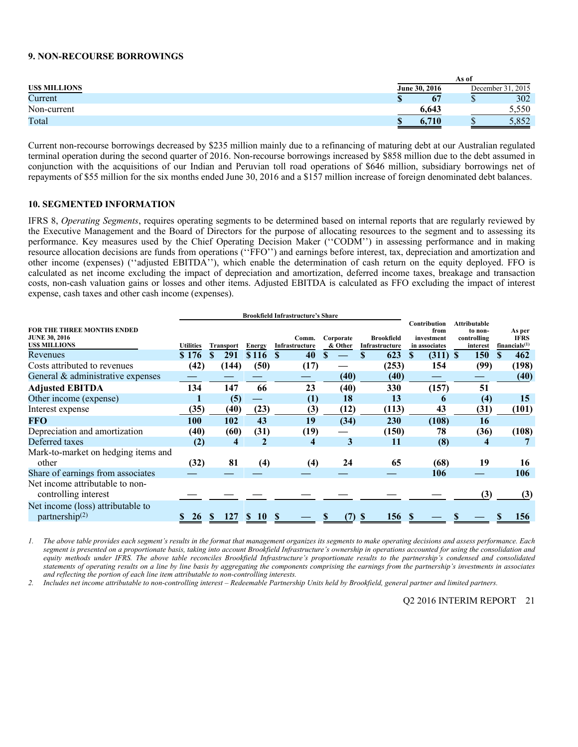#### **9. NON-RECOURSE BORROWINGS**

|                     | As of                |                       |  |  |  |  |  |  |  |
|---------------------|----------------------|-----------------------|--|--|--|--|--|--|--|
| <b>USS MILLIONS</b> | <b>June 30, 2016</b> | .2015<br>December 31. |  |  |  |  |  |  |  |
| Current             | 67                   | 302<br>w              |  |  |  |  |  |  |  |
| Non-current         | 6.64?                | 5,550                 |  |  |  |  |  |  |  |
| Total               | 710                  | Q52<br>.oj 2          |  |  |  |  |  |  |  |

Current non-recourse borrowings decreased by \$235 million mainly due to a refinancing of maturing debt at our Australian regulated terminal operation during the second quarter of 2016. Non-recourse borrowings increased by \$858 million due to the debt assumed in conjunction with the acquisitions of our Indian and Peruvian toll road operations of \$646 million, subsidiary borrowings net of repayments of \$55 million for the six months ended June 30, 2016 and a \$157 million increase of foreign denominated debt balances.

#### **10. SEGMENTED INFORMATION**

IFRS 8, *Operating Segments*, requires operating segments to be determined based on internal reports that are regularly reviewed by the Executive Management and the Board of Directors for the purpose of allocating resources to the segment and to assessing its performance. Key measures used by the Chief Operating Decision Maker (''CODM'') in assessing performance and in making resource allocation decisions are funds from operations (''FFO'') and earnings before interest, tax, depreciation and amortization and other income (expenses) (''adjusted EBITDA''), which enable the determination of cash return on the equity deployed. FFO is calculated as net income excluding the impact of depreciation and amortization, deferred income taxes, breakage and transaction costs, non-cash valuation gains or losses and other items. Adjusted EBITDA is calculated as FFO excluding the impact of interest expense, cash taxes and other cash income (expenses).

|                                                                                  |                  |                  | <b>Brookfield Infrastructure's Share</b> |                         |                      |                                     |                                                     |                                                           |                                           |
|----------------------------------------------------------------------------------|------------------|------------------|------------------------------------------|-------------------------|----------------------|-------------------------------------|-----------------------------------------------------|-----------------------------------------------------------|-------------------------------------------|
| <b>FOR THE THREE MONTHS ENDED</b><br><b>JUNE 30, 2016</b><br><b>USS MILLIONS</b> | <b>Utilities</b> | <b>Transport</b> | Energy                                   | Comm.<br>Infrastructure | Corporate<br>& Other | <b>Brookfield</b><br>Infrastructure | Contribution<br>from<br>investment<br>in associates | <b>Attributable</b><br>to non-<br>controlling<br>interest | As per<br><b>IFRS</b><br>financials $(1)$ |
| Revenues                                                                         | \$176            | \$.<br>291       | \$116                                    | 40<br><b>S</b>          | S.                   | 623<br>S                            | $(311)$ \$<br><b>S</b>                              | <b>150</b>                                                | 462<br>S                                  |
| Costs attributed to revenues                                                     | (42)             | (144)            | (50)                                     | (17)                    |                      | (253)                               | 154                                                 | (99)                                                      | (198)                                     |
| General & administrative expenses                                                |                  |                  |                                          |                         | (40)                 | (40)                                |                                                     |                                                           | (40)                                      |
| <b>Adjusted EBITDA</b>                                                           | 134              | 147              | 66                                       | 23                      | (40)                 | 330                                 | (157)                                               | 51                                                        |                                           |
| Other income (expense)                                                           |                  | (5)              |                                          | (1)                     | 18                   | 13                                  | 6                                                   | (4)                                                       | 15                                        |
| Interest expense                                                                 | (35)             | (40)             | (23)                                     | (3)                     | (12)                 | (113)                               | 43                                                  | (31)                                                      | (101)                                     |
| FFO                                                                              | 100              | 102              | 43                                       | 19                      | (34)                 | 230                                 | (108)                                               | 16                                                        |                                           |
| Depreciation and amortization                                                    | (40)             | (60)             | (31)                                     | (19)                    |                      | (150)                               | 78                                                  | (36)                                                      | (108)                                     |
| Deferred taxes                                                                   | (2)              | 4                | 2                                        | 4                       | 3                    | 11                                  | (8)                                                 | 4                                                         |                                           |
| Mark-to-market on hedging items and                                              |                  |                  |                                          |                         |                      |                                     |                                                     |                                                           |                                           |
| other                                                                            | (32)             | 81               | (4)                                      | (4)                     | 24                   | 65                                  | (68)                                                | 19                                                        | 16                                        |
| Share of earnings from associates                                                |                  |                  |                                          |                         |                      |                                     | 106                                                 |                                                           | 106                                       |
| Net income attributable to non-<br>controlling interest                          |                  |                  |                                          |                         |                      |                                     |                                                     | (3)                                                       | (3)                                       |
| Net income (loss) attributable to<br>partnership $(2)$                           | 26               | 127<br>S         | 10                                       |                         | (7)                  | 156<br><sup>8</sup>                 |                                                     |                                                           | 156                                       |

*1. The above table provides each segment's results in the format that management organizes its segments to make operating decisions and assess performance. Each segment is presented on a proportionate basis, taking into account Brookfield Infrastructure's ownership in operations accounted for using the consolidation and equity methods under IFRS. The above table reconciles Brookfield Infrastructure's proportionate results to the partnership's condensed and consolidated statements of operating results on a line by line basis by aggregating the components comprising the earnings from the partnership's investments in associates and reflecting the portion of each line item attributable to non-controlling interests.* 

*2. Includes net income attributable to non-controlling interest – Redeemable Partnership Units held by Brookfield, general partner and limited partners.*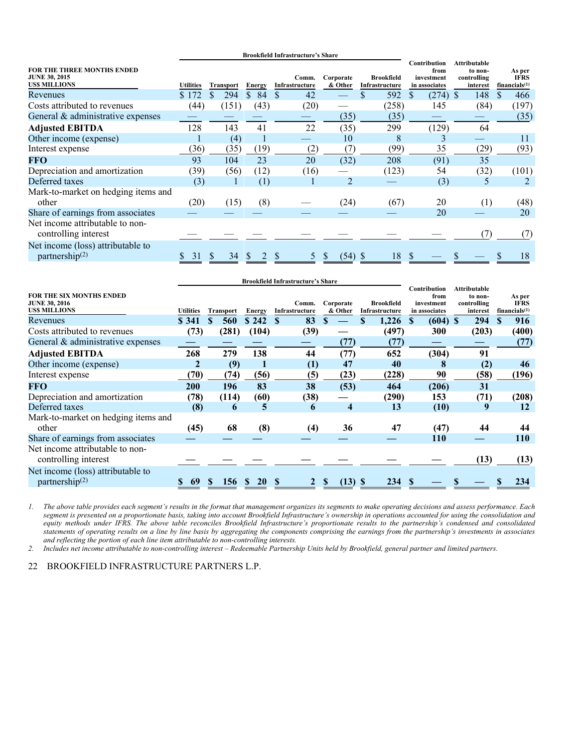|                                                                                  |                  |                  |          | <b>Brookfield Infrastructure's Share</b> |                      |                                     |                                                            |                                                           |                                           |
|----------------------------------------------------------------------------------|------------------|------------------|----------|------------------------------------------|----------------------|-------------------------------------|------------------------------------------------------------|-----------------------------------------------------------|-------------------------------------------|
| <b>FOR THE THREE MONTHS ENDED</b><br><b>JUNE 30, 2015</b><br><b>USS MILLIONS</b> | <b>Utilities</b> | <b>Transport</b> | Energy   | Comm.<br>Infrastructure                  | Corporate<br>& Other | <b>Brookfield</b><br>Infrastructure | <b>Contribution</b><br>from<br>investment<br>in associates | <b>Attributable</b><br>to non-<br>controlling<br>interest | As per<br><b>IFRS</b><br>financials $(1)$ |
| <b>Revenues</b>                                                                  | \$172            | 294              | 84<br>\$ | 42<br>S                                  |                      | 592                                 | (274)<br>S                                                 | 148<br>-S                                                 | \$.<br>466                                |
| Costs attributed to revenues                                                     | (44)             | (151)            | (43)     | (20)                                     |                      | (258)                               | 145                                                        | (84)                                                      | (197)                                     |
| General & administrative expenses                                                |                  |                  |          |                                          | (35)                 | (35)                                |                                                            |                                                           | (35)                                      |
| <b>Adjusted EBITDA</b>                                                           | 128              | 143              | 41       | 22                                       | (35)                 | 299                                 | (129)                                                      | 64                                                        |                                           |
| Other income (expense)                                                           |                  | (4)              |          |                                          | 10                   | 8                                   | 3                                                          |                                                           | 11                                        |
| Interest expense                                                                 | (36)             | (35)             | (19)     | (2)                                      | (7                   | (99)                                | 35                                                         | (29)                                                      | (93)                                      |
| <b>FFO</b>                                                                       | 93               | 104              | 23       | 20                                       | (32)                 | 208                                 | (91)                                                       | 35                                                        |                                           |
| Depreciation and amortization                                                    | (39)             | (56)             | (12)     | (16)                                     |                      | (123)                               | 54                                                         | (32)                                                      | (101)                                     |
| Deferred taxes                                                                   | (3)              |                  | (1)      |                                          | $\overline{2}$       |                                     | (3)                                                        | 5                                                         |                                           |
| Mark-to-market on hedging items and<br>other                                     | (20)             | (15)             | (8)      |                                          | (24)                 | (67)                                | 20                                                         | (1)                                                       | (48)                                      |
| Share of earnings from associates                                                |                  |                  |          |                                          |                      |                                     | 20                                                         |                                                           | 20                                        |
| Net income attributable to non-<br>controlling interest                          |                  |                  |          |                                          |                      |                                     |                                                            | (7)                                                       | (7)                                       |
| Net income (loss) attributable to<br>partnership $(2)$                           | 31               | 34<br>P          |          |                                          | (54)                 | 18<br>-8                            |                                                            |                                                           | 18                                        |

|                                                                                |                  |                  |               | <b>Brookfield Infrastructure's Share</b> |                         |                                     |                                                     |                                                           |                                           |
|--------------------------------------------------------------------------------|------------------|------------------|---------------|------------------------------------------|-------------------------|-------------------------------------|-----------------------------------------------------|-----------------------------------------------------------|-------------------------------------------|
| <b>FOR THE SIX MONTHS ENDED</b><br><b>JUNE 30, 2016</b><br><b>USS MILLIONS</b> | <b>Utilities</b> | <b>Transport</b> | <b>Energy</b> | Comm.<br>Infrastructure                  | Corporate<br>& Other    | <b>Brookfield</b><br>Infrastructure | Contribution<br>from<br>investment<br>in associates | <b>Attributable</b><br>to non-<br>controlling<br>interest | As per<br><b>IFRS</b><br>financials $(1)$ |
| Revenues                                                                       | \$341            | 560              | \$242         | 83<br>S                                  | \$                      | 1,226                               | $(604)$ \$<br><sup>S</sup>                          | 294                                                       | 916<br><b>S</b>                           |
| Costs attributed to revenues                                                   | (73)             | (281)            | (104)         | (39)                                     |                         | (497)                               | <b>300</b>                                          | (203)                                                     | (400)                                     |
| General & administrative expenses                                              |                  |                  |               |                                          | (77)                    | (77)                                |                                                     |                                                           | (77)                                      |
| <b>Adjusted EBITDA</b>                                                         | 268              | 279              | 138           | 44                                       | (77)                    | 652                                 | (304)                                               | 91                                                        |                                           |
| Other income (expense)                                                         |                  | (9)              |               | (1)                                      | 47                      | 40                                  | 8                                                   | (2)                                                       | 46                                        |
| Interest expense                                                               | (70)             | (74)             | (56)          | (5)                                      | (23)                    | (228)                               | 90                                                  | (58)                                                      | (196)                                     |
| FFO                                                                            | 200              | 196              | 83            | 38                                       | (53)                    | 464                                 | (206)                                               | 31                                                        |                                           |
| Depreciation and amortization                                                  | (78)             | (114)            | (60)          | (38)                                     |                         | (290)                               | 153                                                 | (71)                                                      | (208)                                     |
| Deferred taxes                                                                 | (8)              | 6                | 5             | 6                                        | $\overline{\mathbf{4}}$ | 13                                  | (10)                                                | 9                                                         | 12                                        |
| Mark-to-market on hedging items and<br>other                                   | (45)             | 68               | (8)           | (4)                                      | 36                      | 47                                  | (47)                                                | 44                                                        | 44                                        |
| Share of earnings from associates                                              |                  |                  |               |                                          |                         |                                     | <b>110</b>                                          |                                                           | <b>110</b>                                |
| Net income attributable to non-<br>controlling interest                        |                  |                  |               |                                          |                         |                                     |                                                     | (13)                                                      | (13)                                      |
| Net income (loss) attributable to<br>partnership <sup>(2)</sup>                | 69               | 156              | <b>20</b>     |                                          | (13)                    | 234                                 |                                                     |                                                           | 234                                       |

*1. The above table provides each segment's results in the format that management organizes its segments to make operating decisions and assess performance. Each segment is presented on a proportionate basis, taking into account Brookfield Infrastructure's ownership in operations accounted for using the consolidation and equity methods under IFRS. The above table reconciles Brookfield Infrastructure's proportionate results to the partnership's condensed and consolidated statements of operating results on a line by line basis by aggregating the components comprising the earnings from the partnership's investments in associates and reflecting the portion of each line item attributable to non-controlling interests.* 

*2. Includes net income attributable to non-controlling interest – Redeemable Partnership Units held by Brookfield, general partner and limited partners.*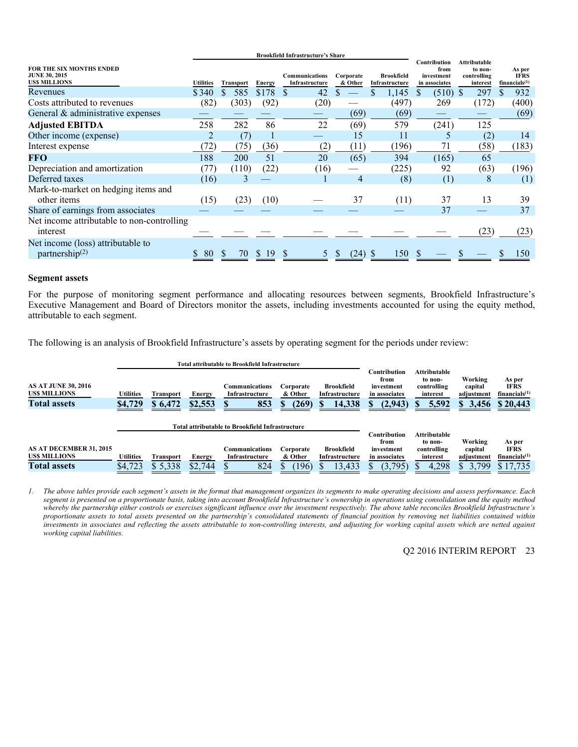|                                                                                |                  |                  |        | <b>Brookfield Infrastructure's Share</b> |                      |                                     |                                                     |                                                           |                                                    |  |
|--------------------------------------------------------------------------------|------------------|------------------|--------|------------------------------------------|----------------------|-------------------------------------|-----------------------------------------------------|-----------------------------------------------------------|----------------------------------------------------|--|
| <b>FOR THE SIX MONTHS ENDED</b><br><b>JUNE 30, 2015</b><br><b>USS MILLIONS</b> | <b>Utilities</b> | <b>Transport</b> | Energy | <b>Communications</b><br>Infrastructure  | Corporate<br>& Other | <b>Brookfield</b><br>Infrastructure | Contribution<br>from<br>investment<br>in associates | <b>Attributable</b><br>to non-<br>controlling<br>interest | As per<br><b>IFRS</b><br>financials <sup>(1)</sup> |  |
| Revenues                                                                       | \$340            | 585              | \$178  | 42<br>S                                  |                      | 1,145                               | $(510)$ \$<br><sup>8</sup>                          | 297                                                       | 932                                                |  |
| Costs attributed to revenues                                                   | (82)             | (303)            | (92)   | (20)                                     |                      | (497)                               | 269                                                 | (172)                                                     | (400)                                              |  |
| General & administrative expenses                                              |                  |                  |        |                                          | (69)                 | (69)                                |                                                     |                                                           | (69)                                               |  |
| <b>Adjusted EBITDA</b>                                                         | 258              | 282              | 86     | 22                                       | (69)                 | 579                                 | (241)                                               | 125                                                       |                                                    |  |
| Other income (expense)                                                         |                  | (7)              |        |                                          | 15                   | 11                                  | 5                                                   | (2)                                                       | 14                                                 |  |
| Interest expense                                                               | (72)             | (75)             | (36)   | (2)                                      | (11)                 | (196)                               | 71                                                  | (58)                                                      | (183)                                              |  |
| FFO                                                                            | 188              | 200              | 51     | 20                                       | (65)                 | 394                                 | (165)                                               | 65                                                        |                                                    |  |
| Depreciation and amortization                                                  | (77)             | (110)            | (22)   | (16)                                     |                      | (225)                               | 92                                                  | (63)                                                      | (196)                                              |  |
| Deferred taxes                                                                 | (16)             | 3                |        |                                          | 4                    | (8)                                 | (1)                                                 | 8                                                         | (1)                                                |  |
| Mark-to-market on hedging items and                                            |                  |                  |        |                                          |                      |                                     |                                                     |                                                           |                                                    |  |
| other <i>items</i>                                                             | (15)             | (23)             | (10)   |                                          | 37                   | (11)                                | 37                                                  | 13                                                        | 39                                                 |  |
| Share of earnings from associates                                              |                  |                  |        |                                          |                      |                                     | 37                                                  |                                                           | 37                                                 |  |
| Net income attributable to non-controlling<br>interest                         |                  |                  |        |                                          |                      |                                     |                                                     | (23)                                                      | (23)                                               |  |
| Net income (loss) attributable to<br>partnership $(2)$                         | 80               | 70<br>ĴЬ.        | 19     |                                          | (24)                 | 150                                 |                                                     |                                                           | 150                                                |  |

#### **Segment assets**

For the purpose of monitoring segment performance and allocating resources between segments, Brookfield Infrastructure's Executive Management and Board of Directors monitor the assets, including investments accounted for using the equity method, attributable to each segment.

The following is an analysis of Brookfield Infrastructure's assets by operating segment for the periods under review:

|                                                                          |                      |                             | <b>Total attributable to Brookfield Infrastructure</b> |                                                        |                                    |                                                    |                                                                |                                                             |                                                 |                                                                |
|--------------------------------------------------------------------------|----------------------|-----------------------------|--------------------------------------------------------|--------------------------------------------------------|------------------------------------|----------------------------------------------------|----------------------------------------------------------------|-------------------------------------------------------------|-------------------------------------------------|----------------------------------------------------------------|
| <b>AS AT JUNE 30, 2016</b><br><b>USS MILLIONS</b><br><b>Total assets</b> | Utilities<br>\$4,729 | <b>Transport</b><br>\$6,472 | Energy<br>\$2,553                                      | Communications<br>Infrastructure<br>853                | Corporate<br>& Other<br>(269)<br>D | <b>Brookfield</b><br>Infrastructure<br>14,338<br>æ | Contribution<br>from<br>investment<br>in associates<br>(2,943) | Attributable<br>to non-<br>controlling<br>interest<br>5,592 | Working<br>capital<br>adjustment<br>3,456<br>S. | As per<br><b>IFRS</b><br>financials <sup>(1)</sup><br>\$20,443 |
|                                                                          |                      |                             |                                                        | <b>Total attributable to Brookfield Infrastructure</b> |                                    |                                                    |                                                                |                                                             |                                                 |                                                                |
| <b>AS AT DECEMBER 31, 2015</b>                                           |                      |                             |                                                        | Communications                                         | Corporate                          | <b>Brookfield</b>                                  | Contribution<br>from<br>investment                             | Attributable<br>to non-<br>controlling                      | Working<br>capital                              | As per<br><b>IFRS</b>                                          |
| <b>USS MILLIONS</b>                                                      | Utilities            | Transport                   | Energy                                                 | Infrastructure                                         | & Other                            | Infrastructure                                     | in associates                                                  | interest                                                    | adjustment                                      | financials <sup>(1)</sup>                                      |
| <b>Total assets</b>                                                      | \$4,723              | \$5,338                     | \$2,744                                                | 824                                                    | (196)                              | 13,433                                             | (3,795)                                                        | 4,298                                                       | 3,799<br>\$.                                    | \$17.735                                                       |

*1. The above tables provide each segment's assets in the format that management organizes its segments to make operating decisions and assess performance. Each segment is presented on a proportionate basis, taking into account Brookfield Infrastructure's ownership in operations using consolidation and the equity method whereby the partnership either controls or exercises significant influence over the investment respectively. The above table reconciles Brookfield Infrastructure's proportionate assets to total assets presented on the partnership's consolidated statements of financial position by removing net liabilities contained within investments in associates and reflecting the assets attributable to non-controlling interests, and adjusting for working capital assets which are netted against working capital liabilities.*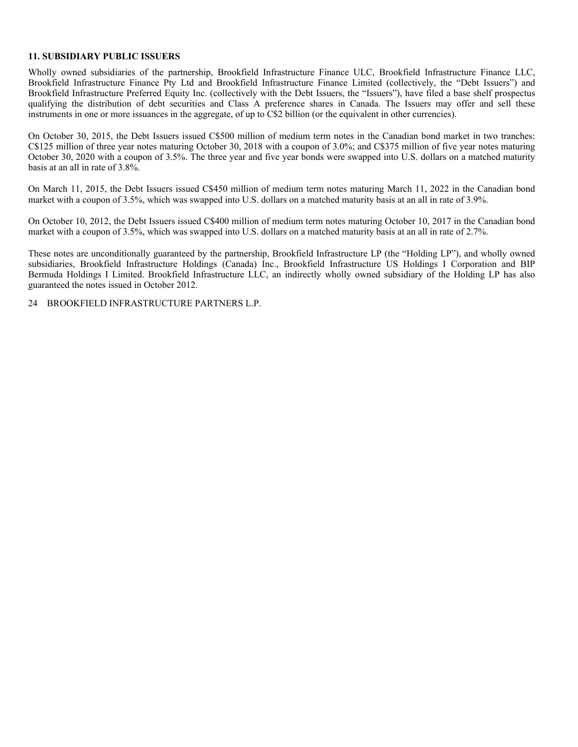#### **11. SUBSIDIARY PUBLIC ISSUERS**

Wholly owned subsidiaries of the partnership, Brookfield Infrastructure Finance ULC, Brookfield Infrastructure Finance LLC, Brookfield Infrastructure Finance Pty Ltd and Brookfield Infrastructure Finance Limited (collectively, the "Debt Issuers") and Brookfield Infrastructure Preferred Equity Inc. (collectively with the Debt Issuers, the "Issuers"), have filed a base shelf prospectus qualifying the distribution of debt securities and Class A preference shares in Canada. The Issuers may offer and sell these instruments in one or more issuances in the aggregate, of up to C\$2 billion (or the equivalent in other currencies).

On October 30, 2015, the Debt Issuers issued C\$500 million of medium term notes in the Canadian bond market in two tranches: C\$125 million of three year notes maturing October 30, 2018 with a coupon of 3.0%; and C\$375 million of five year notes maturing October 30, 2020 with a coupon of 3.5%. The three year and five year bonds were swapped into U.S. dollars on a matched maturity basis at an all in rate of 3.8%.

On March 11, 2015, the Debt Issuers issued C\$450 million of medium term notes maturing March 11, 2022 in the Canadian bond market with a coupon of 3.5%, which was swapped into U.S. dollars on a matched maturity basis at an all in rate of 3.9%.

On October 10, 2012, the Debt Issuers issued C\$400 million of medium term notes maturing October 10, 2017 in the Canadian bond market with a coupon of 3.5%, which was swapped into U.S. dollars on a matched maturity basis at an all in rate of 2.7%.

These notes are unconditionally guaranteed by the partnership, Brookfield Infrastructure LP (the "Holding LP"), and wholly owned subsidiaries, Brookfield Infrastructure Holdings (Canada) Inc., Brookfield Infrastructure US Holdings I Corporation and BIP Bermuda Holdings I Limited. Brookfield Infrastructure LLC, an indirectly wholly owned subsidiary of the Holding LP has also guaranteed the notes issued in October 2012.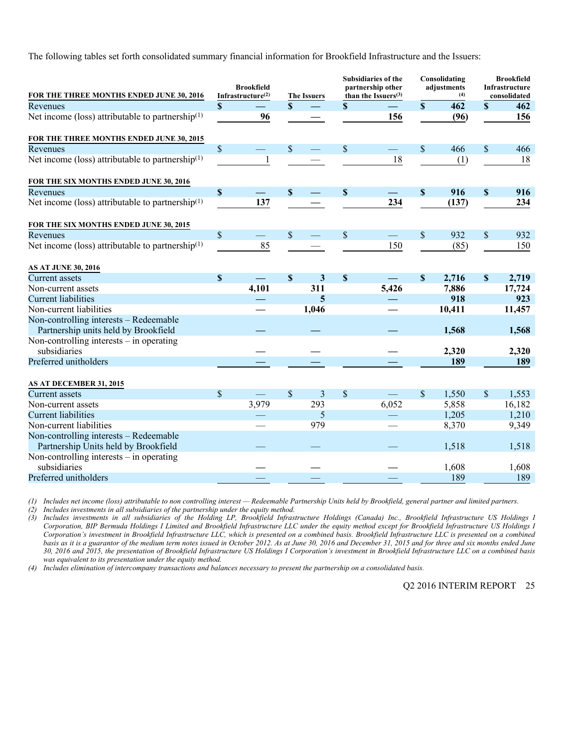The following tables set forth consolidated summary financial information for Brookfield Infrastructure and the Issuers:

| FOR THE THREE MONTHS ENDED JUNE 30, 2016                                       |                           | <b>Brookfield</b><br>Infrastructure $(2)$ |               | <b>The Issuers</b> |             | Subsidiaries of the<br>partnership other<br>than the Issuers $(3)$ |                           | Consolidating<br>adjustments<br>(4) | <b>Brookfield</b><br>Infrastructure<br>consolidated |        |
|--------------------------------------------------------------------------------|---------------------------|-------------------------------------------|---------------|--------------------|-------------|--------------------------------------------------------------------|---------------------------|-------------------------------------|-----------------------------------------------------|--------|
| Revenues                                                                       | \$                        |                                           | $\mathbf{S}$  |                    | $\mathbf S$ |                                                                    | $\mathbf S$               | 462                                 | $\mathbf S$                                         | 462    |
| Net income (loss) attributable to partnership <sup>(1)</sup>                   |                           | 96                                        |               |                    |             | 156                                                                |                           | (96)                                |                                                     | 156    |
| FOR THE THREE MONTHS ENDED JUNE 30, 2015                                       |                           |                                           |               |                    |             |                                                                    |                           |                                     |                                                     |        |
| Revenues                                                                       | \$                        |                                           | $\mathsf{\$}$ |                    | \$          | $\equiv$                                                           | \$                        | 466                                 | $\mathsf{\$}$                                       | 466    |
| Net income (loss) attributable to partnership <sup>(1)</sup>                   |                           | $\mathbf{1}$                              |               |                    |             | 18                                                                 |                           | (1)                                 |                                                     | 18     |
| FOR THE SIX MONTHS ENDED JUNE 30, 2016                                         |                           |                                           |               |                    |             |                                                                    |                           |                                     |                                                     |        |
| Revenues                                                                       | $\boldsymbol{\mathsf{S}}$ |                                           | $\mathbf{s}$  |                    | $\mathbf S$ |                                                                    | $\boldsymbol{\mathsf{S}}$ | 916                                 | $\boldsymbol{\mathsf{S}}$                           | 916    |
| Net income (loss) attributable to partnership $(1)$                            |                           | 137                                       |               |                    |             | 234                                                                |                           | (137)                               |                                                     | 234    |
| FOR THE SIX MONTHS ENDED JUNE 30, 2015                                         |                           |                                           |               |                    |             |                                                                    |                           |                                     |                                                     |        |
| Revenues                                                                       | \$                        |                                           | $\mathbf{\$}$ |                    | \$          |                                                                    | \$                        | 932                                 | \$                                                  | 932    |
| Net income (loss) attributable to partnership $(1)$                            |                           | 85                                        |               |                    |             | 150                                                                |                           | (85)                                |                                                     | 150    |
| <b>AS AT JUNE 30, 2016</b>                                                     |                           |                                           |               |                    |             |                                                                    |                           |                                     |                                                     |        |
| <b>Current</b> assets                                                          | $\boldsymbol{\mathsf{S}}$ |                                           | $\mathbf{s}$  | 3                  | $\mathbf S$ |                                                                    | $\mathbf S$               | 2,716                               | $\mathbf S$                                         | 2,719  |
| Non-current assets                                                             |                           | 4,101                                     |               | 311                |             | 5,426                                                              |                           | 7,886                               |                                                     | 17,724 |
| <b>Current liabilities</b>                                                     |                           |                                           |               | 5                  |             |                                                                    |                           | 918                                 |                                                     | 923    |
| Non-current liabilities                                                        |                           |                                           |               | 1,046              |             |                                                                    |                           | 10,411                              |                                                     | 11,457 |
| Non-controlling interests – Redeemable<br>Partnership units held by Brookfield |                           |                                           |               |                    |             |                                                                    |                           | 1,568                               |                                                     | 1,568  |
| Non-controlling interests $-$ in operating                                     |                           |                                           |               |                    |             |                                                                    |                           |                                     |                                                     |        |
| subsidiaries                                                                   |                           |                                           |               |                    |             |                                                                    |                           | 2,320                               |                                                     | 2,320  |
| Preferred unitholders                                                          |                           |                                           |               |                    |             |                                                                    |                           | 189                                 |                                                     | 189    |
| AS AT DECEMBER 31, 2015                                                        |                           |                                           |               |                    |             |                                                                    |                           |                                     |                                                     |        |
| <b>Current</b> assets                                                          | \$                        |                                           | $\mathcal{S}$ | 3                  | \$          |                                                                    | \$                        | 1,550                               | $\boldsymbol{\mathsf{S}}$                           | 1,553  |
| Non-current assets                                                             |                           | 3,979                                     |               | 293                |             | 6,052                                                              |                           | 5,858                               |                                                     | 16,182 |
| <b>Current liabilities</b>                                                     |                           |                                           |               | 5                  |             |                                                                    |                           | 1,205                               |                                                     | 1,210  |
| Non-current liabilities                                                        |                           |                                           |               | 979                |             |                                                                    |                           | 8,370                               |                                                     | 9,349  |
| Non-controlling interests - Redeemable                                         |                           |                                           |               |                    |             |                                                                    |                           |                                     |                                                     |        |
| Partnership Units held by Brookfield                                           |                           |                                           |               |                    |             |                                                                    |                           | 1,518                               |                                                     | 1,518  |
| Non-controlling interests $-$ in operating                                     |                           |                                           |               |                    |             |                                                                    |                           |                                     |                                                     |        |
| subsidiaries                                                                   |                           |                                           |               |                    |             |                                                                    |                           | 1,608                               |                                                     | 1,608  |
| Preferred unitholders                                                          |                           |                                           |               |                    |             |                                                                    |                           | 189                                 |                                                     | 189    |

*(1) Includes net income (loss) attributable to non controlling interest — Redeemable Partnership Units held by Brookfield, general partner and limited partners.* 

*(2) Includes investments in all subsidiaries of the partnership under the equity method. (3) Includes investments in all subsidiaries of the Holding LP, Brookfield Infrastructure Holdings (Canada) Inc., Brookfield Infrastructure US Holdings I Corporation, BIP Bermuda Holdings I Limited and Brookfield Infrastructure LLC under the equity method except for Brookfield Infrastructure US Holdings I Corporation's investment in Brookfield Infrastructure LLC, which is presented on a combined basis. Brookfield Infrastructure LLC is presented on a combined basis as it is a guarantor of the medium term notes issued in October 2012. As at June 30, 2016 and December 31, 2015 and for three and six months ended June 30, 2016 and 2015, the presentation of Brookfield Infrastructure US Holdings I Corporation's investment in Brookfield Infrastructure LLC on a combined basis was equivalent to its presentation under the equity method.* 

*(4) Includes elimination of intercompany transactions and balances necessary to present the partnership on a consolidated basis.*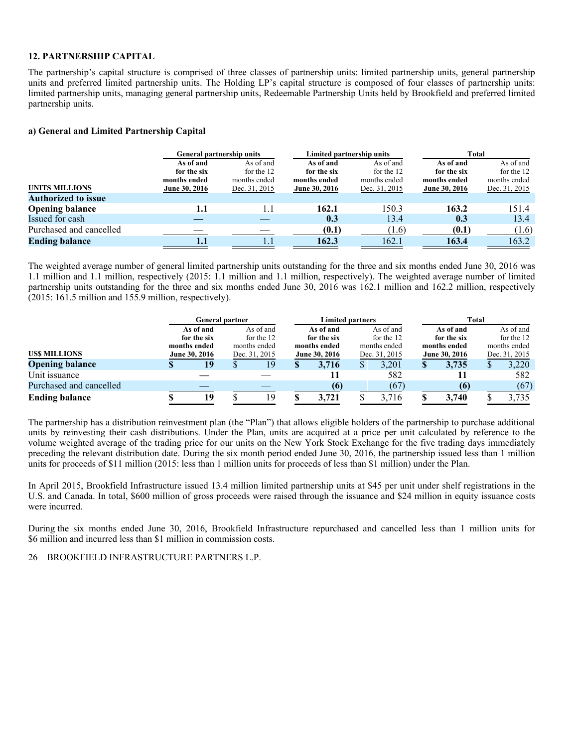#### **12. PARTNERSHIP CAPITAL**

The partnership's capital structure is comprised of three classes of partnership units: limited partnership units, general partnership units and preferred limited partnership units. The Holding LP's capital structure is composed of four classes of partnership units: limited partnership units, managing general partnership units, Redeemable Partnership Units held by Brookfield and preferred limited partnership units.

#### **a) General and Limited Partnership Capital**

|                            | <b>General partnership units</b> |               | Limited partnership units |               | Total         |               |  |  |  |
|----------------------------|----------------------------------|---------------|---------------------------|---------------|---------------|---------------|--|--|--|
|                            | As of and                        | As of and     | As of and                 | As of and     | As of and     | As of and     |  |  |  |
|                            | for the six                      | for the 12    | for the six               | for the 12    | for the six   | for the 12    |  |  |  |
|                            | months ended                     | months ended  | months ended              | months ended  | months ended  | months ended  |  |  |  |
| <b>UNITS MILLIONS</b>      | June 30, 2016                    | Dec. 31, 2015 | June 30, 2016             | Dec. 31, 2015 | June 30, 2016 | Dec. 31, 2015 |  |  |  |
| <b>Authorized to issue</b> |                                  |               |                           |               |               |               |  |  |  |
| <b>Opening balance</b>     | 1.1                              | 1.1           | 162.1                     | 150.3         | 163.2         | 151.4         |  |  |  |
| Issued for cash            |                                  |               | 0.3                       | 13.4          | 0.3           | 13.4          |  |  |  |
| Purchased and cancelled    |                                  |               | (0.1)                     | (1.6)         | (0.1)         | (1.6)         |  |  |  |
| <b>Ending balance</b>      | 1.1                              |               | 162.3                     | 162.1         | 163.4         | 163.2         |  |  |  |

The weighted average number of general limited partnership units outstanding for the three and six months ended June 30, 2016 was 1.1 million and 1.1 million, respectively (2015: 1.1 million and 1.1 million, respectively). The weighted average number of limited partnership units outstanding for the three and six months ended June 30, 2016 was 162.1 million and 162.2 million, respectively (2015: 161.5 million and 155.9 million, respectively).

|                         | <b>General partner</b> |               | <b>Limited partners</b> |               |   | Total         |               |
|-------------------------|------------------------|---------------|-------------------------|---------------|---|---------------|---------------|
|                         | As of and              | As of and     | As of and               | As of and     |   | As of and     | As of and     |
|                         | for the six            | for the 12    | for the six             | for the 12    |   | for the six   | for the 12    |
|                         | months ended           | months ended  | months ended            | months ended  |   | months ended  | months ended  |
| <b>USS MILLIONS</b>     | June 30, 2016          | Dec. 31, 2015 | June 30, 2016           | Dec. 31, 2015 |   | June 30, 2016 | Dec. 31, 2015 |
| <b>Opening balance</b>  | 19                     | 19            | 3.716                   | 3.201         | S | 3,735         | 3,220         |
| Unit issuance           |                        |               |                         | 582           |   |               | 582           |
| Purchased and cancelled |                        |               | (6)                     | (67)          |   | (6)           | (67)          |
| <b>Ending balance</b>   | 19                     | ۱9            | 3,721                   | 3,716         |   | 3,740         | 3,735         |

The partnership has a distribution reinvestment plan (the "Plan") that allows eligible holders of the partnership to purchase additional units by reinvesting their cash distributions. Under the Plan, units are acquired at a price per unit calculated by reference to the volume weighted average of the trading price for our units on the New York Stock Exchange for the five trading days immediately preceding the relevant distribution date. During the six month period ended June 30, 2016, the partnership issued less than 1 million units for proceeds of \$11 million (2015: less than 1 million units for proceeds of less than \$1 million) under the Plan.

In April 2015, Brookfield Infrastructure issued 13.4 million limited partnership units at \$45 per unit under shelf registrations in the U.S. and Canada. In total, \$600 million of gross proceeds were raised through the issuance and \$24 million in equity issuance costs were incurred.

During the six months ended June 30, 2016, Brookfield Infrastructure repurchased and cancelled less than 1 million units for \$6 million and incurred less than \$1 million in commission costs.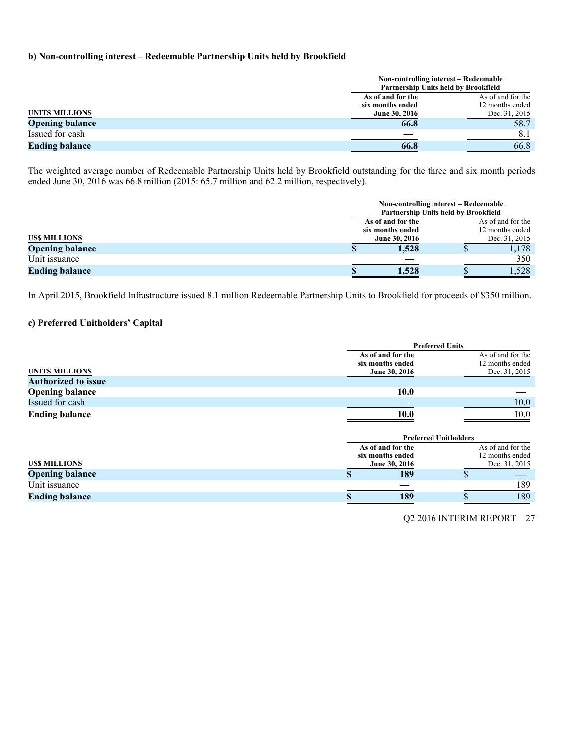#### **b) Non-controlling interest – Redeemable Partnership Units held by Brookfield**

| Non-controlling interest – Redeemable<br>Partnership Units held by Brookfield |                   |
|-------------------------------------------------------------------------------|-------------------|
| As of and for the                                                             | As of and for the |
| six months ended                                                              | 12 months ended   |
| <b>UNITS MILLIONS</b><br>June 30, 2016                                        | Dec. 31, 2015     |
| <b>Opening balance</b><br>66.8                                                | 58.7              |
| Issued for cash                                                               | 8.1               |
| <b>Ending balance</b><br>66.8                                                 | 66.8              |

The weighted average number of Redeemable Partnership Units held by Brookfield outstanding for the three and six month periods ended June 30, 2016 was 66.8 million (2015: 65.7 million and 62.2 million, respectively).

|                        |                   | Non-controlling interest – Redeemable<br>Partnership Units held by Brookfield |
|------------------------|-------------------|-------------------------------------------------------------------------------|
|                        | As of and for the | As of and for the                                                             |
|                        | six months ended  | 12 months ended                                                               |
| <b>USS MILLIONS</b>    | June 30, 2016     | Dec. 31, 2015                                                                 |
| <b>Opening balance</b> | 1,528<br>Φ        | 1,178                                                                         |
| Unit issuance          |                   | 350                                                                           |
| <b>Ending balance</b>  | 1,528             | .528                                                                          |

In April 2015, Brookfield Infrastructure issued 8.1 million Redeemable Partnership Units to Brookfield for proceeds of \$350 million.

# **c) Preferred Unitholders' Capital**

|                            |                                                        | <b>Preferred Units</b>       |                                                       |
|----------------------------|--------------------------------------------------------|------------------------------|-------------------------------------------------------|
| <b>UNITS MILLIONS</b>      | As of and for the<br>six months ended<br>June 30, 2016 |                              | As of and for the<br>12 months ended<br>Dec. 31, 2015 |
| <b>Authorized to issue</b> |                                                        |                              |                                                       |
| <b>Opening balance</b>     |                                                        | <b>10.0</b>                  |                                                       |
| Issued for cash            |                                                        |                              | 10.0                                                  |
| <b>Ending balance</b>      |                                                        | <b>10.0</b>                  | 10.0                                                  |
|                            |                                                        | <b>Preferred Unitholders</b> |                                                       |
|                            | As of and for the<br>six months ended                  |                              | As of and for the<br>12 months ended                  |
| <b>USS MILLIONS</b>        | June 30, 2016                                          |                              | Dec. 31, 2015                                         |
| <b>Opening balance</b>     |                                                        | 189                          |                                                       |
| Unit issuance              |                                                        |                              | 189                                                   |
| <b>Ending balance</b>      |                                                        | 189                          | 189                                                   |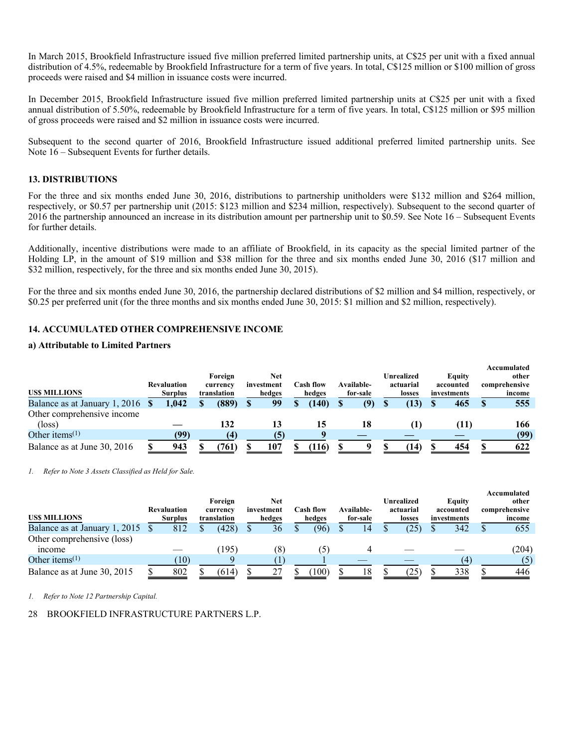In March 2015, Brookfield Infrastructure issued five million preferred limited partnership units, at C\$25 per unit with a fixed annual distribution of 4.5%, redeemable by Brookfield Infrastructure for a term of five years. In total, C\$125 million or \$100 million of gross proceeds were raised and \$4 million in issuance costs were incurred.

In December 2015, Brookfield Infrastructure issued five million preferred limited partnership units at C\$25 per unit with a fixed annual distribution of 5.50%, redeemable by Brookfield Infrastructure for a term of five years. In total, C\$125 million or \$95 million of gross proceeds were raised and \$2 million in issuance costs were incurred.

Subsequent to the second quarter of 2016, Brookfield Infrastructure issued additional preferred limited partnership units. See Note 16 – Subsequent Events for further details.

#### **13. DISTRIBUTIONS**

For the three and six months ended June 30, 2016, distributions to partnership unitholders were \$132 million and \$264 million, respectively, or \$0.57 per partnership unit (2015: \$123 million and \$234 million, respectively). Subsequent to the second quarter of 2016 the partnership announced an increase in its distribution amount per partnership unit to \$0.59. See Note 16 – Subsequent Events for further details.

Additionally, incentive distributions were made to an affiliate of Brookfield, in its capacity as the special limited partner of the Holding LP, in the amount of \$19 million and \$38 million for the three and six months ended June 30, 2016 (\$17 million and \$32 million, respectively, for the three and six months ended June 30, 2015).

For the three and six months ended June 30, 2016, the partnership declared distributions of \$2 million and \$4 million, respectively, or \$0.25 per preferred unit (for the three months and six months ended June 30, 2015: \$1 million and \$2 million, respectively).

#### **14. ACCUMULATED OTHER COMPREHENSIVE INCOME**

#### **a) Attributable to Limited Partners**

| <b>USS MILLIONS</b>                           | <b>Revaluation</b><br><b>Surplus</b> | Foreign<br>currency<br>translation | <b>Net</b><br>investment<br>hedges | Cash flow<br>hedges | Available-<br>for-sale | Unrealized<br>actuarial<br>losses | Equity<br>accounted<br>investments | Accumulated<br>other<br>comprehensive<br>income |
|-----------------------------------------------|--------------------------------------|------------------------------------|------------------------------------|---------------------|------------------------|-----------------------------------|------------------------------------|-------------------------------------------------|
| Balance as at January 1, 2016 \$              | 1.042                                | (889)                              | 99                                 | (140)               | (9)                    | (13)                              | 465                                | 555                                             |
| Other comprehensive income<br>$(\text{loss})$ |                                      | 132                                | 13                                 | 15                  | 18                     | $\bf{I}$                          | (11)                               | 166                                             |
| Other items <sup><math>(1)</math></sup>       | (99)                                 | (4)                                | (5)                                |                     |                        |                                   |                                    | (99)                                            |
| Balance as at June 30, 2016                   | 943                                  | 761)                               | 107                                | (116)               |                        | (14)                              | 454                                | 622                                             |

*1. Refer to Note 3 Assets Classified as Held for Sale.* 

| <b>USS MILLIONS</b>           | <b>Revaluation</b><br><b>Surplus</b> | Foreign<br>currency<br>translation | Net<br>investment<br>hedges | <b>Cash flow</b><br>hedges | Available-<br>for-sale | Unrealized<br>actuarial<br>losses | Equity<br>accounted<br>investments | Accumulated<br>other<br>comprehensive<br>income |
|-------------------------------|--------------------------------------|------------------------------------|-----------------------------|----------------------------|------------------------|-----------------------------------|------------------------------------|-------------------------------------------------|
| Balance as at January 1, 2015 | 812                                  | (428)                              | 36                          | (96)                       | 14                     | (25)                              | 342                                | 655                                             |
| Other comprehensive (loss)    |                                      |                                    |                             |                            |                        |                                   |                                    |                                                 |
| <i>n</i> come                 |                                      | (195)                              | (8)                         | (5)                        |                        |                                   |                                    | (204)                                           |
| Other items $(1)$             | 10)                                  |                                    |                             |                            |                        |                                   | (4)                                | (5)                                             |
| Balance as at June 30, 2015   | 802                                  | (614)                              | 27                          | 100)                       | 18                     | (25)                              | 338                                | 446                                             |

*1. Refer to Note 12 Partnership Capital.*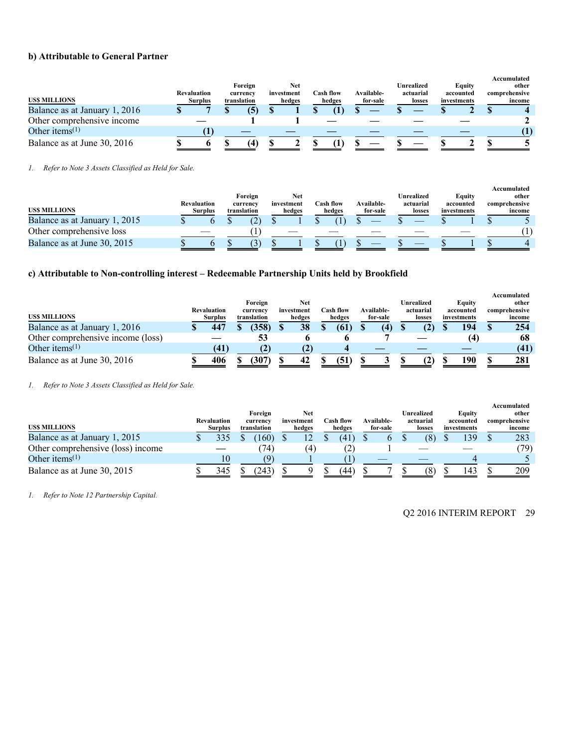#### **b) Attributable to General Partner**

|                                         |             |                |             |            |           |            |            |             | Accumulated   |
|-----------------------------------------|-------------|----------------|-------------|------------|-----------|------------|------------|-------------|---------------|
|                                         |             |                | Foreign     | Net        |           |            | Unrealized | Equity      | other         |
|                                         | Revaluation |                | currency    | investment | Cash flow | Available- | actuarial  | accounted   | comprehensive |
| <b>USS MILLIONS</b>                     |             | <b>Surplus</b> | translation | hedges     | hedges    | for-sale   | losses     | investments | income        |
| Balance as at January 1, 2016           |             |                |             |            |           |            |            |             |               |
| Other comprehensive income              |             |                |             |            |           |            |            |             |               |
| Other items <sup><math>(1)</math></sup> |             |                |             |            |           |            |            |             |               |
| Balance as at June 30, 2016             |             |                | 4           |            |           |            |            |             |               |

*1. Refer to Note 3 Assets Classified as Held for Sale.* 

|                               |                    |                |             |            |           |                   |            |             | Accumulated   |
|-------------------------------|--------------------|----------------|-------------|------------|-----------|-------------------|------------|-------------|---------------|
|                               |                    |                | Foreign     | Net        |           |                   | Unrealized | Eauitv      | other         |
|                               | <b>Revaluation</b> |                | currency    | investment | Cash flow | <b>Available-</b> | actuarial  | accounted   | comprehensive |
| <b>USS MILLIONS</b>           |                    | <b>Surplus</b> | translation | hedges     | hedges    | for-sale          | losses     | investments | income        |
| Balance as at January 1, 2015 |                    |                |             |            |           |                   |            |             |               |
| Other comprehensive loss      |                    |                |             |            |           |                   |            |             |               |
| Balance as at June 30, 2015   |                    |                |             |            |           |                   |            |             |               |

# **c) Attributable to Non-controlling interest – Redeemable Partnership Units held by Brookfield**

|                                         |                    |    |             |            |           |                    |            |             | Accumulated   |
|-----------------------------------------|--------------------|----|-------------|------------|-----------|--------------------|------------|-------------|---------------|
|                                         |                    |    | Foreign     | Net        |           |                    | Unrealized | Equity      | other         |
|                                         | <b>Revaluation</b> |    | currency    | investment | Cash flow | Available-         | actuarial  | accounted   | comprehensive |
| <b>USS MILLIONS</b>                     | <b>Surplus</b>     |    | translation | hedges     | hedges    | for-sale           | losses     | investments | income        |
| Balance as at January 1, 2016           | 447                |    | (358)       | 38         | (61)      | $\left( 4 \right)$ |            | 194         | 254           |
| Other comprehensive income (loss)       |                    |    | 53          |            |           |                    |            | (4)         | 68            |
| Other items <sup><math>(1)</math></sup> | (41)               |    |             |            |           |                    |            |             | (41)          |
| Balance as at June 30, 2016             | 406                | J. | (307)       | 42         | (51       |                    | .Z)        | 190         | 281           |

*1. Refer to Note 3 Assets Classified as Held for Sale.* 

|                                         |                |             |                  |                  |            |            |             | Accumulated   |
|-----------------------------------------|----------------|-------------|------------------|------------------|------------|------------|-------------|---------------|
|                                         |                | Foreign     | Net              |                  |            | Unrealized | Equity      | other         |
|                                         | Revaluation    | currency    | investment       | <b>Cash flow</b> | Available- | actuarial  | accounted   | comprehensive |
| <b>USS MILLIONS</b>                     | <b>Surplus</b> | translation | hedges           | hedges           | for-sale   | losses     | investments | income        |
| Balance as at January 1, 2015           | 335            | (60)        |                  | $\overline{41}$  |            | (8)        | 39          | 283           |
| Other comprehensive (loss) income       |                | 74)         | $\left(4\right)$ | ∸                |            |            |             | (79)          |
| Other items <sup><math>(1)</math></sup> |                |             |                  |                  |            |            |             |               |
| Balance as at June 30, 2015             | 345            | 24.         |                  | 44               |            | (8)        |             | 209           |

*1. Refer to Note 12 Partnership Capital.*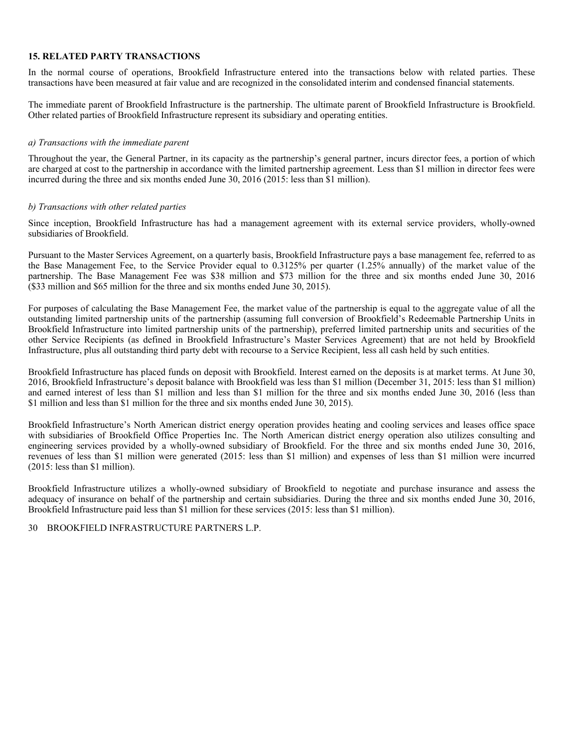#### **15. RELATED PARTY TRANSACTIONS**

In the normal course of operations, Brookfield Infrastructure entered into the transactions below with related parties. These transactions have been measured at fair value and are recognized in the consolidated interim and condensed financial statements.

The immediate parent of Brookfield Infrastructure is the partnership. The ultimate parent of Brookfield Infrastructure is Brookfield. Other related parties of Brookfield Infrastructure represent its subsidiary and operating entities.

#### *a) Transactions with the immediate parent*

Throughout the year, the General Partner, in its capacity as the partnership's general partner, incurs director fees, a portion of which are charged at cost to the partnership in accordance with the limited partnership agreement. Less than \$1 million in director fees were incurred during the three and six months ended June 30, 2016 (2015: less than \$1 million).

#### *b) Transactions with other related parties*

Since inception, Brookfield Infrastructure has had a management agreement with its external service providers, wholly-owned subsidiaries of Brookfield.

Pursuant to the Master Services Agreement, on a quarterly basis, Brookfield Infrastructure pays a base management fee, referred to as the Base Management Fee, to the Service Provider equal to 0.3125% per quarter (1.25% annually) of the market value of the partnership. The Base Management Fee was \$38 million and \$73 million for the three and six months ended June 30, 2016 (\$33 million and \$65 million for the three and six months ended June 30, 2015).

For purposes of calculating the Base Management Fee, the market value of the partnership is equal to the aggregate value of all the outstanding limited partnership units of the partnership (assuming full conversion of Brookfield's Redeemable Partnership Units in Brookfield Infrastructure into limited partnership units of the partnership), preferred limited partnership units and securities of the other Service Recipients (as defined in Brookfield Infrastructure's Master Services Agreement) that are not held by Brookfield Infrastructure, plus all outstanding third party debt with recourse to a Service Recipient, less all cash held by such entities.

Brookfield Infrastructure has placed funds on deposit with Brookfield. Interest earned on the deposits is at market terms. At June 30, 2016, Brookfield Infrastructure's deposit balance with Brookfield was less than \$1 million (December 31, 2015: less than \$1 million) and earned interest of less than \$1 million and less than \$1 million for the three and six months ended June 30, 2016 (less than \$1 million and less than \$1 million for the three and six months ended June 30, 2015).

Brookfield Infrastructure's North American district energy operation provides heating and cooling services and leases office space with subsidiaries of Brookfield Office Properties Inc. The North American district energy operation also utilizes consulting and engineering services provided by a wholly-owned subsidiary of Brookfield. For the three and six months ended June 30, 2016, revenues of less than \$1 million were generated (2015: less than \$1 million) and expenses of less than \$1 million were incurred (2015: less than \$1 million).

Brookfield Infrastructure utilizes a wholly-owned subsidiary of Brookfield to negotiate and purchase insurance and assess the adequacy of insurance on behalf of the partnership and certain subsidiaries. During the three and six months ended June 30, 2016, Brookfield Infrastructure paid less than \$1 million for these services (2015: less than \$1 million).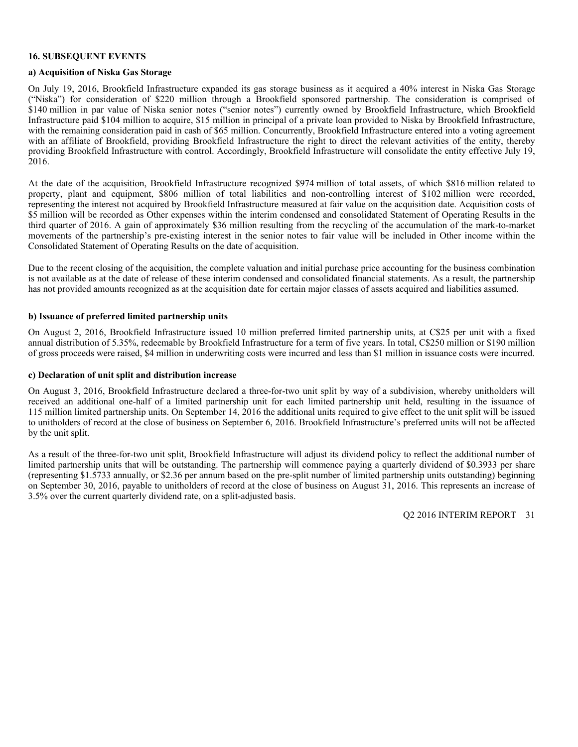#### **16. SUBSEQUENT EVENTS**

### **a) Acquisition of Niska Gas Storage**

On July 19, 2016, Brookfield Infrastructure expanded its gas storage business as it acquired a 40% interest in Niska Gas Storage ("Niska") for consideration of \$220 million through a Brookfield sponsored partnership. The consideration is comprised of \$140 million in par value of Niska senior notes ("senior notes") currently owned by Brookfield Infrastructure, which Brookfield Infrastructure paid \$104 million to acquire, \$15 million in principal of a private loan provided to Niska by Brookfield Infrastructure, with the remaining consideration paid in cash of \$65 million. Concurrently, Brookfield Infrastructure entered into a voting agreement with an affiliate of Brookfield, providing Brookfield Infrastructure the right to direct the relevant activities of the entity, thereby providing Brookfield Infrastructure with control. Accordingly, Brookfield Infrastructure will consolidate the entity effective July 19, 2016.

At the date of the acquisition, Brookfield Infrastructure recognized \$974 million of total assets, of which \$816 million related to property, plant and equipment, \$806 million of total liabilities and non-controlling interest of \$102 million were recorded, representing the interest not acquired by Brookfield Infrastructure measured at fair value on the acquisition date. Acquisition costs of \$5 million will be recorded as Other expenses within the interim condensed and consolidated Statement of Operating Results in the third quarter of 2016. A gain of approximately \$36 million resulting from the recycling of the accumulation of the mark-to-market movements of the partnership's pre-existing interest in the senior notes to fair value will be included in Other income within the Consolidated Statement of Operating Results on the date of acquisition.

Due to the recent closing of the acquisition, the complete valuation and initial purchase price accounting for the business combination is not available as at the date of release of these interim condensed and consolidated financial statements. As a result, the partnership has not provided amounts recognized as at the acquisition date for certain major classes of assets acquired and liabilities assumed.

#### **b) Issuance of preferred limited partnership units**

On August 2, 2016, Brookfield Infrastructure issued 10 million preferred limited partnership units, at C\$25 per unit with a fixed annual distribution of 5.35%, redeemable by Brookfield Infrastructure for a term of five years. In total, C\$250 million or \$190 million of gross proceeds were raised, \$4 million in underwriting costs were incurred and less than \$1 million in issuance costs were incurred.

#### **c) Declaration of unit split and distribution increase**

On August 3, 2016, Brookfield Infrastructure declared a three-for-two unit split by way of a subdivision, whereby unitholders will received an additional one-half of a limited partnership unit for each limited partnership unit held, resulting in the issuance of 115 million limited partnership units. On September 14, 2016 the additional units required to give effect to the unit split will be issued to unitholders of record at the close of business on September 6, 2016. Brookfield Infrastructure's preferred units will not be affected by the unit split.

As a result of the three-for-two unit split, Brookfield Infrastructure will adjust its dividend policy to reflect the additional number of limited partnership units that will be outstanding. The partnership will commence paying a quarterly dividend of \$0.3933 per share (representing \$1.5733 annually, or \$2.36 per annum based on the pre-split number of limited partnership units outstanding) beginning on September 30, 2016, payable to unitholders of record at the close of business on August 31, 2016. This represents an increase of 3.5% over the current quarterly dividend rate, on a split-adjusted basis.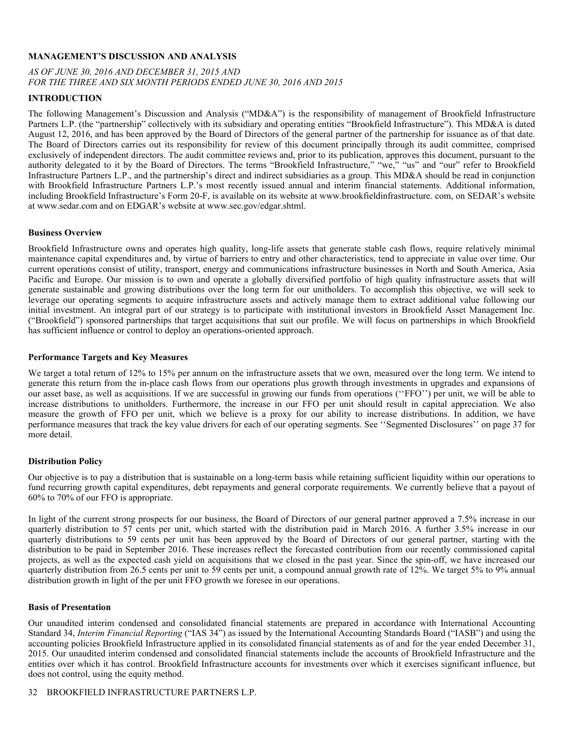#### **MANAGEMENT'S DISCUSSION AND ANALYSIS**

# *AS OF JUNE 30, 2016 AND DECEMBER 31, 2015 AND FOR THE THREE AND SIX MONTH PERIODS ENDED JUNE 30, 2016 AND 2015*

#### **INTRODUCTION**

The following Management's Discussion and Analysis ("MD&A") is the responsibility of management of Brookfield Infrastructure Partners L.P. (the "partnership" collectively with its subsidiary and operating entities "Brookfield Infrastructure"). This MD&A is dated August 12, 2016, and has been approved by the Board of Directors of the general partner of the partnership for issuance as of that date. The Board of Directors carries out its responsibility for review of this document principally through its audit committee, comprised exclusively of independent directors. The audit committee reviews and, prior to its publication, approves this document, pursuant to the authority delegated to it by the Board of Directors. The terms "Brookfield Infrastructure," "we," "us" and "our" refer to Brookfield Infrastructure Partners L.P., and the partnership's direct and indirect subsidiaries as a group. This MD&A should be read in conjunction with Brookfield Infrastructure Partners L.P.'s most recently issued annual and interim financial statements. Additional information, including Brookfield Infrastructure's Form 20-F, is available on its website at www.brookfieldinfrastructure. com, on SEDAR's website at www.sedar.com and on EDGAR's website at www.sec.gov/edgar.shtml.

#### **Business Overview**

Brookfield Infrastructure owns and operates high quality, long-life assets that generate stable cash flows, require relatively minimal maintenance capital expenditures and, by virtue of barriers to entry and other characteristics, tend to appreciate in value over time. Our current operations consist of utility, transport, energy and communications infrastructure businesses in North and South America, Asia Pacific and Europe. Our mission is to own and operate a globally diversified portfolio of high quality infrastructure assets that will generate sustainable and growing distributions over the long term for our unitholders. To accomplish this objective, we will seek to leverage our operating segments to acquire infrastructure assets and actively manage them to extract additional value following our initial investment. An integral part of our strategy is to participate with institutional investors in Brookfield Asset Management Inc. ("Brookfield") sponsored partnerships that target acquisitions that suit our profile. We will focus on partnerships in which Brookfield has sufficient influence or control to deploy an operations-oriented approach.

#### **Performance Targets and Key Measures**

We target a total return of 12% to 15% per annum on the infrastructure assets that we own, measured over the long term. We intend to generate this return from the in-place cash flows from our operations plus growth through investments in upgrades and expansions of our asset base, as well as acquisitions. If we are successful in growing our funds from operations (''FFO'') per unit, we will be able to increase distributions to unitholders. Furthermore, the increase in our FFO per unit should result in capital appreciation. We also measure the growth of FFO per unit, which we believe is a proxy for our ability to increase distributions. In addition, we have performance measures that track the key value drivers for each of our operating segments. See ''Segmented Disclosures'' on page 37 for more detail.

# **Distribution Policy**

Our objective is to pay a distribution that is sustainable on a long-term basis while retaining sufficient liquidity within our operations to fund recurring growth capital expenditures, debt repayments and general corporate requirements. We currently believe that a payout of 60% to 70% of our FFO is appropriate.

In light of the current strong prospects for our business, the Board of Directors of our general partner approved a 7.5% increase in our quarterly distribution to 57 cents per unit, which started with the distribution paid in March 2016. A further 3.5% increase in our quarterly distributions to 59 cents per unit has been approved by the Board of Directors of our general partner, starting with the distribution to be paid in September 2016. These increases reflect the forecasted contribution from our recently commissioned capital projects, as well as the expected cash yield on acquisitions that we closed in the past year. Since the spin-off, we have increased our quarterly distribution from 26.5 cents per unit to 59 cents per unit, a compound annual growth rate of 12%. We target 5% to 9% annual distribution growth in light of the per unit FFO growth we foresee in our operations.

#### **Basis of Presentation**

Our unaudited interim condensed and consolidated financial statements are prepared in accordance with International Accounting Standard 34, *Interim Financial Reporting* ("IAS 34") as issued by the International Accounting Standards Board ("IASB") and using the accounting policies Brookfield Infrastructure applied in its consolidated financial statements as of and for the year ended December 31, 2015. Our unaudited interim condensed and consolidated financial statements include the accounts of Brookfield Infrastructure and the entities over which it has control. Brookfield Infrastructure accounts for investments over which it exercises significant influence, but does not control, using the equity method.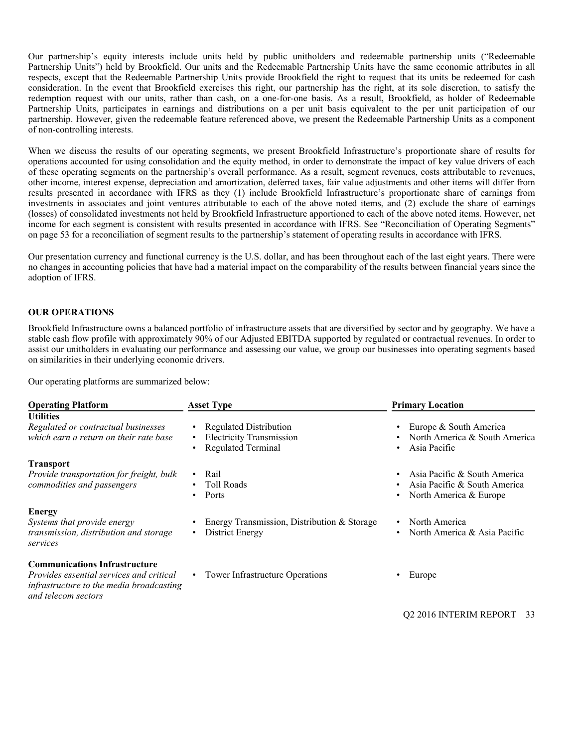Our partnership's equity interests include units held by public unitholders and redeemable partnership units ("Redeemable Partnership Units") held by Brookfield. Our units and the Redeemable Partnership Units have the same economic attributes in all respects, except that the Redeemable Partnership Units provide Brookfield the right to request that its units be redeemed for cash consideration. In the event that Brookfield exercises this right, our partnership has the right, at its sole discretion, to satisfy the redemption request with our units, rather than cash, on a one-for-one basis. As a result, Brookfield, as holder of Redeemable Partnership Units, participates in earnings and distributions on a per unit basis equivalent to the per unit participation of our partnership. However, given the redeemable feature referenced above, we present the Redeemable Partnership Units as a component of non-controlling interests.

When we discuss the results of our operating segments, we present Brookfield Infrastructure's proportionate share of results for operations accounted for using consolidation and the equity method, in order to demonstrate the impact of key value drivers of each of these operating segments on the partnership's overall performance. As a result, segment revenues, costs attributable to revenues, other income, interest expense, depreciation and amortization, deferred taxes, fair value adjustments and other items will differ from results presented in accordance with IFRS as they (1) include Brookfield Infrastructure's proportionate share of earnings from investments in associates and joint ventures attributable to each of the above noted items, and (2) exclude the share of earnings (losses) of consolidated investments not held by Brookfield Infrastructure apportioned to each of the above noted items. However, net income for each segment is consistent with results presented in accordance with IFRS. See "Reconciliation of Operating Segments" on page 53 for a reconciliation of segment results to the partnership's statement of operating results in accordance with IFRS.

Our presentation currency and functional currency is the U.S. dollar, and has been throughout each of the last eight years. There were no changes in accounting policies that have had a material impact on the comparability of the results between financial years since the adoption of IFRS.

### **OUR OPERATIONS**

Brookfield Infrastructure owns a balanced portfolio of infrastructure assets that are diversified by sector and by geography. We have a stable cash flow profile with approximately 90% of our Adjusted EBITDA supported by regulated or contractual revenues. In order to assist our unitholders in evaluating our performance and assessing our value, we group our businesses into operating segments based on similarities in their underlying economic drivers.

Our operating platforms are summarized below:

| <b>Operating Platform</b>                                                                                                                                  | <b>Asset Type</b>                                                                                                       | <b>Primary Location</b>                                                                |
|------------------------------------------------------------------------------------------------------------------------------------------------------------|-------------------------------------------------------------------------------------------------------------------------|----------------------------------------------------------------------------------------|
| <b>Utilities</b><br>Regulated or contractual businesses<br>which earn a return on their rate base                                                          | <b>Regulated Distribution</b><br>$\bullet$<br><b>Electricity Transmission</b><br><b>Regulated Terminal</b><br>$\bullet$ | Europe & South America<br>North America & South America<br>Asia Pacific                |
| <b>Transport</b><br>Provide transportation for freight, bulk<br>commodities and passengers                                                                 | Rail<br>$\bullet$<br><b>Toll Roads</b><br>Ports<br>٠                                                                    | Asia Pacific & South America<br>Asia Pacific & South America<br>North America & Europe |
| <b>Energy</b><br>Systems that provide energy<br>transmission, distribution and storage<br>services                                                         | Energy Transmission, Distribution & Storage<br>District Energy<br>٠                                                     | North America<br>North America & Asia Pacific                                          |
| <b>Communications Infrastructure</b><br><i>Provides essential services and critical</i><br>infrastructure to the media broadcasting<br>and telecom sectors | • Tower Infrastructure Operations                                                                                       | Europe                                                                                 |
|                                                                                                                                                            |                                                                                                                         | O <sub>2</sub> 2016 INTERIM REPORT<br>33                                               |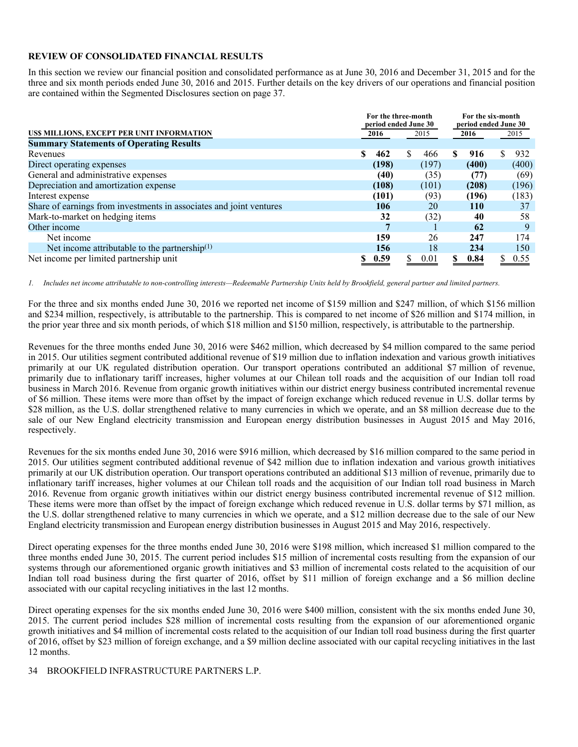#### **REVIEW OF CONSOLIDATED FINANCIAL RESULTS**

In this section we review our financial position and consolidated performance as at June 30, 2016 and December 31, 2015 and for the three and six month periods ended June 30, 2016 and 2015. Further details on the key drivers of our operations and financial position are contained within the Segmented Disclosures section on page 37.

|                                                                     |                      | For the three-month |       | For the six-month |                      |           |  |  |
|---------------------------------------------------------------------|----------------------|---------------------|-------|-------------------|----------------------|-----------|--|--|
|                                                                     | period ended June 30 |                     |       |                   | period ended June 30 |           |  |  |
| US\$ MILLIONS, EXCEPT PER UNIT INFORMATION                          | 2015<br>2016         |                     |       |                   | 2016                 | 2015      |  |  |
| <b>Summary Statements of Operating Results</b>                      |                      |                     |       |                   |                      |           |  |  |
| Revenues                                                            | S<br>462             | S.                  | 466   | \$                | 916                  | 932<br>S. |  |  |
| Direct operating expenses                                           | (198)                |                     | (197) |                   | (400)                | (400)     |  |  |
| General and administrative expenses                                 | (40)                 |                     | (35)  |                   | (77)                 | (69)      |  |  |
| Depreciation and amortization expense                               | (108)                |                     | (101) |                   | (208)                | (196)     |  |  |
| Interest expense                                                    | (101)                |                     | (93)  |                   | (196)                | (183)     |  |  |
| Share of earnings from investments in associates and joint ventures | 106                  |                     | 20    |                   | <b>110</b>           | 37        |  |  |
| Mark-to-market on hedging items                                     | 32                   |                     | (32)  |                   | 40                   | 58        |  |  |
| Other income                                                        |                      |                     |       |                   | 62                   | 9         |  |  |
| Net income                                                          | 159                  |                     | 26    |                   | 247                  | 174       |  |  |
| Net income attributable to the partnership $(1)$                    | 156                  |                     | 18    |                   | 234                  | 150       |  |  |
| Net income per limited partnership unit                             | 0.59<br>S            | S.                  | 0.01  |                   | 0.84                 | 0.55      |  |  |

*1. Includes net income attributable to non-controlling interests—Redeemable Partnership Units held by Brookfield, general partner and limited partners.* 

For the three and six months ended June 30, 2016 we reported net income of \$159 million and \$247 million, of which \$156 million and \$234 million, respectively, is attributable to the partnership. This is compared to net income of \$26 million and \$174 million, in the prior year three and six month periods, of which \$18 million and \$150 million, respectively, is attributable to the partnership.

Revenues for the three months ended June 30, 2016 were \$462 million, which decreased by \$4 million compared to the same period in 2015. Our utilities segment contributed additional revenue of \$19 million due to inflation indexation and various growth initiatives primarily at our UK regulated distribution operation. Our transport operations contributed an additional \$7 million of revenue, primarily due to inflationary tariff increases, higher volumes at our Chilean toll roads and the acquisition of our Indian toll road business in March 2016. Revenue from organic growth initiatives within our district energy business contributed incremental revenue of \$6 million. These items were more than offset by the impact of foreign exchange which reduced revenue in U.S. dollar terms by \$28 million, as the U.S. dollar strengthened relative to many currencies in which we operate, and an \$8 million decrease due to the sale of our New England electricity transmission and European energy distribution businesses in August 2015 and May 2016, respectively.

Revenues for the six months ended June 30, 2016 were \$916 million, which decreased by \$16 million compared to the same period in 2015. Our utilities segment contributed additional revenue of \$42 million due to inflation indexation and various growth initiatives primarily at our UK distribution operation. Our transport operations contributed an additional \$13 million of revenue, primarily due to inflationary tariff increases, higher volumes at our Chilean toll roads and the acquisition of our Indian toll road business in March 2016. Revenue from organic growth initiatives within our district energy business contributed incremental revenue of \$12 million. These items were more than offset by the impact of foreign exchange which reduced revenue in U.S. dollar terms by \$71 million, as the U.S. dollar strengthened relative to many currencies in which we operate, and a \$12 million decrease due to the sale of our New England electricity transmission and European energy distribution businesses in August 2015 and May 2016, respectively.

Direct operating expenses for the three months ended June 30, 2016 were \$198 million, which increased \$1 million compared to the three months ended June 30, 2015. The current period includes \$15 million of incremental costs resulting from the expansion of our systems through our aforementioned organic growth initiatives and \$3 million of incremental costs related to the acquisition of our Indian toll road business during the first quarter of 2016, offset by \$11 million of foreign exchange and a \$6 million decline associated with our capital recycling initiatives in the last 12 months.

Direct operating expenses for the six months ended June 30, 2016 were \$400 million, consistent with the six months ended June 30, 2015. The current period includes \$28 million of incremental costs resulting from the expansion of our aforementioned organic growth initiatives and \$4 million of incremental costs related to the acquisition of our Indian toll road business during the first quarter of 2016, offset by \$23 million of foreign exchange, and a \$9 million decline associated with our capital recycling initiatives in the last 12 months.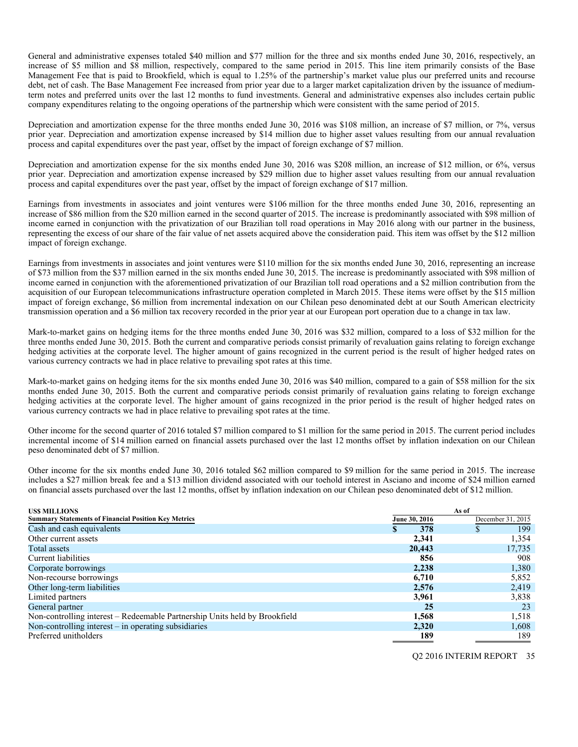General and administrative expenses totaled \$40 million and \$77 million for the three and six months ended June 30, 2016, respectively, an increase of \$5 million and \$8 million, respectively, compared to the same period in 2015. This line item primarily consists of the Base Management Fee that is paid to Brookfield, which is equal to 1.25% of the partnership's market value plus our preferred units and recourse debt, net of cash. The Base Management Fee increased from prior year due to a larger market capitalization driven by the issuance of mediumterm notes and preferred units over the last 12 months to fund investments. General and administrative expenses also includes certain public company expenditures relating to the ongoing operations of the partnership which were consistent with the same period of 2015.

Depreciation and amortization expense for the three months ended June 30, 2016 was \$108 million, an increase of \$7 million, or 7%, versus prior year. Depreciation and amortization expense increased by \$14 million due to higher asset values resulting from our annual revaluation process and capital expenditures over the past year, offset by the impact of foreign exchange of \$7 million.

Depreciation and amortization expense for the six months ended June 30, 2016 was \$208 million, an increase of \$12 million, or 6%, versus prior year. Depreciation and amortization expense increased by \$29 million due to higher asset values resulting from our annual revaluation process and capital expenditures over the past year, offset by the impact of foreign exchange of \$17 million.

Earnings from investments in associates and joint ventures were \$106 million for the three months ended June 30, 2016, representing an increase of \$86 million from the \$20 million earned in the second quarter of 2015. The increase is predominantly associated with \$98 million of income earned in conjunction with the privatization of our Brazilian toll road operations in May 2016 along with our partner in the business, representing the excess of our share of the fair value of net assets acquired above the consideration paid. This item was offset by the \$12 million impact of foreign exchange.

Earnings from investments in associates and joint ventures were \$110 million for the six months ended June 30, 2016, representing an increase of \$73 million from the \$37 million earned in the six months ended June 30, 2015. The increase is predominantly associated with \$98 million of income earned in conjunction with the aforementioned privatization of our Brazilian toll road operations and a \$2 million contribution from the acquisition of our European telecommunications infrastructure operation completed in March 2015. These items were offset by the \$15 million impact of foreign exchange, \$6 million from incremental indexation on our Chilean peso denominated debt at our South American electricity transmission operation and a \$6 million tax recovery recorded in the prior year at our European port operation due to a change in tax law.

Mark-to-market gains on hedging items for the three months ended June 30, 2016 was \$32 million, compared to a loss of \$32 million for the three months ended June 30, 2015. Both the current and comparative periods consist primarily of revaluation gains relating to foreign exchange hedging activities at the corporate level. The higher amount of gains recognized in the current period is the result of higher hedged rates on various currency contracts we had in place relative to prevailing spot rates at this time.

Mark-to-market gains on hedging items for the six months ended June 30, 2016 was \$40 million, compared to a gain of \$58 million for the six months ended June 30, 2015. Both the current and comparative periods consist primarily of revaluation gains relating to foreign exchange hedging activities at the corporate level. The higher amount of gains recognized in the prior period is the result of higher hedged rates on various currency contracts we had in place relative to prevailing spot rates at the time.

Other income for the second quarter of 2016 totaled \$7 million compared to \$1 million for the same period in 2015. The current period includes incremental income of \$14 million earned on financial assets purchased over the last 12 months offset by inflation indexation on our Chilean peso denominated debt of \$7 million.

Other income for the six months ended June 30, 2016 totaled \$62 million compared to \$9 million for the same period in 2015. The increase includes a \$27 million break fee and a \$13 million dividend associated with our toehold interest in Asciano and income of \$24 million earned on financial assets purchased over the last 12 months, offset by inflation indexation on our Chilean peso denominated debt of \$12 million.

| <b>USS MILLIONS</b>                                                        |               | As of             |
|----------------------------------------------------------------------------|---------------|-------------------|
| <b>Summary Statements of Financial Position Key Metrics</b>                | June 30, 2016 | December 31, 2015 |
| Cash and cash equivalents                                                  | 378           | 199               |
| Other current assets                                                       | 2,341         | 1,354             |
| Total assets                                                               | 20,443        | 17,735            |
| Current liabilities                                                        | 856           | 908               |
| Corporate borrowings                                                       | 2,238         | 1,380             |
| Non-recourse borrowings                                                    | 6,710         | 5,852             |
| Other long-term liabilities                                                | 2,576         | 2,419             |
| Limited partners                                                           | 3,961         | 3,838             |
| General partner                                                            | 25            | 23                |
| Non-controlling interest – Redeemable Partnership Units held by Brookfield | 1,568         | 1,518             |
| Non-controlling interest $-$ in operating subsidiaries                     | 2,320         | 1,608             |
| Preferred unitholders                                                      | 189           | 189               |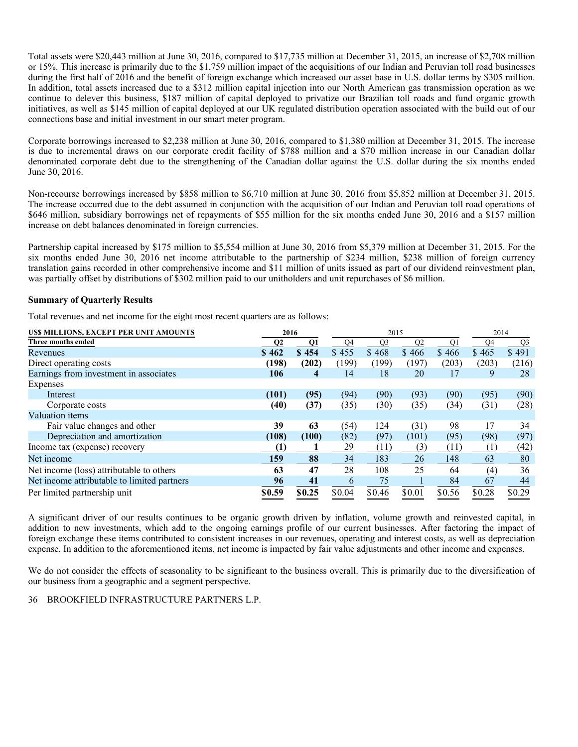Total assets were \$20,443 million at June 30, 2016, compared to \$17,735 million at December 31, 2015, an increase of \$2,708 million or 15%. This increase is primarily due to the \$1,759 million impact of the acquisitions of our Indian and Peruvian toll road businesses during the first half of 2016 and the benefit of foreign exchange which increased our asset base in U.S. dollar terms by \$305 million. In addition, total assets increased due to a \$312 million capital injection into our North American gas transmission operation as we continue to delever this business, \$187 million of capital deployed to privatize our Brazilian toll roads and fund organic growth initiatives, as well as \$145 million of capital deployed at our UK regulated distribution operation associated with the build out of our connections base and initial investment in our smart meter program.

Corporate borrowings increased to \$2,238 million at June 30, 2016, compared to \$1,380 million at December 31, 2015. The increase is due to incremental draws on our corporate credit facility of \$788 million and a \$70 million increase in our Canadian dollar denominated corporate debt due to the strengthening of the Canadian dollar against the U.S. dollar during the six months ended June 30, 2016.

Non-recourse borrowings increased by \$858 million to \$6,710 million at June 30, 2016 from \$5,852 million at December 31, 2015. The increase occurred due to the debt assumed in conjunction with the acquisition of our Indian and Peruvian toll road operations of \$646 million, subsidiary borrowings net of repayments of \$55 million for the six months ended June 30, 2016 and a \$157 million increase on debt balances denominated in foreign currencies.

Partnership capital increased by \$175 million to \$5,554 million at June 30, 2016 from \$5,379 million at December 31, 2015. For the six months ended June 30, 2016 net income attributable to the partnership of \$234 million, \$238 million of foreign currency translation gains recorded in other comprehensive income and \$11 million of units issued as part of our dividend reinvestment plan, was partially offset by distributions of \$302 million paid to our unitholders and unit repurchases of \$6 million.

#### **Summary of Quarterly Results**

Total revenues and net income for the eight most recent quarters are as follows:

| US\$ MILLIONS, EXCEPT PER UNIT AMOUNTS      | 2016             |                |        | 2015           |                | 2014           |        |        |
|---------------------------------------------|------------------|----------------|--------|----------------|----------------|----------------|--------|--------|
| Three months ended                          | Q <sub>2</sub>   | Q1             | Q4     | Q <sub>3</sub> | Q <sub>2</sub> | Q <sub>1</sub> | Q4     | Q3     |
| Revenues                                    | \$462            | \$454          | \$455  | \$468          | \$466          | \$466          | \$465  | \$491  |
| Direct operating costs                      | (198)            | (202)          | (199)  | (199)          | (197)          | (203)          | (203)  | (216)  |
| Earnings from investment in associates      | 106              | $\overline{4}$ | 14     | 18             | 20             | 17             | 9      | 28     |
| Expenses                                    |                  |                |        |                |                |                |        |        |
| Interest                                    | (101)            | (95)           | (94)   | (90)           | (93)           | (90)           | (95)   | (90)   |
| Corporate costs                             | (40)             | (37)           | (35)   | (30)           | (35)           | (34)           | (31)   | (28)   |
| Valuation items                             |                  |                |        |                |                |                |        |        |
| Fair value changes and other                | 39               | 63             | (54)   | 124            | (31)           | 98             | 17     | 34     |
| Depreciation and amortization               | (108)            | (100)          | (82)   | (97)           | (101)          | (95)           | (98)   | (97)   |
| Income tax (expense) recovery               | $\left(1\right)$ |                | 29     | (11)           | (3)            | (11)           | (1)    | (42)   |
| Net income                                  | 159              | 88             | 34     | 183            | 26             | 148            | 63     | 80     |
| Net income (loss) attributable to others    | 63               | 47             | 28     | 108            | 25             | 64             | (4)    | 36     |
| Net income attributable to limited partners | 96               | 41             | 6      | 75             |                | 84             | 67     | 44     |
| Per limited partnership unit                | \$0.59           | \$0.25         | \$0.04 | \$0.46         | \$0.01         | \$0.56         | \$0.28 | \$0.29 |

A significant driver of our results continues to be organic growth driven by inflation, volume growth and reinvested capital, in addition to new investments, which add to the ongoing earnings profile of our current businesses. After factoring the impact of foreign exchange these items contributed to consistent increases in our revenues, operating and interest costs, as well as depreciation expense. In addition to the aforementioned items, net income is impacted by fair value adjustments and other income and expenses.

We do not consider the effects of seasonality to be significant to the business overall. This is primarily due to the diversification of our business from a geographic and a segment perspective.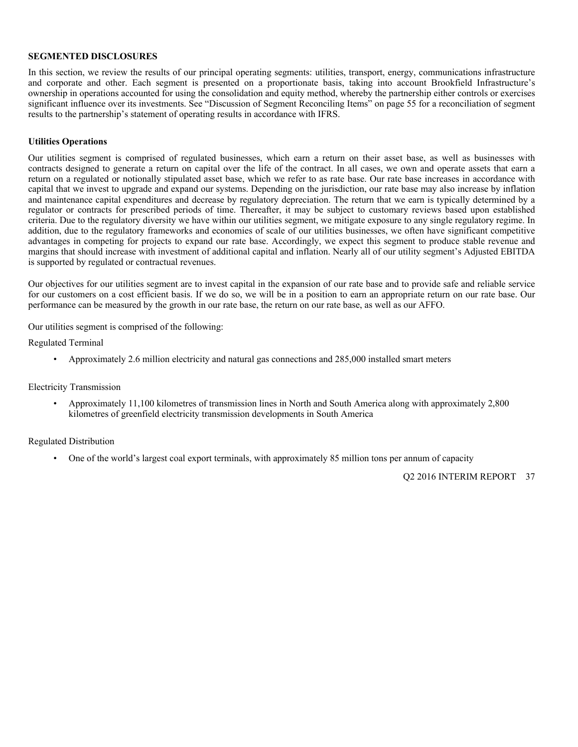#### **SEGMENTED DISCLOSURES**

In this section, we review the results of our principal operating segments: utilities, transport, energy, communications infrastructure and corporate and other. Each segment is presented on a proportionate basis, taking into account Brookfield Infrastructure's ownership in operations accounted for using the consolidation and equity method, whereby the partnership either controls or exercises significant influence over its investments. See "Discussion of Segment Reconciling Items" on page 55 for a reconciliation of segment results to the partnership's statement of operating results in accordance with IFRS.

#### **Utilities Operations**

Our utilities segment is comprised of regulated businesses, which earn a return on their asset base, as well as businesses with contracts designed to generate a return on capital over the life of the contract. In all cases, we own and operate assets that earn a return on a regulated or notionally stipulated asset base, which we refer to as rate base. Our rate base increases in accordance with capital that we invest to upgrade and expand our systems. Depending on the jurisdiction, our rate base may also increase by inflation and maintenance capital expenditures and decrease by regulatory depreciation. The return that we earn is typically determined by a regulator or contracts for prescribed periods of time. Thereafter, it may be subject to customary reviews based upon established criteria. Due to the regulatory diversity we have within our utilities segment, we mitigate exposure to any single regulatory regime. In addition, due to the regulatory frameworks and economies of scale of our utilities businesses, we often have significant competitive advantages in competing for projects to expand our rate base. Accordingly, we expect this segment to produce stable revenue and margins that should increase with investment of additional capital and inflation. Nearly all of our utility segment's Adjusted EBITDA is supported by regulated or contractual revenues.

Our objectives for our utilities segment are to invest capital in the expansion of our rate base and to provide safe and reliable service for our customers on a cost efficient basis. If we do so, we will be in a position to earn an appropriate return on our rate base. Our performance can be measured by the growth in our rate base, the return on our rate base, as well as our AFFO.

Our utilities segment is comprised of the following:

Regulated Terminal

• Approximately 2.6 million electricity and natural gas connections and 285,000 installed smart meters

#### Electricity Transmission

• Approximately 11,100 kilometres of transmission lines in North and South America along with approximately 2,800 kilometres of greenfield electricity transmission developments in South America

#### Regulated Distribution

• One of the world's largest coal export terminals, with approximately 85 million tons per annum of capacity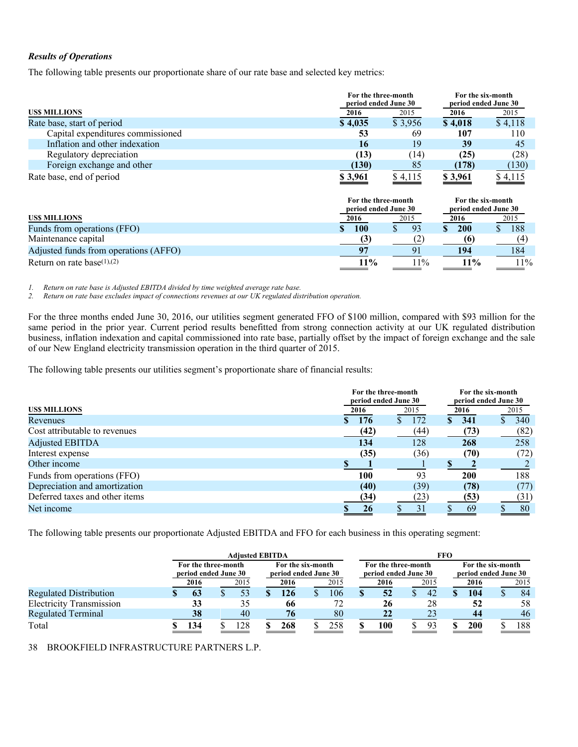# *Results of Operations*

The following table presents our proportionate share of our rate base and selected key metrics:

|                                   | For the three-month<br>period ended June 30 |         | For the six-month<br>period ended June 30 |             |
|-----------------------------------|---------------------------------------------|---------|-------------------------------------------|-------------|
| <b>USS MILLIONS</b>               | <u>2016</u>                                 | 2015    | 2016                                      | <u>2015</u> |
| Rate base, start of period        | \$4,035                                     | \$3,956 | \$4,018                                   | \$4,118     |
| Capital expenditures commissioned | 53                                          | 69      | 107                                       | 110         |
| Inflation and other indexation    | 16                                          | 19      | 39                                        | 45          |
| Regulatory depreciation           | (13)                                        | (14)    | (25)                                      | (28)        |
| Foreign exchange and other        | (130)                                       | 85      | (178)                                     | (130)       |
| Rate base, end of period          | <u>\$3,961</u>                              | \$4,115 | \$3,961                                   | \$4,115     |

|                                       | For the three-month<br>period ended June 30 | For the six-month<br>period ended June 30 |       |      |
|---------------------------------------|---------------------------------------------|-------------------------------------------|-------|------|
| <b>USS MILLIONS</b>                   | 2016                                        | 2015                                      | 2016  | 2015 |
| Funds from operations (FFO)           | 100                                         | 93                                        | 200   | 188  |
| Maintenance capital                   |                                             |                                           |       |      |
| Adjusted funds from operations (AFFO) |                                             |                                           | 194   | 184  |
| Return on rate base $(1),(2)$         | 11%                                         | $1\%$                                     | $1\%$ | 12%  |

*1. Return on rate base is Adjusted EBITDA divided by time weighted average rate base.* 

*2. Return on rate base excludes impact of connections revenues at our UK regulated distribution operation.* 

For the three months ended June 30, 2016, our utilities segment generated FFO of \$100 million, compared with \$93 million for the same period in the prior year. Current period results benefitted from strong connection activity at our UK regulated distribution business, inflation indexation and capital commissioned into rate base, partially offset by the impact of foreign exchange and the sale of our New England electricity transmission operation in the third quarter of 2015.

The following table presents our utilities segment's proportionate share of financial results:

|                                |      | For the three-month<br>period ended June 30 |      |    |      |  |      |
|--------------------------------|------|---------------------------------------------|------|----|------|--|------|
| <b>USS MILLIONS</b>            | 2016 |                                             | 2015 |    | 2016 |  | 2015 |
| Revenues                       |      | 176                                         | 172  | S. | 341  |  | 340  |
| Cost attributable to revenues  |      | (42)                                        | (44) |    | (73) |  | (82) |
| <b>Adjusted EBITDA</b>         |      | 134                                         | 128  |    | 268  |  | 258  |
| Interest expense               |      | (35)                                        | (36) |    | (70) |  | (72) |
| Other income                   |      |                                             |      |    |      |  |      |
| Funds from operations (FFO)    |      | 100                                         | 93   |    | 200  |  | 188  |
| Depreciation and amortization  |      | (40)                                        | (39) |    | (78) |  | (77) |
| Deferred taxes and other items |      | (34)                                        | (23) |    | (53) |  | (31) |
| Net income                     |      | 26                                          | 31   |    | 69   |  | 80   |

The following table presents our proportionate Adjusted EBITDA and FFO for each business in this operating segment:

|                                 | <b>Adiusted EBITDA</b>                      |  |      |                                           |      | FFO |      |                                             |      |  |                                           |  |      |  |      |
|---------------------------------|---------------------------------------------|--|------|-------------------------------------------|------|-----|------|---------------------------------------------|------|--|-------------------------------------------|--|------|--|------|
|                                 | For the three-month<br>period ended June 30 |  |      | For the six-month<br>period ended June 30 |      |     |      | For the three-month<br>period ended June 30 |      |  | For the six-month<br>period ended June 30 |  |      |  |      |
|                                 | 2016                                        |  | 2015 |                                           | 2016 |     | 2015 |                                             | 2016 |  | 2015                                      |  | 2016 |  | 2015 |
| <b>Regulated Distribution</b>   | 63                                          |  | 53   |                                           | 126  |     | 106  |                                             | 52   |  | 42                                        |  | 104  |  | 84   |
| <b>Electricity Transmission</b> | 33                                          |  | 35   |                                           | -66  |     | 72   |                                             | 26   |  | 28                                        |  | 52   |  | 58   |
| <b>Regulated Terminal</b>       | 38                                          |  | 40   |                                           | 76   |     | 80   |                                             | 22   |  |                                           |  | 44   |  | 46   |
| Total                           | 134                                         |  | 28   |                                           | 268  |     | 258  |                                             | 100  |  | 93                                        |  | 200  |  | 188  |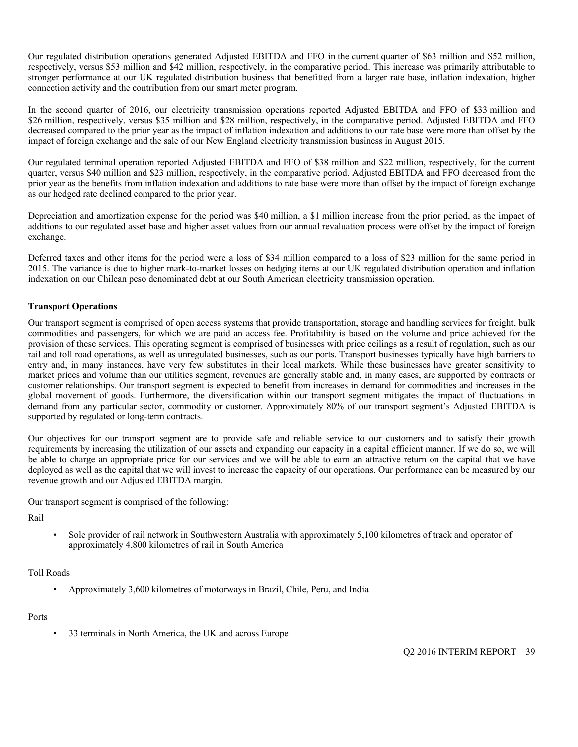Our regulated distribution operations generated Adjusted EBITDA and FFO in the current quarter of \$63 million and \$52 million, respectively, versus \$53 million and \$42 million, respectively, in the comparative period. This increase was primarily attributable to stronger performance at our UK regulated distribution business that benefitted from a larger rate base, inflation indexation, higher connection activity and the contribution from our smart meter program.

In the second quarter of 2016, our electricity transmission operations reported Adjusted EBITDA and FFO of \$33 million and \$26 million, respectively, versus \$35 million and \$28 million, respectively, in the comparative period. Adjusted EBITDA and FFO decreased compared to the prior year as the impact of inflation indexation and additions to our rate base were more than offset by the impact of foreign exchange and the sale of our New England electricity transmission business in August 2015.

Our regulated terminal operation reported Adjusted EBITDA and FFO of \$38 million and \$22 million, respectively, for the current quarter, versus \$40 million and \$23 million, respectively, in the comparative period. Adjusted EBITDA and FFO decreased from the prior year as the benefits from inflation indexation and additions to rate base were more than offset by the impact of foreign exchange as our hedged rate declined compared to the prior year.

Depreciation and amortization expense for the period was \$40 million, a \$1 million increase from the prior period, as the impact of additions to our regulated asset base and higher asset values from our annual revaluation process were offset by the impact of foreign exchange.

Deferred taxes and other items for the period were a loss of \$34 million compared to a loss of \$23 million for the same period in 2015. The variance is due to higher mark-to-market losses on hedging items at our UK regulated distribution operation and inflation indexation on our Chilean peso denominated debt at our South American electricity transmission operation.

# **Transport Operations**

Our transport segment is comprised of open access systems that provide transportation, storage and handling services for freight, bulk commodities and passengers, for which we are paid an access fee. Profitability is based on the volume and price achieved for the provision of these services. This operating segment is comprised of businesses with price ceilings as a result of regulation, such as our rail and toll road operations, as well as unregulated businesses, such as our ports. Transport businesses typically have high barriers to entry and, in many instances, have very few substitutes in their local markets. While these businesses have greater sensitivity to market prices and volume than our utilities segment, revenues are generally stable and, in many cases, are supported by contracts or customer relationships. Our transport segment is expected to benefit from increases in demand for commodities and increases in the global movement of goods. Furthermore, the diversification within our transport segment mitigates the impact of fluctuations in demand from any particular sector, commodity or customer. Approximately 80% of our transport segment's Adjusted EBITDA is supported by regulated or long-term contracts.

Our objectives for our transport segment are to provide safe and reliable service to our customers and to satisfy their growth requirements by increasing the utilization of our assets and expanding our capacity in a capital efficient manner. If we do so, we will be able to charge an appropriate price for our services and we will be able to earn an attractive return on the capital that we have deployed as well as the capital that we will invest to increase the capacity of our operations. Our performance can be measured by our revenue growth and our Adjusted EBITDA margin.

Our transport segment is comprised of the following:

Rail

• Sole provider of rail network in Southwestern Australia with approximately 5,100 kilometres of track and operator of approximately 4,800 kilometres of rail in South America

#### Toll Roads

• Approximately 3,600 kilometres of motorways in Brazil, Chile, Peru, and India

#### Ports

33 terminals in North America, the UK and across Europe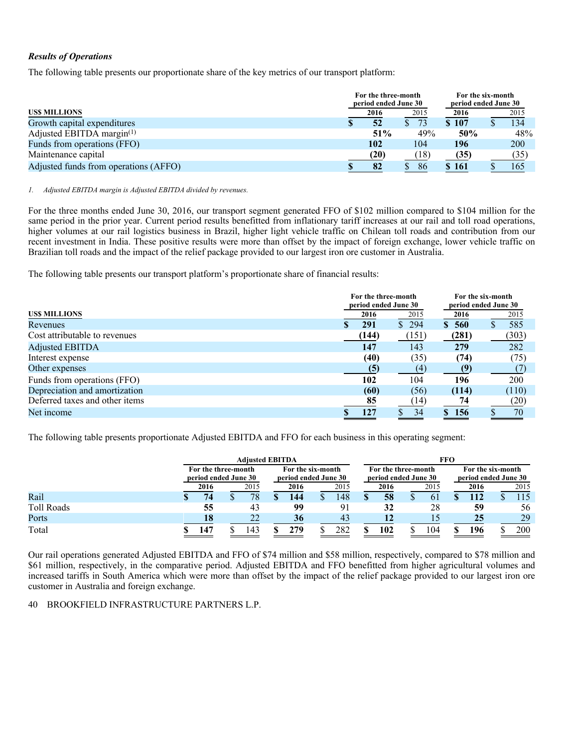# *Results of Operations*

The following table presents our proportionate share of the key metrics of our transport platform:

|                                       | For the three-month<br>period ended June 30 | For the six-month<br>period ended June 30 |      |       |  |      |
|---------------------------------------|---------------------------------------------|-------------------------------------------|------|-------|--|------|
| <b>USS MILLIONS</b>                   |                                             | 2016                                      | 2015 | 2016  |  | 2015 |
| Growth capital expenditures           |                                             | 52                                        | 73   | \$107 |  | 134  |
| Adjusted EBITDA margin $(1)$          |                                             | 51%                                       | 49%  | 50%   |  | 48%  |
| Funds from operations (FFO)           |                                             | 102                                       | 104  | 196   |  | 200  |
| Maintenance capital                   |                                             | (20)                                      | (18) | (35)  |  | (35) |
| Adjusted funds from operations (AFFO) |                                             | 82                                        | 86   | \$161 |  | 165  |

*1. Adjusted EBITDA margin is Adjusted EBITDA divided by revenues.* 

For the three months ended June 30, 2016, our transport segment generated FFO of \$102 million compared to \$104 million for the same period in the prior year. Current period results benefitted from inflationary tariff increases at our rail and toll road operations, higher volumes at our rail logistics business in Brazil, higher light vehicle traffic on Chilean toll roads and contribution from our recent investment in India. These positive results were more than offset by the impact of foreign exchange, lower vehicle traffic on Brazilian toll roads and the impact of the relief package provided to our largest iron ore customer in Australia.

The following table presents our transport platform's proportionate share of financial results:

|                                | For the three-month<br>period ended June 30 |       |       |       | For the six-month<br>period ended June 30 |  |
|--------------------------------|---------------------------------------------|-------|-------|-------|-------------------------------------------|--|
| US\$ MILLIONS                  |                                             | 2016  | 2015  | 2016  | 2015                                      |  |
| Revenues                       |                                             | 291   | \$294 | \$560 | 585                                       |  |
| Cost attributable to revenues  |                                             | (144) | (151) | (281) | (303)                                     |  |
| <b>Adjusted EBITDA</b>         |                                             | 147   | 143   | 279   | 282                                       |  |
| Interest expense               |                                             | (40)  | (35)  | (74)  | (75)                                      |  |
| Other expenses                 |                                             | (5)   | (4)   | (9)   |                                           |  |
| Funds from operations (FFO)    |                                             | 102   | 104   | 196   | 200                                       |  |
| Depreciation and amortization  |                                             | (60)  | (56)  | (114) | (110)                                     |  |
| Deferred taxes and other items |                                             | 85    | (14)  | 74    | (20)                                      |  |
| Net income                     |                                             | 127   | 34    | \$156 | 70                                        |  |

The following table presents proportionate Adjusted EBITDA and FFO for each business in this operating segment:

|                   | <b>Adjusted EBITDA</b> |  |      |                   |                      | <b>FFO</b> |                      |  |      |  |      |                      |      |  |      |
|-------------------|------------------------|--|------|-------------------|----------------------|------------|----------------------|--|------|--|------|----------------------|------|--|------|
|                   | For the three-month    |  |      | For the six-month |                      |            | For the three-month  |  |      |  |      | For the six-month    |      |  |      |
|                   | period ended June 30   |  |      |                   | period ended June 30 |            | period ended June 30 |  |      |  |      | period ended June 30 |      |  |      |
|                   | 2016                   |  | 2015 |                   | 2016                 |            | 2015                 |  | 2016 |  | 2015 |                      | 2016 |  | 2015 |
| Rail              | 74                     |  | 78   |                   | 144                  |            | 148                  |  | 58   |  | 61   |                      | 112  |  | .15  |
| <b>Toll Roads</b> | 55                     |  | 43   |                   | 99                   |            |                      |  | 32   |  | 28   |                      | 59   |  | 56   |
| Ports             | 18                     |  | 22   |                   | 36                   |            | 43                   |  | 12   |  |      |                      | 25   |  | 29   |
| Total             | 147                    |  | 143  |                   | 279                  |            | 282                  |  | 102  |  | 104  |                      | 196  |  | 200  |

Our rail operations generated Adjusted EBITDA and FFO of \$74 million and \$58 million, respectively, compared to \$78 million and \$61 million, respectively, in the comparative period. Adjusted EBITDA and FFO benefitted from higher agricultural volumes and increased tariffs in South America which were more than offset by the impact of the relief package provided to our largest iron ore customer in Australia and foreign exchange.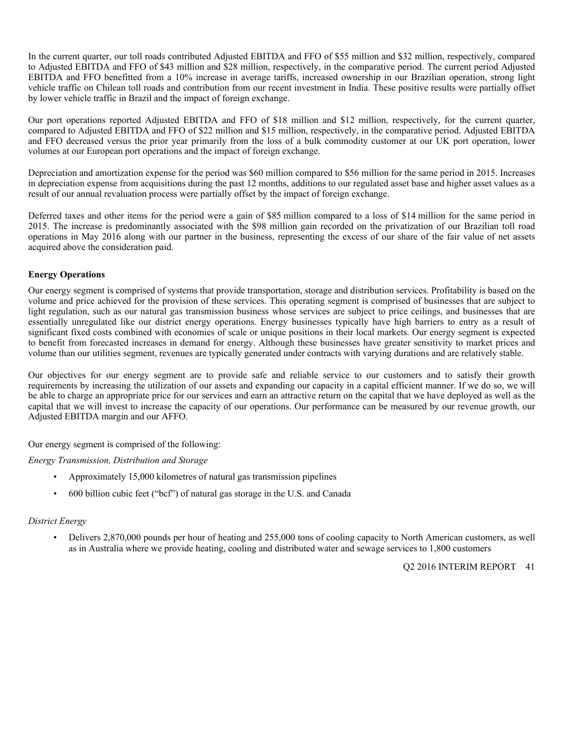In the current quarter, our toll roads contributed Adjusted EBITDA and FFO of \$55 million and \$32 million, respectively, compared to Adjusted EBITDA and FFO of \$43 million and \$28 million, respectively, in the comparative period. The current period Adjusted EBITDA and FFO benefitted from a 10% increase in average tariffs, increased ownership in our Brazilian operation, strong light vehicle traffic on Chilean toll roads and contribution from our recent investment in India. These positive results were partially offset by lower vehicle traffic in Brazil and the impact of foreign exchange.

Our port operations reported Adjusted EBITDA and FFO of \$18 million and \$12 million, respectively, for the current quarter, compared to Adjusted EBITDA and FFO of \$22 million and \$15 million, respectively, in the comparative period. Adjusted EBITDA and FFO decreased versus the prior year primarily from the loss of a bulk commodity customer at our UK port operation, lower volumes at our European port operations and the impact of foreign exchange.

Depreciation and amortization expense for the period was \$60 million compared to \$56 million for the same period in 2015. Increases in depreciation expense from acquisitions during the past 12 months, additions to our regulated asset base and higher asset values as a result of our annual revaluation process were partially offset by the impact of foreign exchange.

Deferred taxes and other items for the period were a gain of \$85 million compared to a loss of \$14 million for the same period in 2015. The increase is predominantly associated with the \$98 million gain recorded on the privatization of our Brazilian toll road operations in May 2016 along with our partner in the business, representing the excess of our share of the fair value of net assets acquired above the consideration paid.

# **Energy Operations**

Our energy segment is comprised of systems that provide transportation, storage and distribution services. Profitability is based on the volume and price achieved for the provision of these services. This operating segment is comprised of businesses that are subject to light regulation, such as our natural gas transmission business whose services are subject to price ceilings, and businesses that are essentially unregulated like our district energy operations. Energy businesses typically have high barriers to entry as a result of significant fixed costs combined with economies of scale or unique positions in their local markets. Our energy segment is expected to benefit from forecasted increases in demand for energy. Although these businesses have greater sensitivity to market prices and volume than our utilities segment, revenues are typically generated under contracts with varying durations and are relatively stable.

Our objectives for our energy segment are to provide safe and reliable service to our customers and to satisfy their growth requirements by increasing the utilization of our assets and expanding our capacity in a capital efficient manner. If we do so, we will be able to charge an appropriate price for our services and earn an attractive return on the capital that we have deployed as well as the capital that we will invest to increase the capacity of our operations. Our performance can be measured by our revenue growth, our Adjusted EBITDA margin and our AFFO.

Our energy segment is comprised of the following:

*Energy Transmission, Distribution and Storage* 

- Approximately 15,000 kilometres of natural gas transmission pipelines
- 600 billion cubic feet ("bcf") of natural gas storage in the U.S. and Canada

# *District Energy*

• Delivers 2,870,000 pounds per hour of heating and 255,000 tons of cooling capacity to North American customers, as well as in Australia where we provide heating, cooling and distributed water and sewage services to 1,800 customers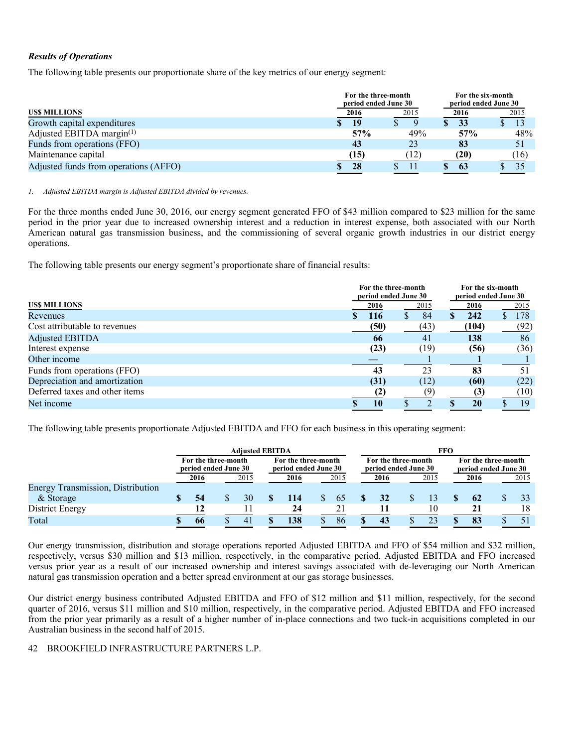# *Results of Operations*

The following table presents our proportionate share of the key metrics of our energy segment:

|                                       |      | For the three-month<br>period ended June 30 | For the six-month<br>period ended June 30 |             |
|---------------------------------------|------|---------------------------------------------|-------------------------------------------|-------------|
| <b>USS MILLIONS</b>                   | 2016 | 2015                                        | 2016                                      | <u>2015</u> |
| Growth capital expenditures           | 19   |                                             | 33                                        |             |
| Adjusted EBITDA margin $(1)$          | 57%  | 49%                                         | 57%                                       | 48%         |
| Funds from operations (FFO)           | 43   | 23                                          | -83                                       | 51          |
| Maintenance capital                   | (15) | (12)                                        | (20)                                      | (16)        |
| Adjusted funds from operations (AFFO) | 28   |                                             | 63                                        | 35          |

*1. Adjusted EBITDA margin is Adjusted EBITDA divided by revenues.* 

For the three months ended June 30, 2016, our energy segment generated FFO of \$43 million compared to \$23 million for the same period in the prior year due to increased ownership interest and a reduction in interest expense, both associated with our North American natural gas transmission business, and the commissioning of several organic growth industries in our district energy operations.

The following table presents our energy segment's proportionate share of financial results:

|                                |      | For the three-month<br>period ended June 30 |       |           |  |  |  |  |
|--------------------------------|------|---------------------------------------------|-------|-----------|--|--|--|--|
| <b>USS MILLIONS</b>            | 2016 | 2015                                        | 2016  | 2015      |  |  |  |  |
| Revenues                       | 116  | 84                                          | 242   | 178<br>S. |  |  |  |  |
| Cost attributable to revenues  | (50) | (43)                                        | (104) | (92)      |  |  |  |  |
| <b>Adjusted EBITDA</b>         | 66   | 41                                          | 138   | 86        |  |  |  |  |
| Interest expense               | (23) | (19)                                        | (56)  | (36)      |  |  |  |  |
| Other income                   |      |                                             |       |           |  |  |  |  |
| Funds from operations (FFO)    | 43   | 23                                          | 83    | 51        |  |  |  |  |
| Depreciation and amortization  | (31) | (12)                                        | (60)  | (22)      |  |  |  |  |
| Deferred taxes and other items | (2)  |                                             | (3)   | (10)      |  |  |  |  |
| Net income                     | 10   |                                             | 20    | 19        |  |  |  |  |

The following table presents proportionate Adjusted EBITDA and FFO for each business in this operating segment:

|                                          | <b>Adiusted EBITDA</b>                      |      |  |                |                                             |      |                                             |      | <b>FFO</b>                                  |  |      |  |      |
|------------------------------------------|---------------------------------------------|------|--|----------------|---------------------------------------------|------|---------------------------------------------|------|---------------------------------------------|--|------|--|------|
|                                          | For the three-month<br>period ended June 30 |      |  |                | For the three-month<br>period ended June 30 |      | For the three-month<br>period ended June 30 |      | For the three-month<br>period ended June 30 |  |      |  |      |
|                                          |                                             | 2016 |  | 2015           |                                             | 2016 | 2015                                        | 2016 | 2015                                        |  | 2016 |  | 2015 |
| <b>Energy Transmission, Distribution</b> |                                             |      |  |                |                                             |      |                                             |      |                                             |  |      |  |      |
| & Storage                                |                                             |      |  | 30             |                                             | 114  | 65                                          |      | 13                                          |  | 62   |  | 33   |
| District Energy                          |                                             |      |  |                |                                             | 24   |                                             |      | 10                                          |  | 21   |  | 18   |
| Total                                    |                                             | 66   |  | $\overline{4}$ |                                             | 138  | 86                                          | 43   | 23                                          |  | 83   |  | 51   |

Our energy transmission, distribution and storage operations reported Adjusted EBITDA and FFO of \$54 million and \$32 million, respectively, versus \$30 million and \$13 million, respectively, in the comparative period. Adjusted EBITDA and FFO increased versus prior year as a result of our increased ownership and interest savings associated with de-leveraging our North American natural gas transmission operation and a better spread environment at our gas storage businesses.

Our district energy business contributed Adjusted EBITDA and FFO of \$12 million and \$11 million, respectively, for the second quarter of 2016, versus \$11 million and \$10 million, respectively, in the comparative period. Adjusted EBITDA and FFO increased from the prior year primarily as a result of a higher number of in-place connections and two tuck-in acquisitions completed in our Australian business in the second half of 2015.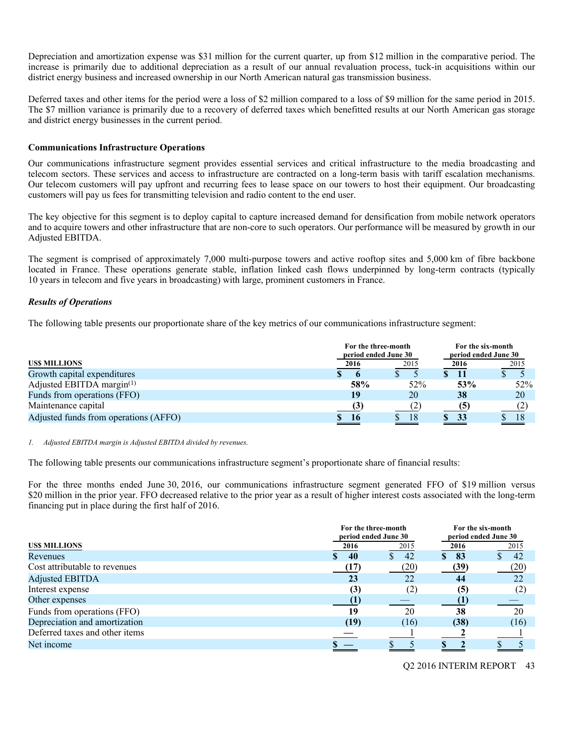Depreciation and amortization expense was \$31 million for the current quarter, up from \$12 million in the comparative period. The increase is primarily due to additional depreciation as a result of our annual revaluation process, tuck-in acquisitions within our district energy business and increased ownership in our North American natural gas transmission business.

Deferred taxes and other items for the period were a loss of \$2 million compared to a loss of \$9 million for the same period in 2015. The \$7 million variance is primarily due to a recovery of deferred taxes which benefitted results at our North American gas storage and district energy businesses in the current period.

#### **Communications Infrastructure Operations**

Our communications infrastructure segment provides essential services and critical infrastructure to the media broadcasting and telecom sectors. These services and access to infrastructure are contracted on a long-term basis with tariff escalation mechanisms. Our telecom customers will pay upfront and recurring fees to lease space on our towers to host their equipment. Our broadcasting customers will pay us fees for transmitting television and radio content to the end user.

The key objective for this segment is to deploy capital to capture increased demand for densification from mobile network operators and to acquire towers and other infrastructure that are non-core to such operators. Our performance will be measured by growth in our Adjusted EBITDA.

The segment is comprised of approximately 7,000 multi-purpose towers and active rooftop sites and 5,000 km of fibre backbone located in France. These operations generate stable, inflation linked cash flows underpinned by long-term contracts (typically 10 years in telecom and five years in broadcasting) with large, prominent customers in France.

#### *Results of Operations*

The following table presents our proportionate share of the key metrics of our communications infrastructure segment:

|                                       |      | For the six-month<br>For the three-month<br>period ended June 30<br>period ended June 30 |      |      |  |  |  |  |
|---------------------------------------|------|------------------------------------------------------------------------------------------|------|------|--|--|--|--|
| <b>USS MILLIONS</b>                   | 2016 | 2015                                                                                     | 2016 | 2015 |  |  |  |  |
| Growth capital expenditures           |      |                                                                                          | 11   |      |  |  |  |  |
| Adjusted EBITDA margin $(1)$          | 58%  | 52%                                                                                      | 53%  | 52%  |  |  |  |  |
| Funds from operations (FFO)           | 19   | 20                                                                                       | 38   | 20   |  |  |  |  |
| Maintenance capital                   |      |                                                                                          | (5   |      |  |  |  |  |
| Adjusted funds from operations (AFFO) | 16   | 18                                                                                       | 33   | 18   |  |  |  |  |

#### *1. Adjusted EBITDA margin is Adjusted EBITDA divided by revenues.*

The following table presents our communications infrastructure segment's proportionate share of financial results:

For the three months ended June 30, 2016, our communications infrastructure segment generated FFO of \$19 million versus \$20 million in the prior year. FFO decreased relative to the prior year as a result of higher interest costs associated with the long-term financing put in place during the first half of 2016.

|                                | For the three-month<br>period ended June 30 |                   | For the six-month<br>period ended June 30 |      |  |  |
|--------------------------------|---------------------------------------------|-------------------|-------------------------------------------|------|--|--|
| <b>USS MILLIONS</b>            | 2016                                        | 2015              | 2016                                      | 2015 |  |  |
| Revenues                       | 40                                          | S.<br>42          | 83<br><sup>\$</sup>                       | 42   |  |  |
| Cost attributable to revenues  | (17)                                        | (20)              | (39)                                      | (20) |  |  |
| <b>Adjusted EBITDA</b>         | 23                                          | 22                | 44                                        | 22   |  |  |
| Interest expense               | (3)                                         | $\left( 2\right)$ | (5)                                       | (2)  |  |  |
| Other expenses                 | (1                                          |                   |                                           |      |  |  |
| Funds from operations (FFO)    | 19                                          | 20                | 38                                        | 20   |  |  |
| Depreciation and amortization  | (19)                                        | (16)              | (38)                                      | (16) |  |  |
| Deferred taxes and other items |                                             |                   |                                           |      |  |  |
| Net income                     |                                             |                   |                                           |      |  |  |
|                                |                                             |                   |                                           |      |  |  |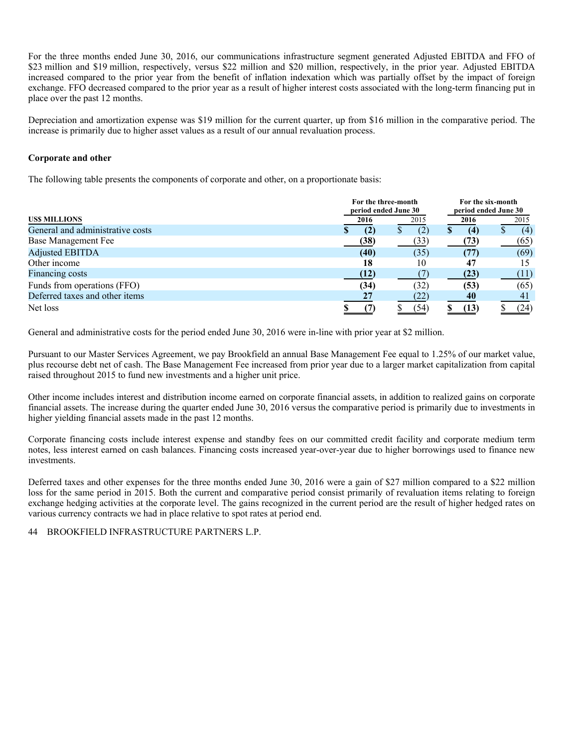For the three months ended June 30, 2016, our communications infrastructure segment generated Adjusted EBITDA and FFO of \$23 million and \$19 million, respectively, versus \$22 million and \$20 million, respectively, in the prior year. Adjusted EBITDA increased compared to the prior year from the benefit of inflation indexation which was partially offset by the impact of foreign exchange. FFO decreased compared to the prior year as a result of higher interest costs associated with the long-term financing put in place over the past 12 months.

Depreciation and amortization expense was \$19 million for the current quarter, up from \$16 million in the comparative period. The increase is primarily due to higher asset values as a result of our annual revaluation process.

# **Corporate and other**

The following table presents the components of corporate and other, on a proportionate basis:

|                                  | For the three-month<br>period ended June 30 |  | For the six-month<br>period ended June 30 |              |      |              |      |
|----------------------------------|---------------------------------------------|--|-------------------------------------------|--------------|------|--------------|------|
| <b>USS MILLIONS</b>              | 2016                                        |  | 2015                                      |              | 2016 |              | 2015 |
| General and administrative costs | (2)                                         |  | (2)                                       | <sup>S</sup> | (4)  | $\mathbf{D}$ | (4)  |
| Base Management Fee              | (38)                                        |  | (33)                                      |              | 73)  |              | (65) |
| <b>Adjusted EBITDA</b>           | (40)                                        |  | (35)                                      |              | ,77) |              | (69) |
| Other income                     | 18                                          |  | 10                                        |              | 47   |              | 15   |
| Financing costs                  | (12)                                        |  |                                           |              | (23) |              | (11) |
| Funds from operations (FFO)      | (34)                                        |  | (32)                                      |              | (53) |              | (65) |
| Deferred taxes and other items   | 27                                          |  | (22)                                      |              | 40   |              | 41   |
| Net loss                         |                                             |  | (54)                                      |              | (13) |              | (24) |

General and administrative costs for the period ended June 30, 2016 were in-line with prior year at \$2 million.

Pursuant to our Master Services Agreement, we pay Brookfield an annual Base Management Fee equal to 1.25% of our market value, plus recourse debt net of cash. The Base Management Fee increased from prior year due to a larger market capitalization from capital raised throughout 2015 to fund new investments and a higher unit price.

Other income includes interest and distribution income earned on corporate financial assets, in addition to realized gains on corporate financial assets. The increase during the quarter ended June 30, 2016 versus the comparative period is primarily due to investments in higher yielding financial assets made in the past 12 months.

Corporate financing costs include interest expense and standby fees on our committed credit facility and corporate medium term notes, less interest earned on cash balances. Financing costs increased year-over-year due to higher borrowings used to finance new investments.

Deferred taxes and other expenses for the three months ended June 30, 2016 were a gain of \$27 million compared to a \$22 million loss for the same period in 2015. Both the current and comparative period consist primarily of revaluation items relating to foreign exchange hedging activities at the corporate level. The gains recognized in the current period are the result of higher hedged rates on various currency contracts we had in place relative to spot rates at period end.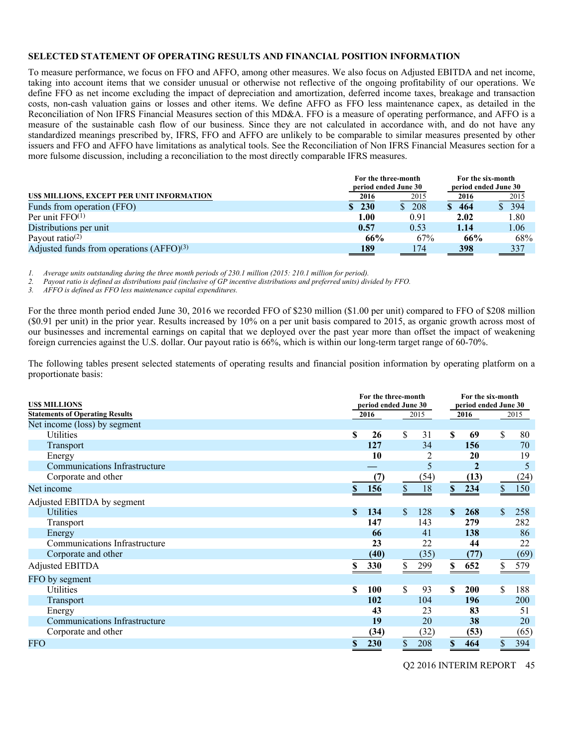#### **SELECTED STATEMENT OF OPERATING RESULTS AND FINANCIAL POSITION INFORMATION**

To measure performance, we focus on FFO and AFFO, among other measures. We also focus on Adjusted EBITDA and net income, taking into account items that we consider unusual or otherwise not reflective of the ongoing profitability of our operations. We define FFO as net income excluding the impact of depreciation and amortization, deferred income taxes, breakage and transaction costs, non-cash valuation gains or losses and other items. We define AFFO as FFO less maintenance capex, as detailed in the Reconciliation of Non IFRS Financial Measures section of this MD&A. FFO is a measure of operating performance, and AFFO is a measure of the sustainable cash flow of our business. Since they are not calculated in accordance with, and do not have any standardized meanings prescribed by, IFRS, FFO and AFFO are unlikely to be comparable to similar measures presented by other issuers and FFO and AFFO have limitations as analytical tools. See the Reconciliation of Non IFRS Financial Measures section for a more fulsome discussion, including a reconciliation to the most directly comparable IFRS measures.

|                                            | For the six-month<br>For the three-month<br>period ended June 30<br>period ended June 30 |                     |              |                                 |  |  |
|--------------------------------------------|------------------------------------------------------------------------------------------|---------------------|--------------|---------------------------------|--|--|
| US\$ MILLIONS, EXCEPT PER UNIT INFORMATION | 2016                                                                                     | 2015                | 2016         | 2015                            |  |  |
| Funds from operation (FFO)                 | \$230                                                                                    | 208<br><sup>S</sup> | \$464        | $\overline{\$}$ 394             |  |  |
| Per unit $FFO(1)$                          | 1.00                                                                                     | 0.91                | 2.02         | 1.80                            |  |  |
| Distributions per unit                     | 0.57                                                                                     | 0.53                | 1.14         | 1.06                            |  |  |
| Payout ratio <sup>(2)</sup>                | 66%                                                                                      | 67%                 | 66%          | 68%                             |  |  |
| Adjusted funds from operations $(AFFO)(3)$ | 189<br>_____                                                                             | 174                 | 398<br>_____ | 337<br>$\overline{\phantom{a}}$ |  |  |

*1. Average units outstanding during the three month periods of 230.1 million (2015: 210.1 million for period).* 

*2. Payout ratio is defined as distributions paid (inclusive of GP incentive distributions and preferred units) divided by FFO.* 

*3. AFFO is defined as FFO less maintenance capital expenditures.* 

For the three month period ended June 30, 2016 we recorded FFO of \$230 million (\$1.00 per unit) compared to FFO of \$208 million (\$0.91 per unit) in the prior year. Results increased by 10% on a per unit basis compared to 2015, as organic growth across most of our businesses and incremental earnings on capital that we deployed over the past year more than offset the impact of weakening foreign currencies against the U.S. dollar. Our payout ratio is 66%, which is within our long-term target range of 60-70%.

The following tables present selected statements of operating results and financial position information by operating platform on a proportionate basis:

| <b>USS MILLIONS</b>                    | For the three-month<br>For the six-month<br>period ended June 30<br>period ended June 30 |      |               |      |              |             |                           |      |
|----------------------------------------|------------------------------------------------------------------------------------------|------|---------------|------|--------------|-------------|---------------------------|------|
| <b>Statements of Operating Results</b> | 2016                                                                                     |      |               | 2015 |              | 2016        |                           | 2015 |
| Net income (loss) by segment           |                                                                                          |      |               |      |              |             |                           |      |
| Utilities                              | \$                                                                                       | 26   | \$            | 31   | \$.          | 69          | \$                        | 80   |
| Transport                              |                                                                                          | 127  |               | 34   |              | 156         |                           | 70   |
| Energy                                 |                                                                                          | 10   |               | 2    |              | 20          |                           | 19   |
| Communications Infrastructure          |                                                                                          |      |               | 5    |              | $\mathbf 2$ |                           | 5    |
| Corporate and other                    |                                                                                          | (7)  |               | (54) |              | (13)        |                           | (24) |
| Net income                             | S.                                                                                       | 156  | $\mathsf{\$}$ | 18   | $\mathbb{S}$ | 234         | $\boldsymbol{\mathsf{S}}$ | 150  |
| Adjusted EBITDA by segment             |                                                                                          |      |               |      |              |             |                           |      |
| <b>Utilities</b>                       | S                                                                                        | 134  | \$            | 128  | $\mathbf{s}$ | 268         | \$                        | 258  |
| Transport                              |                                                                                          | 147  |               | 143  |              | 279         |                           | 282  |
| Energy                                 |                                                                                          | 66   |               | 41   |              | 138         |                           | 86   |
| Communications Infrastructure          |                                                                                          | 23   |               | 22   |              | 44          |                           | 22   |
| Corporate and other                    |                                                                                          | (40) |               | (35) |              | (77)        |                           | (69) |
| Adjusted EBITDA                        | S                                                                                        | 330  | \$            | 299  | \$           | 652         | S.                        | 579  |
| FFO by segment                         |                                                                                          |      |               |      |              |             |                           |      |
| Utilities                              | \$                                                                                       | 100  | \$            | 93   | S            | <b>200</b>  | \$                        | 188  |
| Transport                              |                                                                                          | 102  |               | 104  |              | 196         |                           | 200  |
| Energy                                 |                                                                                          | 43   |               | 23   |              | 83          |                           | 51   |
| Communications Infrastructure          |                                                                                          | 19   |               | 20   |              | 38          |                           | 20   |
| Corporate and other                    |                                                                                          | (34) |               | (32) |              | (53)        |                           | (65) |
| FFO                                    | \$                                                                                       | 230  | \$            | 208  | \$           | 464         | \$                        | 394  |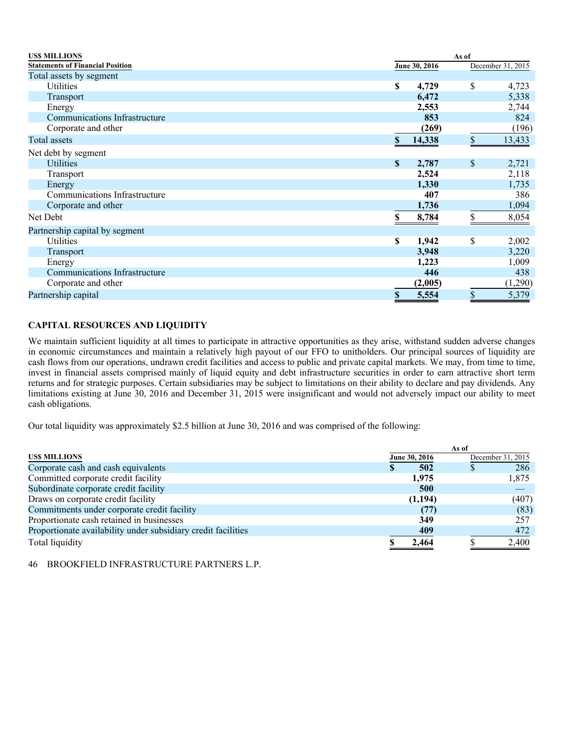| <b>USS MILLIONS</b>                     | As of                   |               |    |                   |  |
|-----------------------------------------|-------------------------|---------------|----|-------------------|--|
| <b>Statements of Financial Position</b> |                         | June 30, 2016 |    | December 31, 2015 |  |
| Total assets by segment                 |                         |               |    |                   |  |
| Utilities                               | \$                      | 4,729         | \$ | 4,723             |  |
| Transport                               |                         | 6,472         |    | 5,338             |  |
| Energy                                  |                         | 2,553         |    | 2,744             |  |
| <b>Communications Infrastructure</b>    |                         | 853           |    | 824               |  |
| Corporate and other                     |                         | (269)         |    | (196)             |  |
| Total assets                            | \$                      | 14,338        | \$ | 13,433            |  |
| Net debt by segment                     |                         |               |    |                   |  |
| <b>Utilities</b>                        | $\mathbf{\$}$           | 2,787         | \$ | 2,721             |  |
| <b>Transport</b>                        |                         | 2,524         |    | 2,118             |  |
| Energy                                  |                         | 1,330         |    | 1,735             |  |
| Communications Infrastructure           |                         | 407           |    | 386               |  |
| Corporate and other                     |                         | 1,736         |    | 1,094             |  |
| Net Debt                                | S                       | 8,784         | \$ | 8,054             |  |
| Partnership capital by segment          |                         |               |    |                   |  |
| Utilities                               | \$                      | 1,942         | \$ | 2,002             |  |
| Transport                               |                         | 3,948         |    | 3,220             |  |
| Energy                                  |                         | 1,223         |    | 1,009             |  |
| Communications Infrastructure           |                         | 446           |    | 438               |  |
| Corporate and other                     |                         | (2,005)       |    | (1,290)           |  |
| Partnership capital                     | $\overline{\mathbf{S}}$ | 5,554         | \$ | 5,379             |  |

# **CAPITAL RESOURCES AND LIQUIDITY**

We maintain sufficient liquidity at all times to participate in attractive opportunities as they arise, withstand sudden adverse changes in economic circumstances and maintain a relatively high payout of our FFO to unitholders. Our principal sources of liquidity are cash flows from our operations, undrawn credit facilities and access to public and private capital markets. We may, from time to time, invest in financial assets comprised mainly of liquid equity and debt infrastructure securities in order to earn attractive short term returns and for strategic purposes. Certain subsidiaries may be subject to limitations on their ability to declare and pay dividends. Any limitations existing at June 30, 2016 and December 31, 2015 were insignificant and would not adversely impact our ability to meet cash obligations.

Our total liquidity was approximately \$2.5 billion at June 30, 2016 and was comprised of the following:

|                                                               | As of |               |  |                   |  |  |  |
|---------------------------------------------------------------|-------|---------------|--|-------------------|--|--|--|
| <b>USS MILLIONS</b>                                           |       | June 30, 2016 |  | December 31, 2015 |  |  |  |
| Corporate cash and cash equivalents                           | D     | 502           |  | 286               |  |  |  |
| Committed corporate credit facility                           |       | 1,975         |  | 1,875             |  |  |  |
| Subordinate corporate credit facility                         |       | 500           |  |                   |  |  |  |
| Draws on corporate credit facility                            |       | (1, 194)      |  | (407)             |  |  |  |
| Commitments under corporate credit facility                   |       | (77)          |  | (83)              |  |  |  |
| Proportionate cash retained in businesses                     |       | 349           |  | 257               |  |  |  |
| Proportionate availability under subsidiary credit facilities |       | 409           |  | 472               |  |  |  |
| Total liquidity                                               |       | 2,464         |  | 2,400             |  |  |  |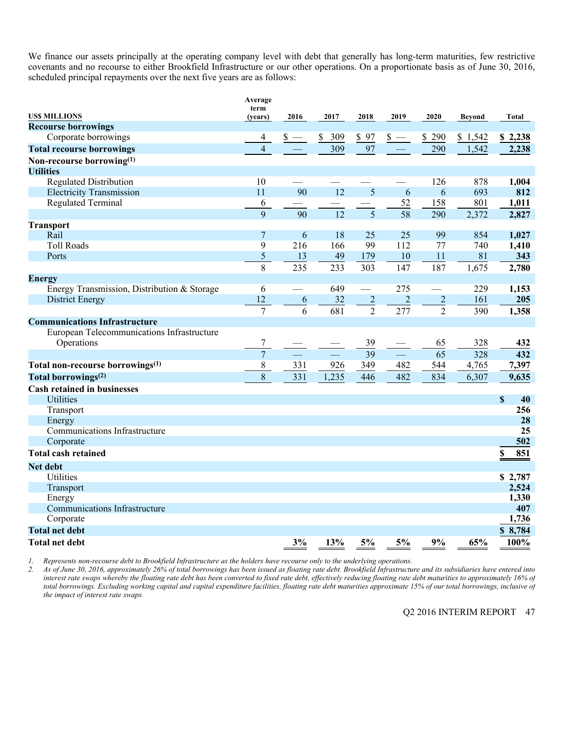We finance our assets principally at the operating company level with debt that generally has long-term maturities, few restrictive covenants and no recourse to either Brookfield Infrastructure or our other operations. On a proportionate basis as of June 30, 2016, scheduled principal repayments over the next five years are as follows:

|                                              | Average<br>term |        |           |                          |                |                |               |                   |
|----------------------------------------------|-----------------|--------|-----------|--------------------------|----------------|----------------|---------------|-------------------|
| <b>US\$ MILLIONS</b>                         | (years)         | 2016   | 2017      | 2018                     | 2019           | 2020           | <b>Beyond</b> | Total             |
| <b>Recourse borrowings</b>                   |                 |        |           |                          |                |                |               |                   |
| Corporate borrowings                         | 4               | $S -$  | \$<br>309 | \$97                     | $s -$          | 290<br>\$      | \$1,542       | \$2,238           |
| <b>Total recourse borrowings</b>             | $\overline{4}$  |        | 309       | 97                       |                | 290            | 1,542         | 2,238             |
| Non-recourse borrowing(1)                    |                 |        |           |                          |                |                |               |                   |
| <b>Utilities</b>                             |                 |        |           |                          |                |                |               |                   |
| <b>Regulated Distribution</b>                | 10              |        |           |                          |                | 126            | 878           | 1,004             |
| <b>Electricity Transmission</b>              | 11              | 90     | 12        | 5                        | 6              | 6              | 693           | 812               |
| <b>Regulated Terminal</b>                    | 6               |        |           |                          | 52             | 158            | 801           | 1,011             |
|                                              | 9               | 90     | 12        | 5                        | 58             | 290            | 2,372         | 2,827             |
| <b>Transport</b>                             |                 |        |           |                          |                |                |               |                   |
| Rail                                         | 7               | 6      | 18        | 25                       | 25             | 99             | 854           | 1,027             |
| <b>Toll Roads</b>                            | 9               | 216    | 166       | 99                       | 112            | 77             | 740           | 1,410             |
| Ports                                        | 5               | 13     | 49        | 179                      | 10             | 11             | 81            | 343               |
|                                              | 8               | 235    | 233       | 303                      | 147            | 187            | 1,675         | 2,780             |
| <b>Energy</b>                                |                 |        |           |                          |                |                |               |                   |
| Energy Transmission, Distribution & Storage  | 6               | $\sim$ | 649       | $\overline{\phantom{0}}$ | 275            |                | 229           | 1,153             |
| <b>District Energy</b>                       | 12              | 6      | 32        |                          | $\overline{c}$ | $\overline{2}$ | 161           | 205               |
|                                              | $\overline{7}$  | 6      | 681       | $\frac{2}{2}$            | 277            | $\overline{2}$ | 390           | 1,358             |
| <b>Communications Infrastructure</b>         |                 |        |           |                          |                |                |               |                   |
| European Telecommunications Infrastructure   |                 |        |           |                          |                |                |               |                   |
| Operations                                   | 7               |        |           | 39                       |                | 65             | 328           | 432               |
|                                              | $\overline{7}$  |        |           | 39                       |                | 65             | 328           | 432               |
| Total non-recourse borrowings <sup>(1)</sup> | 8               | 331    | 926       | 349                      | 482            | 544            | 4,765         | 7,397             |
| Total borrowings <sup>(2)</sup>              | 8               | 331    | 1,235     | 446                      | 482            | 834            | 6,307         | 9,635             |
| <b>Cash retained in businesses</b>           |                 |        |           |                          |                |                |               |                   |
| <b>Utilities</b>                             |                 |        |           |                          |                |                |               | $\mathbf S$<br>40 |
| Transport                                    |                 |        |           |                          |                |                |               | 256               |
| Energy                                       |                 |        |           |                          |                |                |               | 28                |
| Communications Infrastructure                |                 |        |           |                          |                |                |               | 25                |
| Corporate                                    |                 |        |           |                          |                |                |               | 502               |
| <b>Total cash retained</b>                   |                 |        |           |                          |                |                |               | 851<br>\$         |
| Net debt                                     |                 |        |           |                          |                |                |               |                   |
| Utilities                                    |                 |        |           |                          |                |                |               | \$2,787           |
| Transport                                    |                 |        |           |                          |                |                |               | 2,524             |
| Energy                                       |                 |        |           |                          |                |                |               | 1,330             |
| <b>Communications Infrastructure</b>         |                 |        |           |                          |                |                |               | 407               |
| Corporate                                    |                 |        |           |                          |                |                |               | 1,736             |
| <b>Total net debt</b>                        |                 |        |           |                          |                |                |               | \$8,784           |
| Total net debt                               |                 | 3%     | 13%       | 5%                       | 5%             | 9%             | 65%           | 100%              |

*1. Represents non-recourse debt to Brookfield Infrastructure as the holders have recourse only to the underlying operations.* 

*2. As of June 30, 2016, approximately 26% of total borrowings has been issued as floating rate debt. Brookfield Infrastructure and its subsidiaries have entered into interest rate swaps whereby the floating rate debt has been converted to fixed rate debt, effectively reducing floating rate debt maturities to approximately 16% of total borrowings. Excluding working capital and capital expenditure facilities, floating rate debt maturities approximate 15% of our total borrowings, inclusive of the impact of interest rate swaps.*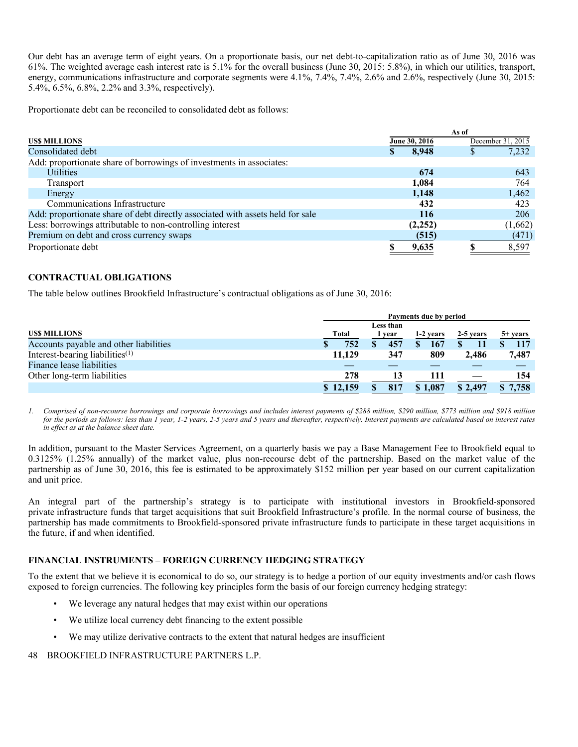Our debt has an average term of eight years. On a proportionate basis, our net debt-to-capitalization ratio as of June 30, 2016 was 61%. The weighted average cash interest rate is 5.1% for the overall business (June 30, 2015: 5.8%), in which our utilities, transport, energy, communications infrastructure and corporate segments were 4.1%, 7.4%, 7.4%, 2.6% and 2.6%, respectively (June 30, 2015: 5.4%, 6.5%, 6.8%, 2.2% and 3.3%, respectively).

Proportionate debt can be reconciled to consolidated debt as follows:

|                                                                                | As of |               |                   |         |  |
|--------------------------------------------------------------------------------|-------|---------------|-------------------|---------|--|
| <b>USS MILLIONS</b>                                                            |       | June 30, 2016 | December 31, 2015 |         |  |
| Consolidated debt                                                              | S     | 8,948         |                   | 7,232   |  |
| Add: proportionate share of borrowings of investments in associates:           |       |               |                   |         |  |
| <b>Utilities</b>                                                               |       | 674           |                   | 643     |  |
| Transport                                                                      |       | 1.084         |                   | 764     |  |
| Energy                                                                         |       | 1,148         |                   | 1,462   |  |
| Communications Infrastructure                                                  |       | 432           |                   | 423     |  |
| Add: proportionate share of debt directly associated with assets held for sale |       | 116           |                   | 206     |  |
| Less: borrowings attributable to non-controlling interest                      |       | (2, 252)      |                   | (1,662) |  |
| Premium on debt and cross currency swaps                                       |       | (515)         |                   | (471)   |  |
| Proportionate debt                                                             |       | 9,635         |                   | 8,597   |  |

# **CONTRACTUAL OBLIGATIONS**

The table below outlines Brookfield Infrastructure's contractual obligations as of June 30, 2016:

|                                        | Payments due by period |           |           |           |                   |  |  |  |  |  |  |
|----------------------------------------|------------------------|-----------|-----------|-----------|-------------------|--|--|--|--|--|--|
|                                        |                        | Less than |           |           |                   |  |  |  |  |  |  |
| <b>USS MILLIONS</b>                    | <b>Total</b>           | year      | 1-2 years | 2-5 years | $5+ \text{years}$ |  |  |  |  |  |  |
| Accounts payable and other liabilities | 752                    | 457       | 167       |           | 117               |  |  |  |  |  |  |
| Interest-bearing liabilities $(1)$     | 11,129                 | 347       | 809       | 2,486     | 7,487             |  |  |  |  |  |  |
| Finance lease liabilities              |                        |           |           |           |                   |  |  |  |  |  |  |
| Other long-term liabilities            | 278                    | 13        | 111       |           | 154               |  |  |  |  |  |  |
|                                        | \$12,159               | 817       | \$1,087   | \$2,497   | \$7,758           |  |  |  |  |  |  |

*1. Comprised of non-recourse borrowings and corporate borrowings and includes interest payments of \$288 million, \$290 million, \$773 million and \$918 million for the periods as follows: less than 1 year, 1-2 years, 2-5 years and 5 years and thereafter, respectively. Interest payments are calculated based on interest rates in effect as at the balance sheet date.* 

In addition, pursuant to the Master Services Agreement, on a quarterly basis we pay a Base Management Fee to Brookfield equal to 0.3125% (1.25% annually) of the market value, plus non-recourse debt of the partnership. Based on the market value of the partnership as of June 30, 2016, this fee is estimated to be approximately \$152 million per year based on our current capitalization and unit price.

An integral part of the partnership's strategy is to participate with institutional investors in Brookfield-sponsored private infrastructure funds that target acquisitions that suit Brookfield Infrastructure's profile. In the normal course of business, the partnership has made commitments to Brookfield-sponsored private infrastructure funds to participate in these target acquisitions in the future, if and when identified.

# **FINANCIAL INSTRUMENTS – FOREIGN CURRENCY HEDGING STRATEGY**

To the extent that we believe it is economical to do so, our strategy is to hedge a portion of our equity investments and/or cash flows exposed to foreign currencies. The following key principles form the basis of our foreign currency hedging strategy:

- We leverage any natural hedges that may exist within our operations
- We utilize local currency debt financing to the extent possible
- We may utilize derivative contracts to the extent that natural hedges are insufficient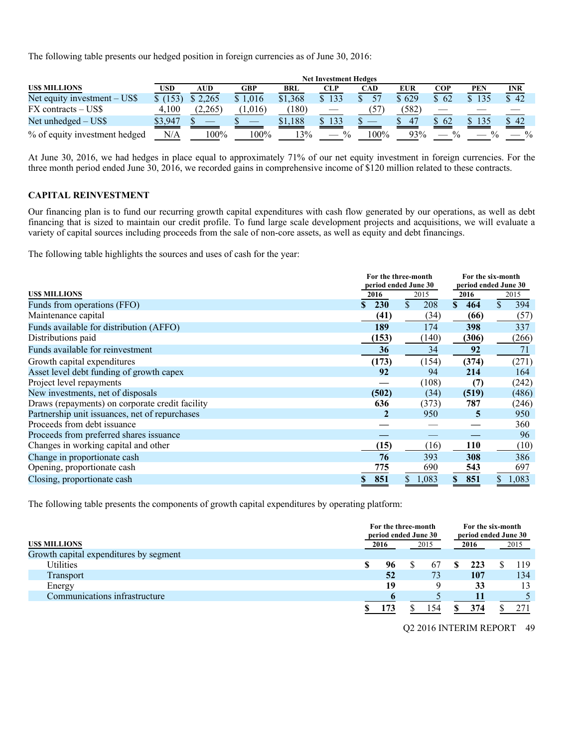The following table presents our hedged position in foreign currencies as of June 30, 2016:

|                               | <b>Net Investment Hedges</b> |         |         |         |                     |      |            |               |     |               |  |  |
|-------------------------------|------------------------------|---------|---------|---------|---------------------|------|------------|---------------|-----|---------------|--|--|
| <b>USS MILLIONS</b>           | USD                          | AUD     | GBP     | BRL     | CLP                 | CAD  | <b>EUR</b> | COP           | PEN | <b>INR</b>    |  |  |
| Net equity investment – US\$  | \$(153)                      | \$2,265 | \$1,016 | \$1.368 | 133<br>S.           |      | \$629      | \$62          |     | \$ 42         |  |  |
| $FX$ contracts $-$ US\$       | 4.100                        | (2,265) | (1,016) | (180)   |                     |      | (582)      |               |     |               |  |  |
| Net unhedged $-$ US\$         | \$3,947                      |         |         | \$1,188 | $\mathbf{s}$<br>133 |      | 47         | \$62          | 135 | \$42          |  |  |
| % of equity investment hedged | N/A                          | 100%    | $100\%$ | 3%      | $\frac{0}{0}$       | 100% | 93%        | $\frac{0}{0}$ |     | $\frac{0}{0}$ |  |  |

At June 30, 2016, we had hedges in place equal to approximately 71% of our net equity investment in foreign currencies. For the three month period ended June 30, 2016, we recorded gains in comprehensive income of \$120 million related to these contracts.

#### **CAPITAL REINVESTMENT**

Our financing plan is to fund our recurring growth capital expenditures with cash flow generated by our operations, as well as debt financing that is sized to maintain our credit profile. To fund large scale development projects and acquisitions, we will evaluate a variety of capital sources including proceeds from the sale of non-core assets, as well as equity and debt financings.

The following table highlights the sources and uses of cash for the year:

|                                                 | For the three-month  |           | For the six-month    |           |
|-------------------------------------------------|----------------------|-----------|----------------------|-----------|
|                                                 | period ended June 30 |           | period ended June 30 |           |
| <b>USS MILLIONS</b>                             | 2016                 | 2015      | 2016                 | 2015      |
| Funds from operations (FFO)                     | <b>230</b><br>\$     | \$<br>208 | $\mathbf{s}$<br>464  | \$<br>394 |
| Maintenance capital                             | (41)                 | (34)      | (66)                 | (57)      |
| Funds available for distribution (AFFO)         | 189                  | 174       | 398                  | 337       |
| Distributions paid                              | (153)                | (140)     | (306)                | (266)     |
| Funds available for reinvestment                | 36                   | 34        | 92                   | 71        |
| Growth capital expenditures                     | (173)                | (154)     | (374)                | (271)     |
| Asset level debt funding of growth capex        | 92                   | 94        | 214                  | 164       |
| Project level repayments                        |                      | (108)     | (7)                  | (242)     |
| New investments, net of disposals               | (502)                | (34)      | (519)                | (486)     |
| Draws (repayments) on corporate credit facility | 636                  | (373)     | 787                  | (246)     |
| Partnership unit issuances, net of repurchases  | 2                    | 950       | 5                    | 950       |
| Proceeds from debt issuance                     |                      |           |                      | 360       |
| Proceeds from preferred shares issuance         |                      |           |                      | 96        |
| Changes in working capital and other            | (15)                 | (16)      | <b>110</b>           | (10)      |
| Change in proportionate cash                    | 76                   | 393       | 308                  | 386       |
| Opening, proportionate cash                     | 775                  | 690       | 543                  | 697       |
| Closing, proportionate cash                     | 851                  | 1,083     | 851<br>\$            | 1,083     |

The following table presents the components of growth capital expenditures by operating platform:

|                                        | For the three-month<br>period ended June 30 |  |     |      |     | For the six-month<br>period ended June 30 |     |  |
|----------------------------------------|---------------------------------------------|--|-----|------|-----|-------------------------------------------|-----|--|
| <b>USS MILLIONS</b>                    | 2016<br>2015                                |  |     | 2016 |     | 2015                                      |     |  |
| Growth capital expenditures by segment |                                             |  |     |      |     |                                           |     |  |
| Utilities                              | \$<br>96                                    |  | 67  |      | 223 |                                           | 119 |  |
| Transport                              | 52                                          |  | 73  |      | 107 |                                           | 134 |  |
| Energy                                 | 19                                          |  |     |      | 33  |                                           | 13  |  |
| Communications infrastructure          |                                             |  |     |      | 11  |                                           |     |  |
|                                        |                                             |  | 154 |      | 374 |                                           |     |  |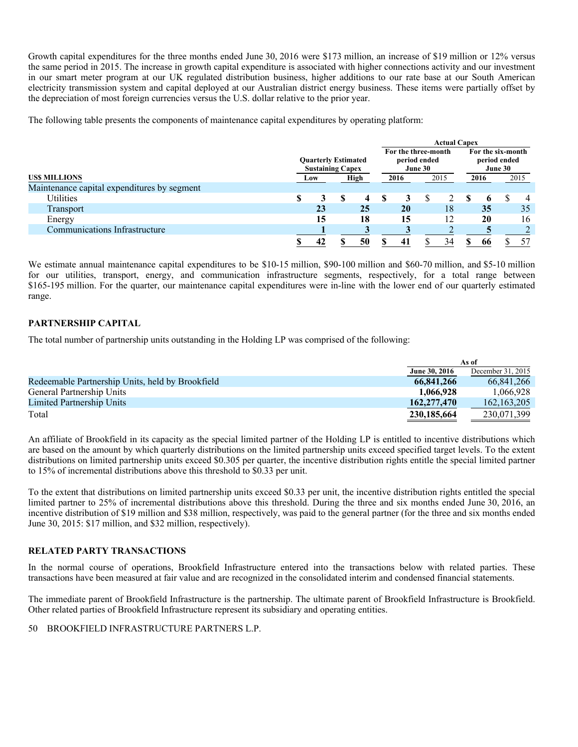Growth capital expenditures for the three months ended June 30, 2016 were \$173 million, an increase of \$19 million or 12% versus the same period in 2015. The increase in growth capital expenditure is associated with higher connections activity and our investment in our smart meter program at our UK regulated distribution business, higher additions to our rate base at our South American electricity transmission system and capital deployed at our Australian district energy business. These items were partially offset by the depreciation of most foreign currencies versus the U.S. dollar relative to the prior year.

The following table presents the components of maintenance capital expenditures by operating platform:

|                                             |                                                       |  |    |  | <b>Actual Capex</b>                            |                                              |      |              |  |                |
|---------------------------------------------|-------------------------------------------------------|--|----|--|------------------------------------------------|----------------------------------------------|------|--------------|--|----------------|
|                                             | <b>Ouarterly Estimated</b><br><b>Sustaining Capex</b> |  |    |  | For the three-month<br>period ended<br>June 30 | For the six-month<br>period ended<br>June 30 |      |              |  |                |
| <b>USS MILLIONS</b>                         | High<br>Low                                           |  |    |  | 2016                                           | 2015                                         | 2016 |              |  | 2015           |
| Maintenance capital expenditures by segment |                                                       |  |    |  |                                                |                                              |      |              |  |                |
| Utilities                                   | \$                                                    |  | 4  |  |                                                |                                              | ъ    | $\mathbf{p}$ |  | $\overline{4}$ |
| Transport                                   | 23                                                    |  | 25 |  | 20                                             | 18                                           |      | 35           |  | 35             |
| Energy                                      | 15                                                    |  | 18 |  | 15                                             | 12                                           |      | 20           |  | 16             |
| Communications Infrastructure               |                                                       |  |    |  |                                                |                                              |      |              |  |                |
|                                             | 42                                                    |  | 50 |  | 41                                             | 34                                           |      | 66           |  | 57             |

We estimate annual maintenance capital expenditures to be \$10-15 million, \$90-100 million and \$60-70 million, and \$5-10 million for our utilities, transport, energy, and communication infrastructure segments, respectively, for a total range between \$165-195 million. For the quarter, our maintenance capital expenditures were in-line with the lower end of our quarterly estimated range.

# **PARTNERSHIP CAPITAL**

The total number of partnership units outstanding in the Holding LP was comprised of the following:

|                                                  |               | As of             |
|--------------------------------------------------|---------------|-------------------|
|                                                  | June 30, 2016 | December 31, 2015 |
| Redeemable Partnership Units, held by Brookfield | 66,841,266    | 66.841.266        |
| General Partnership Units                        | 1,066,928     | 1.066.928         |
| Limited Partnership Units                        | 162,277,470   | 162, 163, 205     |
| Total                                            | 230,185,664   | 230,071,399       |

An affiliate of Brookfield in its capacity as the special limited partner of the Holding LP is entitled to incentive distributions which are based on the amount by which quarterly distributions on the limited partnership units exceed specified target levels. To the extent distributions on limited partnership units exceed \$0.305 per quarter, the incentive distribution rights entitle the special limited partner to 15% of incremental distributions above this threshold to \$0.33 per unit.

To the extent that distributions on limited partnership units exceed \$0.33 per unit, the incentive distribution rights entitled the special limited partner to 25% of incremental distributions above this threshold. During the three and six months ended June 30, 2016, an incentive distribution of \$19 million and \$38 million, respectively, was paid to the general partner (for the three and six months ended June 30, 2015: \$17 million, and \$32 million, respectively).

# **RELATED PARTY TRANSACTIONS**

In the normal course of operations, Brookfield Infrastructure entered into the transactions below with related parties. These transactions have been measured at fair value and are recognized in the consolidated interim and condensed financial statements.

The immediate parent of Brookfield Infrastructure is the partnership. The ultimate parent of Brookfield Infrastructure is Brookfield. Other related parties of Brookfield Infrastructure represent its subsidiary and operating entities.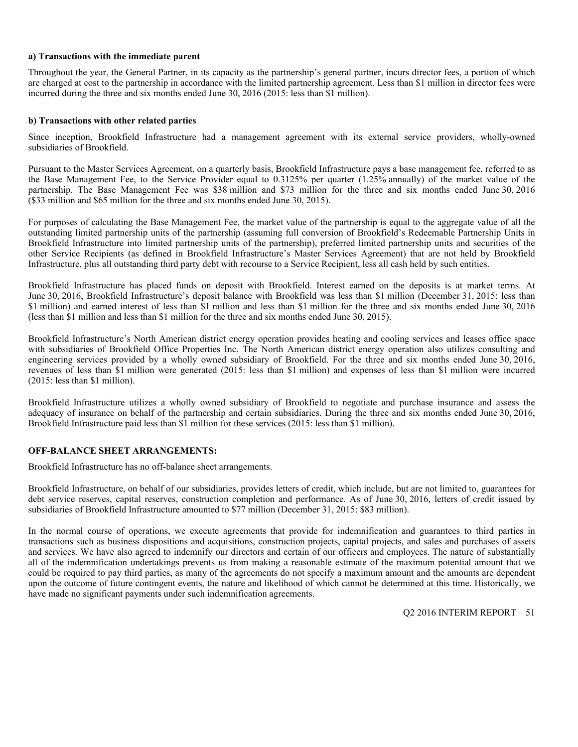### **a) Transactions with the immediate parent**

Throughout the year, the General Partner, in its capacity as the partnership's general partner, incurs director fees, a portion of which are charged at cost to the partnership in accordance with the limited partnership agreement. Less than \$1 million in director fees were incurred during the three and six months ended June 30, 2016 (2015: less than \$1 million).

#### **b) Transactions with other related parties**

Since inception, Brookfield Infrastructure had a management agreement with its external service providers, wholly-owned subsidiaries of Brookfield.

Pursuant to the Master Services Agreement, on a quarterly basis, Brookfield Infrastructure pays a base management fee, referred to as the Base Management Fee, to the Service Provider equal to 0.3125% per quarter (1.25% annually) of the market value of the partnership. The Base Management Fee was \$38 million and \$73 million for the three and six months ended June 30, 2016 (\$33 million and \$65 million for the three and six months ended June 30, 2015).

For purposes of calculating the Base Management Fee, the market value of the partnership is equal to the aggregate value of all the outstanding limited partnership units of the partnership (assuming full conversion of Brookfield's Redeemable Partnership Units in Brookfield Infrastructure into limited partnership units of the partnership), preferred limited partnership units and securities of the other Service Recipients (as defined in Brookfield Infrastructure's Master Services Agreement) that are not held by Brookfield Infrastructure, plus all outstanding third party debt with recourse to a Service Recipient, less all cash held by such entities.

Brookfield Infrastructure has placed funds on deposit with Brookfield. Interest earned on the deposits is at market terms. At June 30, 2016, Brookfield Infrastructure's deposit balance with Brookfield was less than \$1 million (December 31, 2015: less than \$1 million) and earned interest of less than \$1 million and less than \$1 million for the three and six months ended June 30, 2016 (less than \$1 million and less than \$1 million for the three and six months ended June 30, 2015).

Brookfield Infrastructure's North American district energy operation provides heating and cooling services and leases office space with subsidiaries of Brookfield Office Properties Inc. The North American district energy operation also utilizes consulting and engineering services provided by a wholly owned subsidiary of Brookfield. For the three and six months ended June 30, 2016, revenues of less than \$1 million were generated (2015: less than \$1 million) and expenses of less than \$1 million were incurred (2015: less than \$1 million).

Brookfield Infrastructure utilizes a wholly owned subsidiary of Brookfield to negotiate and purchase insurance and assess the adequacy of insurance on behalf of the partnership and certain subsidiaries. During the three and six months ended June 30, 2016, Brookfield Infrastructure paid less than \$1 million for these services (2015: less than \$1 million).

#### **OFF-BALANCE SHEET ARRANGEMENTS:**

Brookfield Infrastructure has no off-balance sheet arrangements.

Brookfield Infrastructure, on behalf of our subsidiaries, provides letters of credit, which include, but are not limited to, guarantees for debt service reserves, capital reserves, construction completion and performance. As of June 30, 2016, letters of credit issued by subsidiaries of Brookfield Infrastructure amounted to \$77 million (December 31, 2015: \$83 million).

In the normal course of operations, we execute agreements that provide for indemnification and guarantees to third parties in transactions such as business dispositions and acquisitions, construction projects, capital projects, and sales and purchases of assets and services. We have also agreed to indemnify our directors and certain of our officers and employees. The nature of substantially all of the indemnification undertakings prevents us from making a reasonable estimate of the maximum potential amount that we could be required to pay third parties, as many of the agreements do not specify a maximum amount and the amounts are dependent upon the outcome of future contingent events, the nature and likelihood of which cannot be determined at this time. Historically, we have made no significant payments under such indemnification agreements.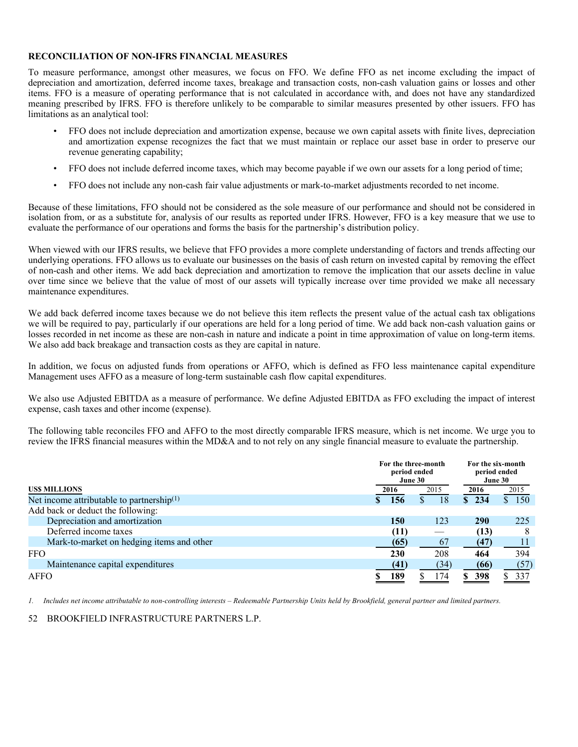#### **RECONCILIATION OF NON-IFRS FINANCIAL MEASURES**

To measure performance, amongst other measures, we focus on FFO. We define FFO as net income excluding the impact of depreciation and amortization, deferred income taxes, breakage and transaction costs, non-cash valuation gains or losses and other items. FFO is a measure of operating performance that is not calculated in accordance with, and does not have any standardized meaning prescribed by IFRS. FFO is therefore unlikely to be comparable to similar measures presented by other issuers. FFO has limitations as an analytical tool:

- FFO does not include depreciation and amortization expense, because we own capital assets with finite lives, depreciation and amortization expense recognizes the fact that we must maintain or replace our asset base in order to preserve our revenue generating capability;
- FFO does not include deferred income taxes, which may become payable if we own our assets for a long period of time;
- FFO does not include any non-cash fair value adjustments or mark-to-market adjustments recorded to net income.

Because of these limitations, FFO should not be considered as the sole measure of our performance and should not be considered in isolation from, or as a substitute for, analysis of our results as reported under IFRS. However, FFO is a key measure that we use to evaluate the performance of our operations and forms the basis for the partnership's distribution policy.

When viewed with our IFRS results, we believe that FFO provides a more complete understanding of factors and trends affecting our underlying operations. FFO allows us to evaluate our businesses on the basis of cash return on invested capital by removing the effect of non-cash and other items. We add back depreciation and amortization to remove the implication that our assets decline in value over time since we believe that the value of most of our assets will typically increase over time provided we make all necessary maintenance expenditures.

We add back deferred income taxes because we do not believe this item reflects the present value of the actual cash tax obligations we will be required to pay, particularly if our operations are held for a long period of time. We add back non-cash valuation gains or losses recorded in net income as these are non-cash in nature and indicate a point in time approximation of value on long-term items. We also add back breakage and transaction costs as they are capital in nature.

In addition, we focus on adjusted funds from operations or AFFO, which is defined as FFO less maintenance capital expenditure Management uses AFFO as a measure of long-term sustainable cash flow capital expenditures.

We also use Adjusted EBITDA as a measure of performance. We define Adjusted EBITDA as FFO excluding the impact of interest expense, cash taxes and other income (expense).

The following table reconciles FFO and AFFO to the most directly comparable IFRS measure, which is net income. We urge you to review the IFRS financial measures within the MD&A and to not rely on any single financial measure to evaluate the partnership.

|                                              | For the three-month |      | For the six-month<br>period ended<br>June 30 |      |      |            |       |  |
|----------------------------------------------|---------------------|------|----------------------------------------------|------|------|------------|-------|--|
| <b>USS MILLIONS</b>                          |                     | 2016 |                                              | 2015 | 2016 |            | 2015  |  |
| Net income attributable to partnership $(1)$ |                     | 156  | ЭĐ.                                          | 18   |      | \$234      | \$150 |  |
| Add back or deduct the following:            |                     |      |                                              |      |      |            |       |  |
| Depreciation and amortization                |                     | 150  |                                              | 123  |      | <b>290</b> | 225   |  |
| Deferred income taxes                        |                     | (11) |                                              |      |      | (13)       | 8     |  |
| Mark-to-market on hedging items and other    |                     | (65) |                                              | 67   |      | (47)       |       |  |
| <b>FFO</b>                                   |                     | 230  |                                              | 208  |      | 464        | 394   |  |
| Maintenance capital expenditures             |                     | (41) |                                              | (34) |      | (66)       | (57)  |  |
| AFFO                                         |                     | 189  |                                              | 174  |      | 398        | 337   |  |

*1. Includes net income attributable to non-controlling interests – Redeemable Partnership Units held by Brookfield, general partner and limited partners.*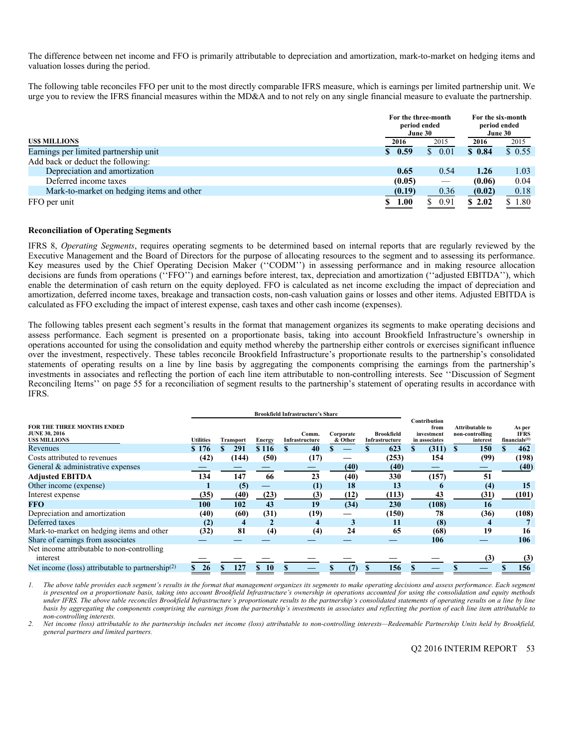The difference between net income and FFO is primarily attributable to depreciation and amortization, mark-to-market on hedging items and valuation losses during the period.

The following table reconciles FFO per unit to the most directly comparable IFRS measure, which is earnings per limited partnership unit. We urge you to review the IFRS financial measures within the MD&A and to not rely on any single financial measure to evaluate the partnership.

|                                           | period ended        | For the three-month<br>June 30 | For the six-month<br>period ended<br>June 30 |                     |
|-------------------------------------------|---------------------|--------------------------------|----------------------------------------------|---------------------|
| USS MILLIONS                              | 2016                | 2015                           | 2016                                         | 2015                |
| Earnings per limited partnership unit     | $\frac{\ }{5}$ 0.59 | 0.01<br>S.                     | \$0.84                                       | $\overline{S}$ 0.55 |
| Add back or deduct the following:         |                     |                                |                                              |                     |
| Depreciation and amortization             | 0.65                | 0.54                           | 1.26                                         | 1.03                |
| Deferred income taxes                     | (0.05)              |                                | (0.06)                                       | 0.04                |
| Mark-to-market on hedging items and other | (0.19)              | 0.36                           | (0.02)                                       | 0.18                |
| FFO per unit                              | 1.00<br>S.          | 0.91<br>S.                     | \$2.02                                       | \$1.80              |

#### **Reconciliation of Operating Segments**

IFRS 8, *Operating Segments*, requires operating segments to be determined based on internal reports that are regularly reviewed by the Executive Management and the Board of Directors for the purpose of allocating resources to the segment and to assessing its performance. Key measures used by the Chief Operating Decision Maker (''CODM'') in assessing performance and in making resource allocation decisions are funds from operations ("FFO") and earnings before interest, tax, depreciation and amortization ("adjusted EBITDA"), which enable the determination of cash return on the equity deployed. FFO is calculated as net income excluding the impact of depreciation and amortization, deferred income taxes, breakage and transaction costs, non-cash valuation gains or losses and other items. Adjusted EBITDA is calculated as FFO excluding the impact of interest expense, cash taxes and other cash income (expenses).

The following tables present each segment's results in the format that management organizes its segments to make operating decisions and assess performance. Each segment is presented on a proportionate basis, taking into account Brookfield Infrastructure's ownership in operations accounted for using the consolidation and equity method whereby the partnership either controls or exercises significant influence over the investment, respectively. These tables reconcile Brookfield Infrastructure's proportionate results to the partnership's consolidated statements of operating results on a line by line basis by aggregating the components comprising the earnings from the partnership's investments in associates and reflecting the portion of each line item attributable to non-controlling interests. See ''Discussion of Segment Reconciling Items'' on page 55 for a reconciliation of segment results to the partnership's statement of operating results in accordance with IFRS.

| <b>FOR THE THREE MONTHS ENDED</b><br><b>JUNE 30, 2016</b><br><b>USS MILLIONS</b> | <b>Utilities</b> | Transport | <b>Energy</b>    | Comm.<br>Infrastructure | Corporate<br>& Other | <b>Brookfield</b><br>Infrastructure | Contribution<br>from<br>investment<br>in associates | Attributable to<br>non-controlling<br>interest | As per<br><b>IFRS</b><br>financials <sup>(1)</sup> |
|----------------------------------------------------------------------------------|------------------|-----------|------------------|-------------------------|----------------------|-------------------------------------|-----------------------------------------------------|------------------------------------------------|----------------------------------------------------|
| Revenues                                                                         | \$176            | 291       | \$116            | 40                      |                      | 623                                 | (311)                                               | 150                                            | 462                                                |
| Costs attributed to revenues                                                     | (42)             | (144)     | (50)             | (17)                    |                      | (253)                               | 154                                                 | (99)                                           | (198)                                              |
| General & administrative expenses                                                |                  |           |                  |                         | (40)                 | (40)                                |                                                     |                                                | (40)                                               |
| <b>Adjusted EBITDA</b>                                                           | 134              | 147       | 66               | 23                      | (40)                 | 330                                 | (157)                                               | 51                                             |                                                    |
| Other income (expense)                                                           |                  | (5)       |                  | (1)                     | 18                   | 13                                  | $\mathbf{p}$                                        | (4)                                            | 15                                                 |
| Interest expense                                                                 | (35)             | (40)      | (23)             | (3)                     | (12)                 | (113)                               | 43                                                  | (31)                                           | (101)                                              |
| <b>FFO</b>                                                                       | 100              | 102       | 43               | 19                      | (34)                 | 230                                 | (108)                                               | 16                                             |                                                    |
| Depreciation and amortization                                                    | (40)             | (60)      | (31)             | (19)                    |                      | (150)                               | 78                                                  | (36)                                           | (108)                                              |
| Deferred taxes                                                                   | (2)              |           |                  | $\overline{\mathbf{4}}$ | 3                    | 11                                  | (8)                                                 |                                                |                                                    |
| Mark-to-market on hedging items and other                                        | (32)             | 81        | (4)              | (4)                     | 24                   | 65                                  | (68)                                                | 19                                             | 16                                                 |
| Share of earnings from associates                                                |                  |           |                  |                         |                      |                                     | 106                                                 |                                                | 106                                                |
| Net income attributable to non-controlling<br>interest                           |                  |           |                  |                         |                      |                                     |                                                     | (3)                                            |                                                    |
|                                                                                  |                  |           |                  |                         |                      |                                     |                                                     |                                                | (3)                                                |
| Net income (loss) attributable to partnership <sup>(2)</sup>                     | 26               | 127       | \$.<br><b>10</b> |                         |                      | 156                                 |                                                     |                                                | 156                                                |

*1. The above table provides each segment's results in the format that management organizes its segments to make operating decisions and assess performance. Each segment is presented on a proportionate basis, taking into account Brookfield Infrastructure's ownership in operations accounted for using the consolidation and equity methods under IFRS. The above table reconciles Brookfield Infrastructure's proportionate results to the partnership's consolidated statements of operating results on a line by line basis by aggregating the components comprising the earnings from the partnership's investments in associates and reflecting the portion of each line item attributable to non-controlling interests.* 

*2. Net income (loss) attributable to the partnership includes net income (loss) attributable to non-controlling interests—Redeemable Partnership Units held by Brookfield, general partners and limited partners.*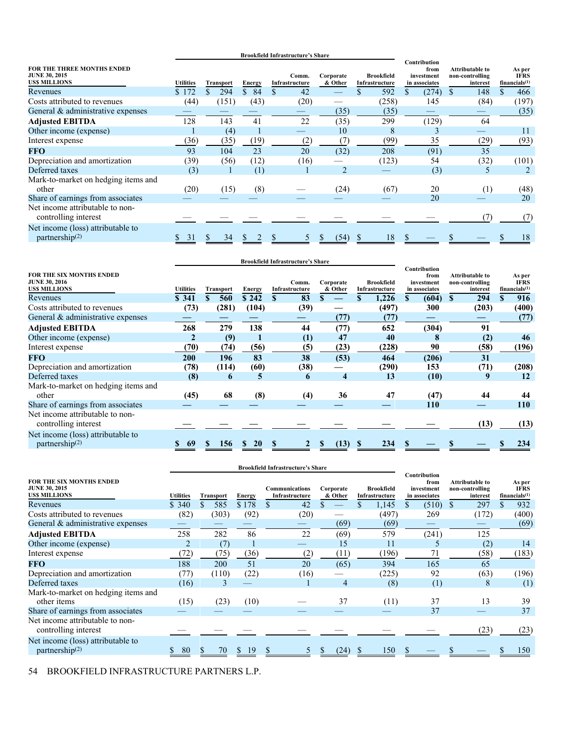|                                                                     |                                      |         |               | <b>Brookfield Infrastructure's Share</b> |                |                                                             | Contribution |                                                       |                                                    |
|---------------------------------------------------------------------|--------------------------------------|---------|---------------|------------------------------------------|----------------|-------------------------------------------------------------|--------------|-------------------------------------------------------|----------------------------------------------------|
| FOR THE THREE MONTHS ENDED<br><b>JUNE 30, 2015</b><br>US\$ MILLIONS | <b>Utilities</b><br><b>Transport</b> |         | <b>Energy</b> | Comm.<br>Infrastructure                  |                | Corporate<br><b>Brookfield</b><br>& Other<br>Infrastructure |              | <b>Attributable to</b><br>non-controlling<br>interest | As per<br><b>IFRS</b><br>financials <sup>(1)</sup> |
| Revenues                                                            | \$172                                | 294     | 84<br>\$      | 42                                       |                | 592                                                         | (274)        | 148                                                   | 466                                                |
| Costs attributed to revenues                                        | (44)                                 | (151)   | (43)          | (20)                                     |                | (258)                                                       | 145          | (84)                                                  | (197)                                              |
| General & administrative expenses                                   |                                      |         |               |                                          | (35)           | (35)                                                        |              |                                                       | (35)                                               |
| <b>Adjusted EBITDA</b>                                              | 128                                  | 143     | 41            | 22                                       | (35)           | 299                                                         | (129)        | 64                                                    |                                                    |
| Other income (expense)                                              |                                      | (4)     |               |                                          | 10             | 8                                                           |              |                                                       | 11                                                 |
| Interest expense                                                    | (36)                                 | (35)    | (19)          | (2)                                      | (7)            | (99)                                                        | 35           | (29)                                                  | (93)                                               |
| <b>FFO</b>                                                          | 93                                   | 104     | 23            | 20                                       | (32)           | 208                                                         | (91)         | 35                                                    |                                                    |
| Depreciation and amortization                                       | (39)                                 | (56)    | (12)          | (16)                                     |                | (123)                                                       | 54           | (32)                                                  | (101)                                              |
| Deferred taxes                                                      | (3)                                  |         | (1)           |                                          | $\overline{2}$ |                                                             | (3)          | 5                                                     |                                                    |
| Mark-to-market on hedging items and<br>other                        | (20)                                 | (15)    | (8)           |                                          | (24)           | (67)                                                        | 20           | (1)                                                   | (48)                                               |
| Share of earnings from associates                                   |                                      |         |               |                                          |                |                                                             | 20           |                                                       | 20                                                 |
| Net income attributable to non-<br>controlling interest             |                                      |         |               |                                          |                |                                                             |              | (7)                                                   | (7)                                                |
| Net income (loss) attributable to<br>partnership $(2)$              | 31                                   | 34<br>S |               |                                          | (54)           | 18                                                          |              |                                                       | 18                                                 |

| <b>FOR THE SIX MONTHS ENDED</b><br><b>JUNE 30, 2016</b><br><b>USS MILLIONS</b> | <b>Utilities</b> | <b>Transport</b> | <b>Energy</b> | Comm.<br>Infrastructure | Corporate<br>& Other | <b>Brookfield</b><br>Infrastructure | Contribution<br>from<br>investment<br>in associates | Attributable to<br>non-controlling<br>interest | As per<br><b>IFRS</b><br>financials <sup>(1)</sup> |
|--------------------------------------------------------------------------------|------------------|------------------|---------------|-------------------------|----------------------|-------------------------------------|-----------------------------------------------------|------------------------------------------------|----------------------------------------------------|
| Revenues                                                                       | \$341            | \$<br>560        | \$242         | 83<br>\$                | \$                   | 1,226                               | (604)<br>S.                                         | 294<br><b>S</b>                                | 916<br>\$                                          |
| Costs attributed to revenues                                                   | (73)             | (281)            | (104)         | (39)                    |                      | (497)                               | 300                                                 | (203)                                          | (400)                                              |
| General & administrative expenses                                              |                  |                  |               |                         | (77)                 | (77)                                |                                                     |                                                | (77)                                               |
| <b>Adjusted EBITDA</b>                                                         | 268              | 279              | 138           | 44                      | (77)                 | 652                                 | (304)                                               | 91                                             |                                                    |
| Other income (expense)                                                         | 2                | (9)              |               | (1)                     | 47                   | 40                                  | 8                                                   | (2)                                            | 46                                                 |
| Interest expense                                                               | (70)             | (74)             | (56)          | (5)                     | (23)                 | (228)                               | 90                                                  | (58)                                           | (196)                                              |
| <b>FFO</b>                                                                     | 200              | 196              | 83            | 38                      | (53)                 | 464                                 | (206)                                               | 31                                             |                                                    |
| Depreciation and amortization                                                  | (78)             | (114)            | (60)          | (38)                    |                      | (290)                               | 153                                                 | (71)                                           | (208)                                              |
| Deferred taxes                                                                 | (8)              | 6                | 5             | 6                       | $\boldsymbol{4}$     | 13                                  | (10)                                                | 9                                              | 12                                                 |
| Mark-to-market on hedging items and                                            |                  |                  |               |                         |                      |                                     |                                                     |                                                |                                                    |
| other                                                                          | (45)             | 68               | (8)           | (4)                     | 36                   | 47                                  | (47)                                                | 44                                             | 44                                                 |
| Share of earnings from associates                                              |                  |                  |               |                         |                      |                                     | <b>110</b>                                          |                                                | <b>110</b>                                         |
| Net income attributable to non-<br>controlling interest                        |                  |                  |               |                         |                      |                                     |                                                     | (13)                                           | (13)                                               |
| Net income (loss) attributable to<br>partnership $(2)$                         | 69               | 156<br>S         | <b>20</b>     |                         | (13)                 | 234                                 |                                                     |                                                | 234                                                |

|                                                                                              |                  |                  | <b>Brookfield Infrastructure's Share</b> |                                         |                      |                                     |                                                     |                                                       |                                                    |
|----------------------------------------------------------------------------------------------|------------------|------------------|------------------------------------------|-----------------------------------------|----------------------|-------------------------------------|-----------------------------------------------------|-------------------------------------------------------|----------------------------------------------------|
| <b>FOR THE SIX MONTHS ENDED</b><br><b>JUNE 30, 2015</b><br><b>USS MILLIONS</b>               | <b>Utilities</b> | <b>Transport</b> | <b>Energy</b>                            | <b>Communications</b><br>Infrastructure | Corporate<br>& Other | <b>Brookfield</b><br>Infrastructure | Contribution<br>from<br>investment<br>in associates | <b>Attributable to</b><br>non-controlling<br>interest | As per<br><b>IFRS</b><br>financials <sup>(1)</sup> |
| Revenues                                                                                     | \$340            | \$.<br>585       | \$178                                    | \$<br>42                                |                      | 1,145                               | (510)<br>S.                                         | 297<br><sup>\$</sup>                                  | 932                                                |
| Costs attributed to revenues                                                                 | (82)             | (303)            | (92)                                     | (20)                                    |                      | (497)                               | 269                                                 | (172)                                                 | (400)                                              |
| General & administrative expenses                                                            |                  |                  |                                          |                                         | (69)                 | (69)                                |                                                     |                                                       | (69)                                               |
| <b>Adjusted EBITDA</b>                                                                       | 258              | 282              | 86                                       | 22                                      | (69)                 | 579                                 | (241)                                               | 125                                                   |                                                    |
| Other income (expense)                                                                       |                  | (7)              |                                          |                                         | 15                   | 11                                  | $\mathcal{L}$                                       | (2)                                                   | 14                                                 |
| Interest expense                                                                             | 72               | (75)             | (36)                                     | (2)                                     | (11)                 | (196)                               | 71                                                  | $^{(58)}$                                             | (183)                                              |
| <b>FFO</b>                                                                                   | 188              | 200              | 51                                       | 20                                      | (65)                 | 394                                 | 165                                                 | 65                                                    |                                                    |
| Depreciation and amortization                                                                | (77)             | (110)            | (22)                                     | (16)                                    |                      | (225)                               | 92                                                  | (63)                                                  | (196)                                              |
| Deferred taxes                                                                               | (16)             | 3                |                                          |                                         | 4                    | (8)                                 | (1)                                                 | 8                                                     | (1)                                                |
| Mark-to-market on hedging items and<br>other items                                           |                  |                  |                                          |                                         | 37                   | (11)                                | 37                                                  | 13                                                    | 39                                                 |
|                                                                                              | (15)             | (23)             | (10)                                     |                                         |                      |                                     | 37                                                  |                                                       | 37                                                 |
| Share of earnings from associates<br>Net income attributable to non-<br>controlling interest |                  |                  |                                          |                                         |                      |                                     |                                                     | (23)                                                  | (23)                                               |
| Net income (loss) attributable to<br>partnership $(2)$                                       | 80               | 70               | 19<br><sup>S</sup>                       |                                         | (24)                 | 150<br>\$.                          |                                                     |                                                       | 150                                                |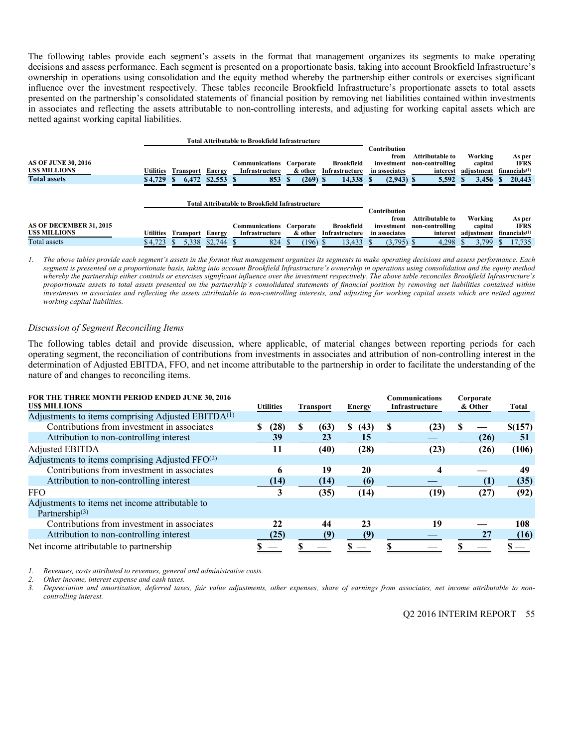The following tables provide each segment's assets in the format that management organizes its segments to make operating decisions and assess performance. Each segment is presented on a proportionate basis, taking into account Brookfield Infrastructure's ownership in operations using consolidation and the equity method whereby the partnership either controls or exercises significant influence over the investment respectively. These tables reconcile Brookfield Infrastructure's proportionate assets to total assets presented on the partnership's consolidated statements of financial position by removing net liabilities contained within investments in associates and reflecting the assets attributable to non-controlling interests, and adjusting for working capital assets which are netted against working capital liabilities.

|                                                                          |                      |                    |                       | <b>Total Attributable to Brookfield Infrastructure</b> |                                    |                                               |                                                                     |                                                         |                                           |                                                              |
|--------------------------------------------------------------------------|----------------------|--------------------|-----------------------|--------------------------------------------------------|------------------------------------|-----------------------------------------------|---------------------------------------------------------------------|---------------------------------------------------------|-------------------------------------------|--------------------------------------------------------------|
| <b>AS OF JUNE 30, 2016</b><br><b>USS MILLIONS</b><br><b>Total assets</b> | Utilities<br>\$4,729 | Transport<br>6,472 | Energy<br>$$2,553$ \$ | Communications<br>Infrastructure<br>853                | Corporate<br>& other<br>$(269)$ \$ | <b>Brookfield</b><br>Infrastructure<br>14,338 | Contribution<br>from<br>investment<br>in associates<br>$(2,943)$ \$ | Attributable to<br>non-controlling<br>interest<br>5,592 | Working<br>capital<br>adjustment<br>3,456 | As per<br><b>IFRS</b><br>financials <sup>(1)</sup><br>20,443 |
|                                                                          |                      |                    |                       | <b>Total Attributable to Brookfield Infrastructure</b> |                                    |                                               |                                                                     |                                                         |                                           |                                                              |
|                                                                          |                      |                    |                       |                                                        |                                    |                                               | Contribution<br>from                                                | Attributable to                                         | Working                                   | As per                                                       |
| AS OF DECEMBER 31, 2015                                                  |                      |                    |                       | Communications                                         | Corporate                          | <b>Brookfield</b>                             | investment                                                          | non-controlling                                         | capital                                   | <b>IFRS</b>                                                  |
| <b>USS MILLIONS</b>                                                      | Utilities            | <b>Transport</b>   | Energy                | Infrastructure                                         | & other                            | Infrastructure                                | in associates                                                       | interest                                                | adjustment                                | financials <sup>(1)</sup>                                    |
| Total assets                                                             | \$4.723              | 5.338              | \$2,744               | 824                                                    | (196)                              | 13,433                                        | (3,795)                                                             | 4,298                                                   | 3.799                                     | 17,735                                                       |

*1. The above tables provide each segment's assets in the format that management organizes its segments to make operating decisions and assess performance. Each segment is presented on a proportionate basis, taking into account Brookfield Infrastructure's ownership in operations using consolidation and the equity method whereby the partnership either controls or exercises significant influence over the investment respectively. The above table reconciles Brookfield Infrastructure's proportionate assets to total assets presented on the partnership's consolidated statements of financial position by removing net liabilities contained within investments in associates and reflecting the assets attributable to non-controlling interests, and adjusting for working capital assets which are netted against working capital liabilities.* 

#### *Discussion of Segment Reconciling Items*

The following tables detail and provide discussion, where applicable, of material changes between reporting periods for each operating segment, the reconciliation of contributions from investments in associates and attribution of non-controlling interest in the determination of Adjusted EBITDA, FFO, and net income attributable to the partnership in order to facilitate the understanding of the nature of and changes to reconciling items.

| FOR THE THREE MONTH PERIOD ENDED JUNE 30, 2016<br><b>USS MILLIONS</b> | <b>Utilities</b> |      | <b>Transport</b> |      | <b>Energy</b> | <b>Communications</b><br>Infrastructure |      | Corporate<br>& Other |      | <b>Total</b> |
|-----------------------------------------------------------------------|------------------|------|------------------|------|---------------|-----------------------------------------|------|----------------------|------|--------------|
| Adjustments to items comprising Adjusted EBITDA <sup>(1)</sup>        |                  |      |                  |      |               |                                         |      |                      |      |              |
| Contributions from investment in associates                           |                  | (28) | S                | (63) | S<br>(43)     | S                                       | (23) | \$.                  |      | \$(157)      |
| Attribution to non-controlling interest                               |                  | 39   |                  | 23   | 15            |                                         |      |                      | (26) | -51          |
| Adjusted EBITDA                                                       |                  | 11   |                  | (40) | (28)          |                                         | (23) |                      | (26) | (106)        |
| Adjustments to items comprising Adjusted FFO(2)                       |                  |      |                  |      |               |                                         |      |                      |      |              |
| Contributions from investment in associates                           |                  | 6    |                  | 19   | 20            |                                         | 4    |                      |      | 49           |
| Attribution to non-controlling interest                               |                  | (14) |                  | (14) | (6)           |                                         |      |                      | (1)  | (35)         |
| <b>FFO</b>                                                            |                  |      |                  | (35) | (14)          |                                         | (19) |                      | (27) | (92)         |
| Adjustments to items net income attributable to                       |                  |      |                  |      |               |                                         |      |                      |      |              |
| Partnership $(3)$                                                     |                  |      |                  |      |               |                                         |      |                      |      |              |
| Contributions from investment in associates                           |                  | 22   |                  | 44   | 23            |                                         | 19   |                      |      | 108          |
| Attribution to non-controlling interest                               |                  | (25) |                  | (9)  | (9)           |                                         |      |                      | 27   | (16)         |
| Net income attributable to partnership                                |                  |      |                  |      |               |                                         |      |                      |      |              |

*1. Revenues, costs attributed to revenues, general and administrative costs.* 

*2. Other income, interest expense and cash taxes.* 

*3. Depreciation and amortization, deferred taxes, fair value adjustments, other expenses, share of earnings from associates, net income attributable to noncontrolling interest.*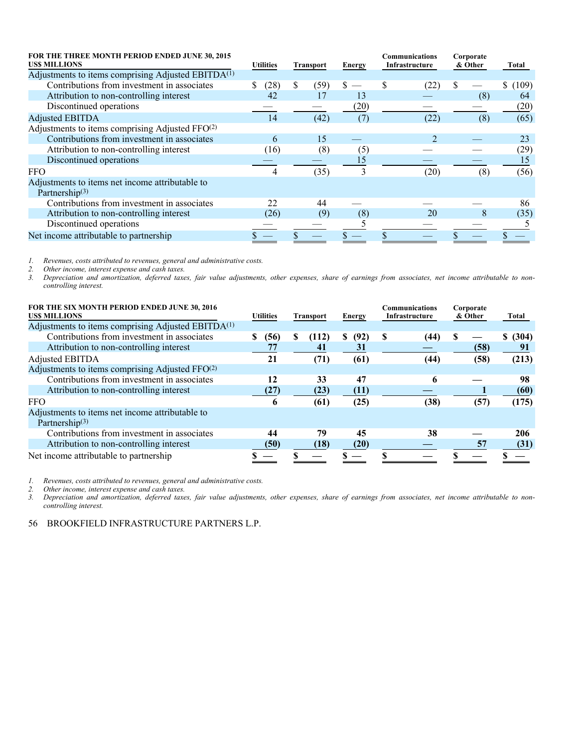| FOR THE THREE MONTH PERIOD ENDED JUNE 30, 2015<br><b>USS MILLIONS</b>         | <b>Utilities</b><br><b>Transport</b> |     | Energy | Communications<br>Infrastructure |  | Corporate<br>& Other |  | Total |         |
|-------------------------------------------------------------------------------|--------------------------------------|-----|--------|----------------------------------|--|----------------------|--|-------|---------|
| Adjustments to items comprising Adjusted EBITDA <sup>(1)</sup>                |                                      |     |        |                                  |  |                      |  |       |         |
| Contributions from investment in associates                                   | (28)<br>S                            | \$. | (59)   |                                  |  | (22)                 |  |       | \$(109) |
| Attribution to non-controlling interest                                       | 42                                   |     | 17     | 13                               |  |                      |  | (8)   | 64      |
| Discontinued operations                                                       |                                      |     |        | (20)                             |  |                      |  |       | (20)    |
| <b>Adjusted EBITDA</b>                                                        | 14                                   |     | (42)   | (7)                              |  | (22)                 |  | (8)   | (65)    |
| Adjustments to items comprising Adjusted FFO <sup>(2)</sup>                   |                                      |     |        |                                  |  |                      |  |       |         |
| Contributions from investment in associates                                   | 6                                    |     | 15     |                                  |  |                      |  |       | 23      |
| Attribution to non-controlling interest                                       | (16)                                 |     | (8)    | (5)                              |  |                      |  |       | (29)    |
| Discontinued operations                                                       |                                      |     |        | 15                               |  |                      |  |       | 15      |
| <b>FFO</b>                                                                    | 4                                    |     | (35)   | 3                                |  | (20)                 |  | (8)   | (56)    |
| Adjustments to items net income attributable to<br>Partnership <sup>(3)</sup> |                                      |     |        |                                  |  |                      |  |       |         |
| Contributions from investment in associates                                   | 22                                   |     | 44     |                                  |  |                      |  |       | 86      |
| Attribution to non-controlling interest                                       | (26)                                 |     | (9)    | (8)                              |  | 20                   |  | x     | (35)    |
| Discontinued operations                                                       |                                      |     |        |                                  |  |                      |  |       |         |
| Net income attributable to partnership                                        |                                      |     |        |                                  |  |                      |  |       |         |

*2. Other income, interest expense and cash taxes.* 

*1. Revenues, costs attributed to revenues, general and administrative costs. 3. Depreciation and amortization, deferred taxes, fair value adjustments, other expenses, share of earnings from associates, net income attributable to noncontrolling interest.* 

| FOR THE SIX MONTH PERIOD ENDED JUNE 30, 2016<br><b>USS MILLIONS</b> | <b>Utilities</b><br><b>Transport</b> |   | <b>Energy</b> |           | Communications<br>Infrastructure |      | Corporate<br>& Other |      | <b>Total</b> |
|---------------------------------------------------------------------|--------------------------------------|---|---------------|-----------|----------------------------------|------|----------------------|------|--------------|
| Adjustments to items comprising Adjusted EBITDA <sup>(1)</sup>      |                                      |   |               |           |                                  |      |                      |      |              |
| Contributions from investment in associates                         | (56)<br>S                            | S | (112)         | (92)<br>S | S                                | (44) |                      |      | \$ (304)     |
| Attribution to non-controlling interest                             | 77                                   |   | 41            | 31        |                                  |      |                      | (58) | 91           |
| Adjusted EBITDA                                                     | 21                                   |   | (71)          | (61)      |                                  | (44) |                      | (58) | (213)        |
| Adjustments to items comprising Adjusted FFO <sup>(2)</sup>         |                                      |   |               |           |                                  |      |                      |      |              |
| Contributions from investment in associates                         | 12                                   |   | 33            | 47        |                                  | 6    |                      |      | 98           |
| Attribution to non-controlling interest                             | (27)                                 |   | (23)          | (11)      |                                  |      |                      |      | (60)         |
| <b>FFO</b>                                                          | 6                                    |   | (61)          | (25)      |                                  | (38) |                      | (57) | (175)        |
| Adjustments to items net income attributable to                     |                                      |   |               |           |                                  |      |                      |      |              |
| Partnership $(3)$                                                   |                                      |   |               |           |                                  |      |                      |      |              |
| Contributions from investment in associates                         | 44                                   |   | 79            | 45        |                                  | 38   |                      |      | 206          |
| Attribution to non-controlling interest                             | (50)                                 |   | (18)          | (20)      |                                  |      |                      | 57   | (31)         |
| Net income attributable to partnership                              |                                      |   |               |           |                                  |      |                      |      |              |

*1. Revenues, costs attributed to revenues, general and administrative costs.* 

*2. Other income, interest expense and cash taxes.* 

*3. Depreciation and amortization, deferred taxes, fair value adjustments, other expenses, share of earnings from associates, net income attributable to noncontrolling interest.*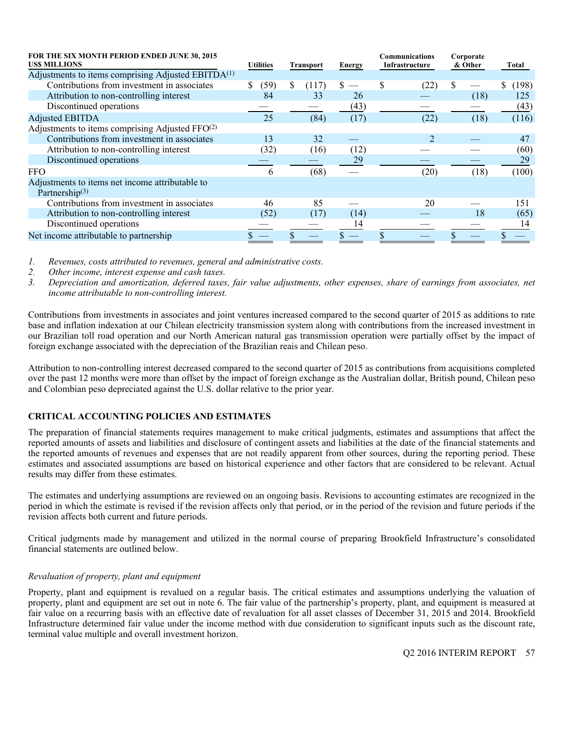| FOR THE SIX MONTH PERIOD ENDED JUNE 30, 2015<br><b>USS MILLIONS</b>           | <b>Utilities</b><br><b>Transport</b> |      | <b>Energy</b> | Communications<br>Infrastructure |      | Corporate<br>& Other |                | Total |      |       |
|-------------------------------------------------------------------------------|--------------------------------------|------|---------------|----------------------------------|------|----------------------|----------------|-------|------|-------|
| Adjustments to items comprising Adjusted EBITDA <sup>(1)</sup>                |                                      |      |               |                                  |      |                      |                |       |      |       |
| Contributions from investment in associates                                   | S.                                   | (59) | S.            | (117)                            | S.   | S                    | (22)           |       |      | (198) |
| Attribution to non-controlling interest                                       |                                      | 84   |               | 33                               | 26   |                      |                |       | (18) | 125   |
| Discontinued operations                                                       |                                      |      |               |                                  | (43) |                      |                |       |      | (43)  |
| <b>Adjusted EBITDA</b>                                                        |                                      | 25   |               | (84)                             | (17) |                      | (22)           |       | (18) | (116) |
| Adjustments to items comprising Adjusted FFO(2)                               |                                      |      |               |                                  |      |                      |                |       |      |       |
| Contributions from investment in associates                                   |                                      | 13   |               | 32                               |      |                      | $\mathfrak{D}$ |       |      | 47    |
| Attribution to non-controlling interest                                       |                                      | (32) |               | (16)                             | (12) |                      |                |       |      | (60)  |
| Discontinued operations                                                       |                                      |      |               |                                  | 29   |                      |                |       |      | 29    |
| <b>FFO</b>                                                                    |                                      | 6    |               | (68)                             |      |                      | (20)           |       | (18) | (100) |
| Adjustments to items net income attributable to<br>Partnership <sup>(3)</sup> |                                      |      |               |                                  |      |                      |                |       |      |       |
| Contributions from investment in associates                                   |                                      | 46   |               | 85                               |      |                      | 20             |       |      | 151   |
| Attribution to non-controlling interest                                       |                                      | (52) |               | (17)                             | (14) |                      |                |       | 18   | (65)  |
| Discontinued operations                                                       |                                      |      |               |                                  | 14   |                      |                |       |      | 14    |
| Net income attributable to partnership                                        |                                      |      |               |                                  |      |                      |                |       |      |       |

*1. Revenues, costs attributed to revenues, general and administrative costs.* 

*2. Other income, interest expense and cash taxes.* 

*3. Depreciation and amortization, deferred taxes, fair value adjustments, other expenses, share of earnings from associates, net income attributable to non-controlling interest.* 

Contributions from investments in associates and joint ventures increased compared to the second quarter of 2015 as additions to rate base and inflation indexation at our Chilean electricity transmission system along with contributions from the increased investment in our Brazilian toll road operation and our North American natural gas transmission operation were partially offset by the impact of foreign exchange associated with the depreciation of the Brazilian reais and Chilean peso.

Attribution to non-controlling interest decreased compared to the second quarter of 2015 as contributions from acquisitions completed over the past 12 months were more than offset by the impact of foreign exchange as the Australian dollar, British pound, Chilean peso and Colombian peso depreciated against the U.S. dollar relative to the prior year.

# **CRITICAL ACCOUNTING POLICIES AND ESTIMATES**

The preparation of financial statements requires management to make critical judgments, estimates and assumptions that affect the reported amounts of assets and liabilities and disclosure of contingent assets and liabilities at the date of the financial statements and the reported amounts of revenues and expenses that are not readily apparent from other sources, during the reporting period. These estimates and associated assumptions are based on historical experience and other factors that are considered to be relevant. Actual results may differ from these estimates.

The estimates and underlying assumptions are reviewed on an ongoing basis. Revisions to accounting estimates are recognized in the period in which the estimate is revised if the revision affects only that period, or in the period of the revision and future periods if the revision affects both current and future periods.

Critical judgments made by management and utilized in the normal course of preparing Brookfield Infrastructure's consolidated financial statements are outlined below.

# *Revaluation of property, plant and equipment*

Property, plant and equipment is revalued on a regular basis. The critical estimates and assumptions underlying the valuation of property, plant and equipment are set out in note 6. The fair value of the partnership's property, plant, and equipment is measured at fair value on a recurring basis with an effective date of revaluation for all asset classes of December 31, 2015 and 2014. Brookfield Infrastructure determined fair value under the income method with due consideration to significant inputs such as the discount rate, terminal value multiple and overall investment horizon.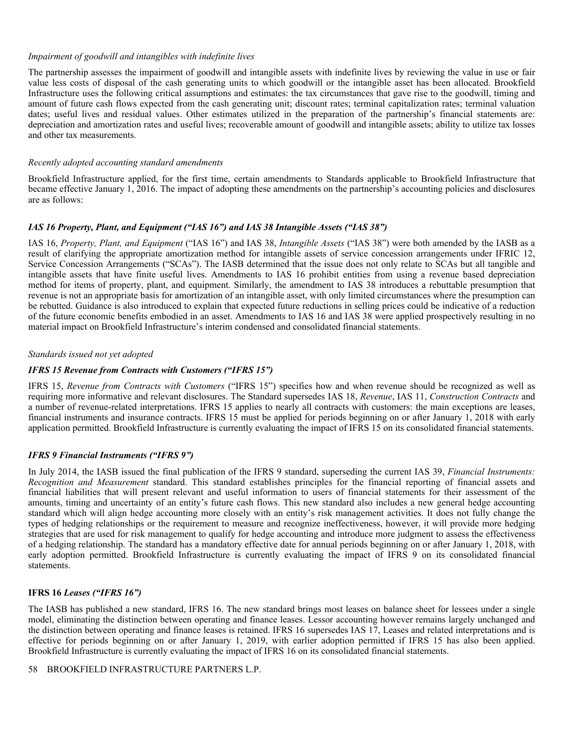#### *Impairment of goodwill and intangibles with indefinite lives*

The partnership assesses the impairment of goodwill and intangible assets with indefinite lives by reviewing the value in use or fair value less costs of disposal of the cash generating units to which goodwill or the intangible asset has been allocated. Brookfield Infrastructure uses the following critical assumptions and estimates: the tax circumstances that gave rise to the goodwill, timing and amount of future cash flows expected from the cash generating unit; discount rates; terminal capitalization rates; terminal valuation dates; useful lives and residual values. Other estimates utilized in the preparation of the partnership's financial statements are: depreciation and amortization rates and useful lives; recoverable amount of goodwill and intangible assets; ability to utilize tax losses and other tax measurements.

#### *Recently adopted accounting standard amendments*

Brookfield Infrastructure applied, for the first time, certain amendments to Standards applicable to Brookfield Infrastructure that became effective January 1, 2016. The impact of adopting these amendments on the partnership's accounting policies and disclosures are as follows:

#### *IAS 16 Property, Plant, and Equipment ("IAS 16") and IAS 38 Intangible Assets ("IAS 38")*

IAS 16, *Property, Plant, and Equipment* ("IAS 16") and IAS 38, *Intangible Assets* ("IAS 38") were both amended by the IASB as a result of clarifying the appropriate amortization method for intangible assets of service concession arrangements under IFRIC 12, Service Concession Arrangements ("SCAs"). The IASB determined that the issue does not only relate to SCAs but all tangible and intangible assets that have finite useful lives. Amendments to IAS 16 prohibit entities from using a revenue based depreciation method for items of property, plant, and equipment. Similarly, the amendment to IAS 38 introduces a rebuttable presumption that revenue is not an appropriate basis for amortization of an intangible asset, with only limited circumstances where the presumption can be rebutted. Guidance is also introduced to explain that expected future reductions in selling prices could be indicative of a reduction of the future economic benefits embodied in an asset. Amendments to IAS 16 and IAS 38 were applied prospectively resulting in no material impact on Brookfield Infrastructure's interim condensed and consolidated financial statements.

#### *Standards issued not yet adopted*

# *IFRS 15 Revenue from Contracts with Customers ("IFRS 15")*

IFRS 15, *Revenue from Contracts with Customers* ("IFRS 15") specifies how and when revenue should be recognized as well as requiring more informative and relevant disclosures. The Standard supersedes IAS 18, *Revenue*, IAS 11, *Construction Contracts* and a number of revenue-related interpretations. IFRS 15 applies to nearly all contracts with customers: the main exceptions are leases, financial instruments and insurance contracts. IFRS 15 must be applied for periods beginning on or after January 1, 2018 with early application permitted. Brookfield Infrastructure is currently evaluating the impact of IFRS 15 on its consolidated financial statements.

# *IFRS 9 Financial Instruments ("IFRS 9")*

In July 2014, the IASB issued the final publication of the IFRS 9 standard, superseding the current IAS 39, *Financial Instruments: Recognition and Measurement* standard. This standard establishes principles for the financial reporting of financial assets and financial liabilities that will present relevant and useful information to users of financial statements for their assessment of the amounts, timing and uncertainty of an entity's future cash flows. This new standard also includes a new general hedge accounting standard which will align hedge accounting more closely with an entity's risk management activities. It does not fully change the types of hedging relationships or the requirement to measure and recognize ineffectiveness, however, it will provide more hedging strategies that are used for risk management to qualify for hedge accounting and introduce more judgment to assess the effectiveness of a hedging relationship. The standard has a mandatory effective date for annual periods beginning on or after January 1, 2018, with early adoption permitted. Brookfield Infrastructure is currently evaluating the impact of IFRS 9 on its consolidated financial statements.

# **IFRS 16** *Leases ("IFRS 16")*

The IASB has published a new standard, IFRS 16. The new standard brings most leases on balance sheet for lessees under a single model, eliminating the distinction between operating and finance leases. Lessor accounting however remains largely unchanged and the distinction between operating and finance leases is retained. IFRS 16 supersedes IAS 17, Leases and related interpretations and is effective for periods beginning on or after January 1, 2019, with earlier adoption permitted if IFRS 15 has also been applied. Brookfield Infrastructure is currently evaluating the impact of IFRS 16 on its consolidated financial statements.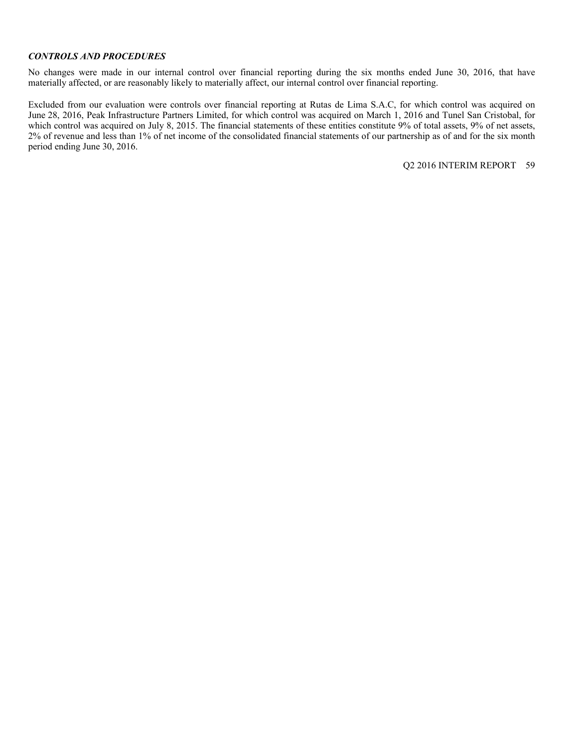#### *CONTROLS AND PROCEDURES*

No changes were made in our internal control over financial reporting during the six months ended June 30, 2016, that have materially affected, or are reasonably likely to materially affect, our internal control over financial reporting.

Excluded from our evaluation were controls over financial reporting at Rutas de Lima S.A.C, for which control was acquired on June 28, 2016, Peak Infrastructure Partners Limited, for which control was acquired on March 1, 2016 and Tunel San Cristobal, for which control was acquired on July 8, 2015. The financial statements of these entities constitute 9% of total assets, 9% of net assets, 2% of revenue and less than 1% of net income of the consolidated financial statements of our partnership as of and for the six month period ending June 30, 2016.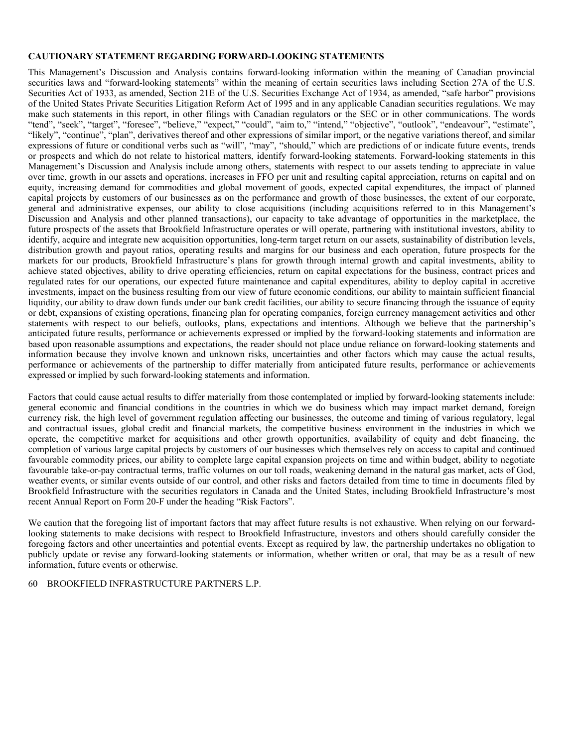# **CAUTIONARY STATEMENT REGARDING FORWARD-LOOKING STATEMENTS**

This Management's Discussion and Analysis contains forward-looking information within the meaning of Canadian provincial securities laws and "forward-looking statements" within the meaning of certain securities laws including Section 27A of the U.S. Securities Act of 1933, as amended, Section 21E of the U.S. Securities Exchange Act of 1934, as amended, "safe harbor" provisions of the United States Private Securities Litigation Reform Act of 1995 and in any applicable Canadian securities regulations. We may make such statements in this report, in other filings with Canadian regulators or the SEC or in other communications. The words "tend", "seek", "target", "foresee", "believe," "expect," "could", "aim to," "intend," "objective", "outlook", "endeavour", "estimate", "likely", "continue", "plan", derivatives thereof and other expressions of similar import, or the negative variations thereof, and similar expressions of future or conditional verbs such as "will", "may", "should," which are predictions of or indicate future events, trends or prospects and which do not relate to historical matters, identify forward-looking statements. Forward-looking statements in this Management's Discussion and Analysis include among others, statements with respect to our assets tending to appreciate in value over time, growth in our assets and operations, increases in FFO per unit and resulting capital appreciation, returns on capital and on equity, increasing demand for commodities and global movement of goods, expected capital expenditures, the impact of planned capital projects by customers of our businesses as on the performance and growth of those businesses, the extent of our corporate, general and administrative expenses, our ability to close acquisitions (including acquisitions referred to in this Management's Discussion and Analysis and other planned transactions), our capacity to take advantage of opportunities in the marketplace, the future prospects of the assets that Brookfield Infrastructure operates or will operate, partnering with institutional investors, ability to identify, acquire and integrate new acquisition opportunities, long-term target return on our assets, sustainability of distribution levels, distribution growth and payout ratios, operating results and margins for our business and each operation, future prospects for the markets for our products, Brookfield Infrastructure's plans for growth through internal growth and capital investments, ability to achieve stated objectives, ability to drive operating efficiencies, return on capital expectations for the business, contract prices and regulated rates for our operations, our expected future maintenance and capital expenditures, ability to deploy capital in accretive investments, impact on the business resulting from our view of future economic conditions, our ability to maintain sufficient financial liquidity, our ability to draw down funds under our bank credit facilities, our ability to secure financing through the issuance of equity or debt, expansions of existing operations, financing plan for operating companies, foreign currency management activities and other statements with respect to our beliefs, outlooks, plans, expectations and intentions. Although we believe that the partnership's anticipated future results, performance or achievements expressed or implied by the forward-looking statements and information are based upon reasonable assumptions and expectations, the reader should not place undue reliance on forward-looking statements and information because they involve known and unknown risks, uncertainties and other factors which may cause the actual results, performance or achievements of the partnership to differ materially from anticipated future results, performance or achievements expressed or implied by such forward-looking statements and information.

Factors that could cause actual results to differ materially from those contemplated or implied by forward-looking statements include: general economic and financial conditions in the countries in which we do business which may impact market demand, foreign currency risk, the high level of government regulation affecting our businesses, the outcome and timing of various regulatory, legal and contractual issues, global credit and financial markets, the competitive business environment in the industries in which we operate, the competitive market for acquisitions and other growth opportunities, availability of equity and debt financing, the completion of various large capital projects by customers of our businesses which themselves rely on access to capital and continued favourable commodity prices, our ability to complete large capital expansion projects on time and within budget, ability to negotiate favourable take-or-pay contractual terms, traffic volumes on our toll roads, weakening demand in the natural gas market, acts of God, weather events, or similar events outside of our control, and other risks and factors detailed from time to time in documents filed by Brookfield Infrastructure with the securities regulators in Canada and the United States, including Brookfield Infrastructure's most recent Annual Report on Form 20-F under the heading "Risk Factors".

We caution that the foregoing list of important factors that may affect future results is not exhaustive. When relying on our forwardlooking statements to make decisions with respect to Brookfield Infrastructure, investors and others should carefully consider the foregoing factors and other uncertainties and potential events. Except as required by law, the partnership undertakes no obligation to publicly update or revise any forward-looking statements or information, whether written or oral, that may be as a result of new information, future events or otherwise.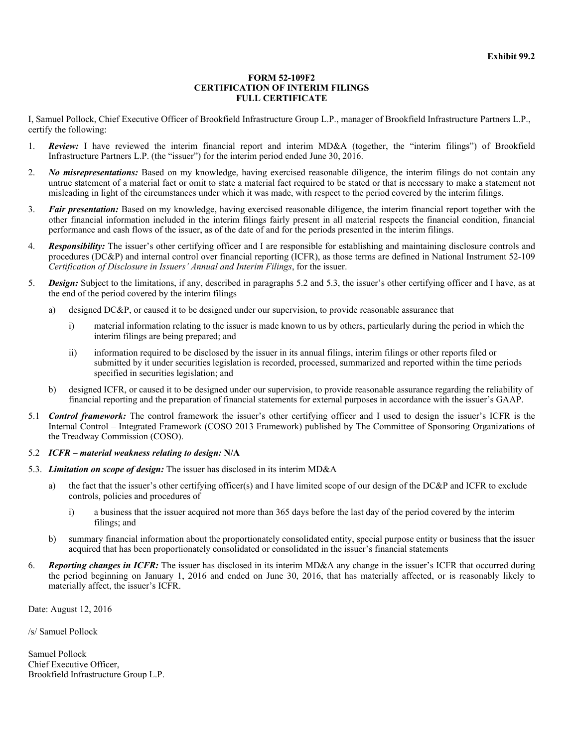#### **FORM 52-109F2 CERTIFICATION OF INTERIM FILINGS FULL CERTIFICATE**

I, Samuel Pollock, Chief Executive Officer of Brookfield Infrastructure Group L.P., manager of Brookfield Infrastructure Partners L.P., certify the following:

- 1. *Review:* I have reviewed the interim financial report and interim MD&A (together, the "interim filings") of Brookfield Infrastructure Partners L.P. (the "issuer") for the interim period ended June 30, 2016.
- 2. *No misrepresentations:* Based on my knowledge, having exercised reasonable diligence, the interim filings do not contain any untrue statement of a material fact or omit to state a material fact required to be stated or that is necessary to make a statement not misleading in light of the circumstances under which it was made, with respect to the period covered by the interim filings.
- 3. *Fair presentation:* Based on my knowledge, having exercised reasonable diligence, the interim financial report together with the other financial information included in the interim filings fairly present in all material respects the financial condition, financial performance and cash flows of the issuer, as of the date of and for the periods presented in the interim filings.
- 4. *Responsibility:* The issuer's other certifying officer and I are responsible for establishing and maintaining disclosure controls and procedures (DC&P) and internal control over financial reporting (ICFR), as those terms are defined in National Instrument 52-109 *Certification of Disclosure in Issuers' Annual and Interim Filings*, for the issuer.
- 5. *Design:* Subject to the limitations, if any, described in paragraphs 5.2 and 5.3, the issuer's other certifying officer and I have, as at the end of the period covered by the interim filings
	- a) designed DC&P, or caused it to be designed under our supervision, to provide reasonable assurance that
		- i) material information relating to the issuer is made known to us by others, particularly during the period in which the interim filings are being prepared; and
		- ii) information required to be disclosed by the issuer in its annual filings, interim filings or other reports filed or submitted by it under securities legislation is recorded, processed, summarized and reported within the time periods specified in securities legislation; and
	- b) designed ICFR, or caused it to be designed under our supervision, to provide reasonable assurance regarding the reliability of financial reporting and the preparation of financial statements for external purposes in accordance with the issuer's GAAP.
- 5.1 *Control framework:* The control framework the issuer's other certifying officer and I used to design the issuer's ICFR is the Internal Control – Integrated Framework (COSO 2013 Framework) published by The Committee of Sponsoring Organizations of the Treadway Commission (COSO).
- 5.2 *ICFR material weakness relating to design:* **N/A**
- 5.3. *Limitation on scope of design:* The issuer has disclosed in its interim MD&A
	- a) the fact that the issuer's other certifying officer(s) and I have limited scope of our design of the DC&P and ICFR to exclude controls, policies and procedures of
		- i) a business that the issuer acquired not more than 365 days before the last day of the period covered by the interim filings; and
	- b) summary financial information about the proportionately consolidated entity, special purpose entity or business that the issuer acquired that has been proportionately consolidated or consolidated in the issuer's financial statements
- 6. *Reporting changes in ICFR:* The issuer has disclosed in its interim MD&A any change in the issuer's ICFR that occurred during the period beginning on January 1, 2016 and ended on June 30, 2016, that has materially affected, or is reasonably likely to materially affect, the issuer's ICFR.

Date: August 12, 2016

/s/ Samuel Pollock

Samuel Pollock Chief Executive Officer, Brookfield Infrastructure Group L.P.